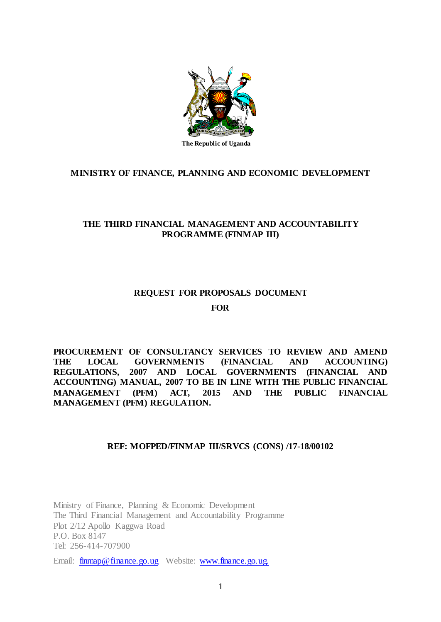

## **MINISTRY OF FINANCE, PLANNING AND ECONOMIC DEVELOPMENT**

## **THE THIRD FINANCIAL MANAGEMENT AND ACCOUNTABILITY PROGRAMME (FINMAP III)**

## **REQUEST FOR PROPOSALS DOCUMENT FOR**

**PROCUREMENT OF CONSULTANCY SERVICES TO REVIEW AND AMEND THE LOCAL GOVERNMENTS (FINANCIAL AND ACCOUNTING) REGULATIONS, 2007 AND LOCAL GOVERNMENTS (FINANCIAL AND ACCOUNTING) MANUAL, 2007 TO BE IN LINE WITH THE PUBLIC FINANCIAL MANAGEMENT (PFM) ACT, 2015 AND THE PUBLIC FINANCIAL MANAGEMENT (PFM) REGULATION.**

## **REF: MOFPED/FINMAP III/SRVCS (CONS) /17-18/00102**

Ministry of Finance, Planning & Economic Development The Third Financial Management and Accountability Programme Plot 2/12 Apollo Kaggwa Road P.O. Box 8147 Tel: 256-414-707900

Email: [finmap@finance.go.ug](mailto:finmap@finance.go.ug) Website: [www.finance.go.ug.](http://www.finance.go.ug./)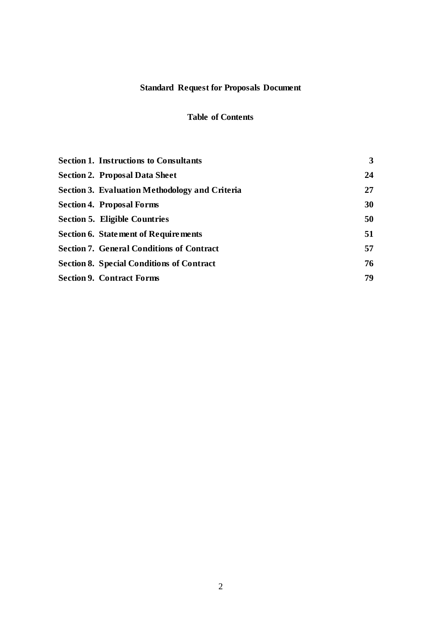# **Standard Request for Proposals Document**

## **Table of Contents**

| <b>Section 1. Instructions to Consultants</b>    | $\mathbf{3}$ |
|--------------------------------------------------|--------------|
| <b>Section 2. Proposal Data Sheet</b>            | 24           |
| Section 3. Evaluation Methodology and Criteria   | 27           |
| <b>Section 4. Proposal Forms</b>                 | 30           |
| Section 5. Eligible Countries                    | 50           |
| <b>Section 6. Statement of Requirements</b>      | 51           |
| <b>Section 7. General Conditions of Contract</b> | 57           |
| <b>Section 8. Special Conditions of Contract</b> | 76           |
| <b>Section 9. Contract Forms</b>                 | 79           |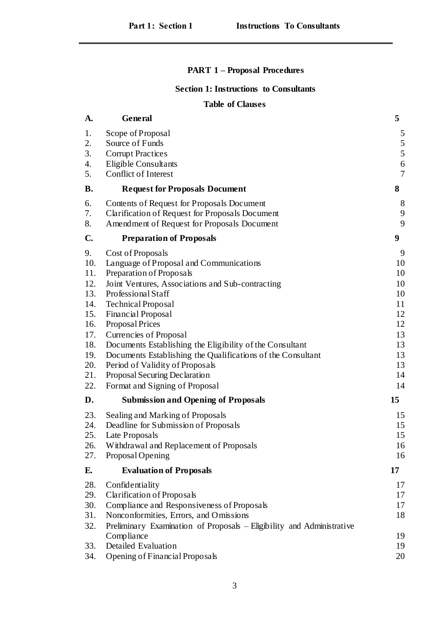# **PART 1 – Proposal Procedures**

## **Section 1: Instructions to Consultants**

## **Table of Clauses**

| A.           | General                                                               | 5              |
|--------------|-----------------------------------------------------------------------|----------------|
| 1.           | Scope of Proposal                                                     | 5              |
| 2.           | Source of Funds                                                       | 5              |
| 3.           | <b>Corrupt Practices</b>                                              | 5              |
| 4.           | <b>Eligible Consultants</b>                                           | 6              |
| 5.           | Conflict of Interest                                                  | $\overline{7}$ |
| <b>B.</b>    | <b>Request for Proposals Document</b>                                 | 8              |
| 6.           | Contents of Request for Proposals Document                            | 8              |
| 7.           | <b>Clarification of Request for Proposals Document</b>                | 9              |
| 8.           | Amendment of Request for Proposals Document                           | 9              |
| $\mathbf{C}$ | <b>Preparation of Proposals</b>                                       | 9 <sup>°</sup> |
| 9.           | Cost of Proposals                                                     | 9              |
| 10.          | Language of Proposal and Communications                               | 10             |
| 11.          | Preparation of Proposals                                              | 10             |
| 12.          | Joint Ventures, Associations and Sub-contracting                      | 10             |
| 13.          | Professional Staff                                                    | 10             |
| 14.          | <b>Technical Proposal</b>                                             | 11             |
| 15.<br>16.   | Financial Proposal<br>Proposal Prices                                 | 12<br>12       |
| 17.          | Currencies of Proposal                                                | 13             |
| 18.          | Documents Establishing the Eligibility of the Consultant              | 13             |
| 19.          | Documents Establishing the Qualifications of the Consultant           | 13             |
| 20.          | Period of Validity of Proposals                                       | 13             |
| 21.          | Proposal Securing Declaration                                         | 14             |
| 22.          | Format and Signing of Proposal                                        | 14             |
| D.           | <b>Submission and Opening of Proposals</b>                            | 15             |
| 23.          | Sealing and Marking of Proposals                                      | 15             |
| 24.          | Deadline for Submission of Proposals                                  | 15             |
| 25.          | Late Proposals                                                        | 15             |
| 26.          | Withdrawal and Replacement of Proposals                               | 16             |
| 27.          | Proposal Opening                                                      | 16             |
| Е.           | <b>Evaluation of Proposals</b>                                        | 17             |
| 28.          | Confidentiality                                                       | 17             |
| 29.          | Clarification of Proposals                                            | 17             |
| 30.          | Compliance and Responsiveness of Proposals                            | 17             |
| 31.          | Nonconformities, Errors, and Omissions                                | 18             |
| 32.          | Preliminary Examination of Proposals – Eligibility and Administrative |                |
|              | Compliance<br><b>Detailed Evaluation</b>                              | 19<br>19       |
| 33.<br>34.   |                                                                       | 20             |
|              | Opening of Financial Proposals                                        |                |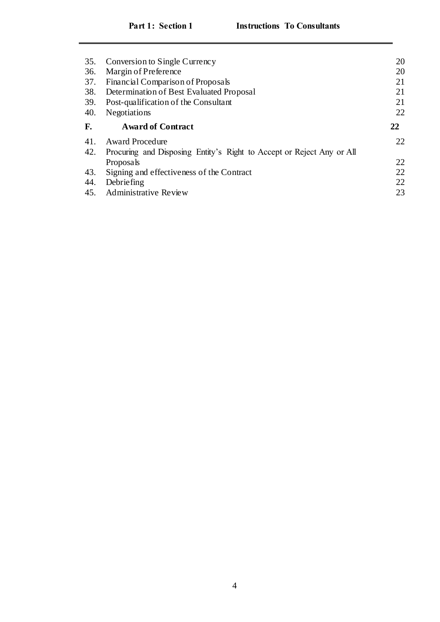| 35. | Conversion to Single Currency                                         | 20 |
|-----|-----------------------------------------------------------------------|----|
| 36. | Margin of Preference                                                  | 20 |
| 37. | Financial Comparison of Proposals                                     |    |
| 38. | Determination of Best Evaluated Proposal                              | 21 |
| 39. | Post-qualification of the Consultant                                  | 21 |
| 40. | Negotiations                                                          | 22 |
| F.  | <b>Award of Contract</b>                                              | 22 |
|     |                                                                       |    |
| 41. | <b>Award Procedure</b>                                                | 22 |
| 42. | Procuring and Disposing Entity's Right to Accept or Reject Any or All |    |
|     | Proposals                                                             | 22 |
| 43. | Signing and effectiveness of the Contract                             | 22 |
| 44. | Debriefing                                                            | 22 |
| 45. | Administrative Review                                                 | 23 |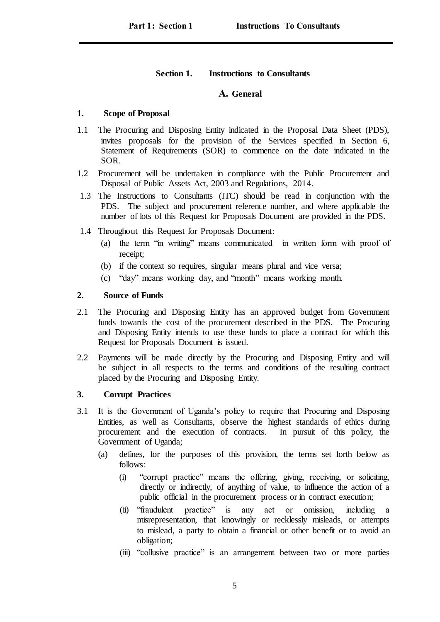## **Section 1. Instructions to Consultants**

## **A. General**

## <span id="page-4-1"></span><span id="page-4-0"></span>**1. Scope of Proposal**

- 1.1 The Procuring and Disposing Entity indicated in the Proposal Data Sheet (PDS), invites proposals for the provision of the Services specified in Section 6, Statement of Requirements (SOR) to commence on the date indicated in the SOR.
- 1.2 Procurement will be undertaken in compliance with the Public Procurement and Disposal of Public Assets Act, 2003 and Regulations, 2014.
- 1.3 The Instructions to Consultants (ITC) should be read in conjunction with the PDS. The subject and procurement reference number, and where applicable the number of lots of this Request for Proposals Document are provided in the PDS.
- 1.4 Throughout this Request for Proposals Document:
	- (a) the term "in writing" means communicated in written form with proof of receipt;
	- (b) if the context so requires, singular means plural and vice versa;
	- (c) "day" means working day, and "month" means working month.

## <span id="page-4-2"></span>**2. Source of Funds**

- 2.1 The Procuring and Disposing Entity has an approved budget from Government funds towards the cost of the procurement described in the PDS. The Procuring and Disposing Entity intends to use these funds to place a contract for which this Request for Proposals Document is issued.
- 2.2 Payments will be made directly by the Procuring and Disposing Entity and will be subject in all respects to the terms and conditions of the resulting contract placed by the Procuring and Disposing Entity.

## <span id="page-4-3"></span>**3. Corrupt Practices**

- 3.1 It is the Government of Uganda's policy to require that Procuring and Disposing Entities, as well as Consultants, observe the highest standards of ethics during procurement and the execution of contracts. In pursuit of this policy, the Government of Uganda;
	- (a) defines, for the purposes of this provision, the terms set forth below as follows:
		- (i) "corrupt practice" means the offering, giving, receiving, or soliciting, directly or indirectly, of anything of value, to influence the action of a public official in the procurement process or in contract execution;
		- (ii) "fraudulent practice" is any act or omission, including misrepresentation, that knowingly or recklessly misleads, or attempts to mislead, a party to obtain a financial or other benefit or to avoid an obligation;
		- (iii) "collusive practice" is an arrangement between two or more parties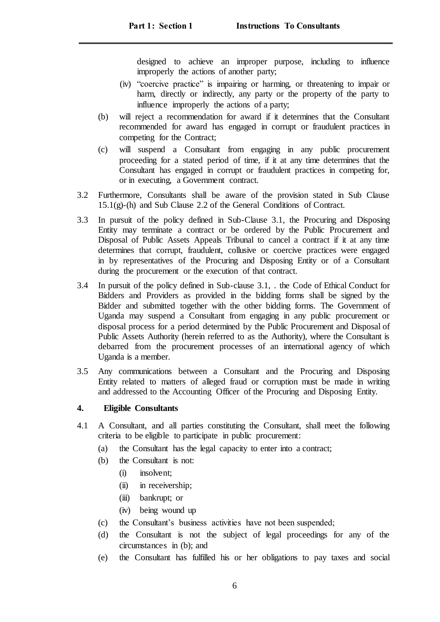designed to achieve an improper purpose, including to influence improperly the actions of another party;

- (iv) "coercive practice" is impairing or harming, or threatening to impair or harm, directly or indirectly, any party or the property of the party to influence improperly the actions of a party;
- (b) will reject a recommendation for award if it determines that the Consultant recommended for award has engaged in corrupt or fraudulent practices in competing for the Contract;
- (c) will suspend a Consultant from engaging in any public procurement proceeding for a stated period of time, if it at any time determines that the Consultant has engaged in corrupt or fraudulent practices in competing for, or in executing, a Government contract.
- 3.2 Furthermore, Consultants shall be aware of the provision stated in Sub Clause 15.1(g)-(h) and Sub Clause 2.2 of the General Conditions of Contract.
- 3.3 In pursuit of the policy defined in Sub-Clause 3.1, the Procuring and Disposing Entity may terminate a contract or be ordered by the Public Procurement and Disposal of Public Assets Appeals Tribunal to cancel a contract if it at any time determines that corrupt, fraudulent, collusive or coercive practices were engaged in by representatives of the Procuring and Disposing Entity or of a Consultant during the procurement or the execution of that contract.
- 3.4 In pursuit of the policy defined in Sub-clause 3.1, . the Code of Ethical Conduct for Bidders and Providers as provided in the bidding forms shall be signed by the Bidder and submitted together with the other bidding forms. The Government of Uganda may suspend a Consultant from engaging in any public procurement or disposal process for a period determined by the Public Procurement and Disposal of Public Assets Authority (herein referred to as the Authority), where the Consultant is debarred from the procurement processes of an international agency of which Uganda is a member.
- 3.5 Any communications between a Consultant and the Procuring and Disposing Entity related to matters of alleged fraud or corruption must be made in writing and addressed to the Accounting Officer of the Procuring and Disposing Entity.

## <span id="page-5-0"></span>**4. Eligible Consultants**

- 4.1 A Consultant, and all parties constituting the Consultant, shall meet the following criteria to be eligible to participate in public procurement:
	- (a) the Consultant has the legal capacity to enter into a contract;
	- (b) the Consultant is not:
		- (i) insolvent;
		- (ii) in receivership;
		- (iii) bankrupt; or
		- (iv) being wound up
	- (c) the Consultant's business activities have not been suspended;
	- (d) the Consultant is not the subject of legal proceedings for any of the circumstances in (b); and
	- (e) the Consultant has fulfilled his or her obligations to pay taxes and social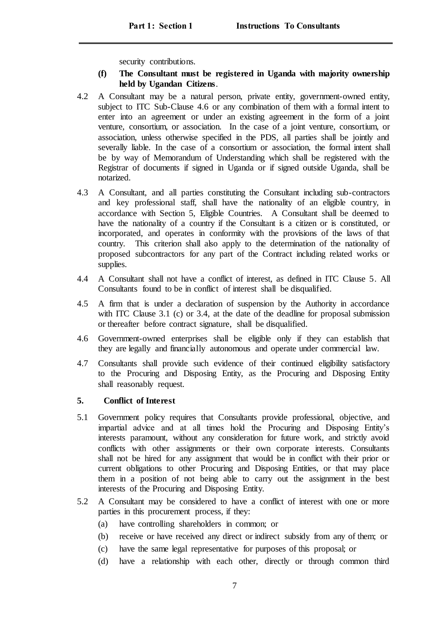security contributions.

- **(f) The Consultant must be registered in Uganda with majority ownership held by Ugandan Citizens**.
- 4.2 A Consultant may be a natural person, private entity, government-owned entity, subject to ITC Sub-Clause 4.6 or any combination of them with a formal intent to enter into an agreement or under an existing agreement in the form of a joint venture, consortium, or association. In the case of a joint venture, consortium, or association, unless otherwise specified in the PDS, all parties shall be jointly and severally liable. In the case of a consortium or association, the formal intent shall be by way of Memorandum of Understanding which shall be registered with the Registrar of documents if signed in Uganda or if signed outside Uganda, shall be notarized.
- 4.3 A Consultant, and all parties constituting the Consultant including sub-contractors and key professional staff, shall have the nationality of an eligible country, in accordance with Section 5, Eligible Countries. A Consultant shall be deemed to have the nationality of a country if the Consultant is a citizen or is constituted, or incorporated, and operates in conformity with the provisions of the laws of that country. This criterion shall also apply to the determination of the nationality of proposed subcontractors for any part of the Contract including related works or supplies.
- 4.4 A Consultant shall not have a conflict of interest, as defined in ITC Clause 5. All Consultants found to be in conflict of interest shall be disqualified.
- 4.5 A firm that is under a declaration of suspension by the Authority in accordance with ITC Clause 3.1 (c) or 3.4, at the date of the deadline for proposal submission or thereafter before contract signature, shall be disqualified.
- 4.6 Government-owned enterprises shall be eligible only if they can establish that they are legally and financially autonomous and operate under commercial law.
- 4.7 Consultants shall provide such evidence of their continued eligibility satisfactory to the Procuring and Disposing Entity, as the Procuring and Disposing Entity shall reasonably request.

## <span id="page-6-0"></span>**5. Conflict of Interest**

- 5.1 Government policy requires that Consultants provide professional, objective, and impartial advice and at all times hold the Procuring and Disposing Entity's interests paramount, without any consideration for future work, and strictly avoid conflicts with other assignments or their own corporate interests. Consultants shall not be hired for any assignment that would be in conflict with their prior or current obligations to other Procuring and Disposing Entities, or that may place them in a position of not being able to carry out the assignment in the best interests of the Procuring and Disposing Entity.
- 5.2 A Consultant may be considered to have a conflict of interest with one or more parties in this procurement process, if they:
	- (a) have controlling shareholders in common; or
	- (b) receive or have received any direct or indirect subsidy from any of them; or
	- (c) have the same legal representative for purposes of this proposal; or
	- (d) have a relationship with each other, directly or through common third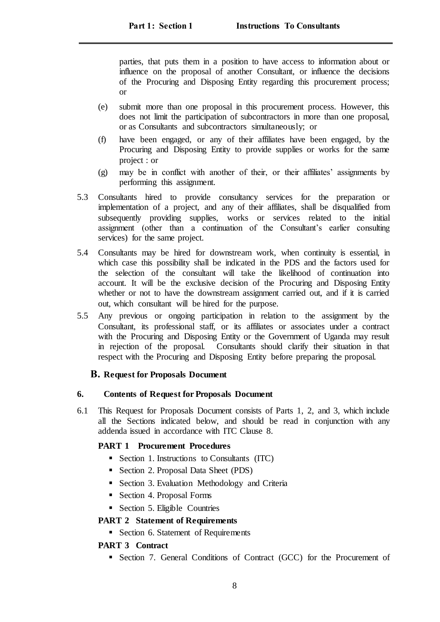parties, that puts them in a position to have access to information about or influence on the proposal of another Consultant, or influence the decisions of the Procuring and Disposing Entity regarding this procurement process; or

- (e) submit more than one proposal in this procurement process. However, this does not limit the participation of subcontractors in more than one proposal, or as Consultants and subcontractors simultaneously; or
- (f) have been engaged, or any of their affiliates have been engaged, by the Procuring and Disposing Entity to provide supplies or works for the same project : or
- (g) may be in conflict with another of their, or their affiliates' assignments by performing this assignment.
- 5.3 Consultants hired to provide consultancy services for the preparation or implementation of a project, and any of their affiliates, shall be disqualified from subsequently providing supplies, works or services related to the initial assignment (other than a continuation of the Consultant's earlier consulting services) for the same project.
- 5.4 Consultants may be hired for downstream work, when continuity is essential, in which case this possibility shall be indicated in the PDS and the factors used for the selection of the consultant will take the likelihood of continuation into account. It will be the exclusive decision of the Procuring and Disposing Entity whether or not to have the downstream assignment carried out, and if it is carried out, which consultant will be hired for the purpose.
- 5.5 Any previous or ongoing participation in relation to the assignment by the Consultant, its professional staff, or its affiliates or associates under a contract with the Procuring and Disposing Entity or the Government of Uganda may result in rejection of the proposal. Consultants should clarify their situation in that respect with the Procuring and Disposing Entity before preparing the proposal.

## <span id="page-7-0"></span>**B. Request for Proposals Document**

## <span id="page-7-1"></span>**6. Contents of Request for Proposals Document**

6.1 This Request for Proposals Document consists of Parts 1, 2, and 3, which include all the Sections indicated below, and should be read in conjunction with any addenda issued in accordance with ITC Clause 8.

## **PART 1 Procurement Procedures**

- Section 1. Instructions to Consultants (ITC)
- Section 2. Proposal Data Sheet (PDS)
- Section 3. Evaluation Methodology and Criteria
- Section 4. Proposal Forms
- Section 5. Eligible Countries

## **PART 2 Statement of Requirements**

Section 6. Statement of Requirements

## **PART 3 Contract**

Section 7. General Conditions of Contract (GCC) for the Procurement of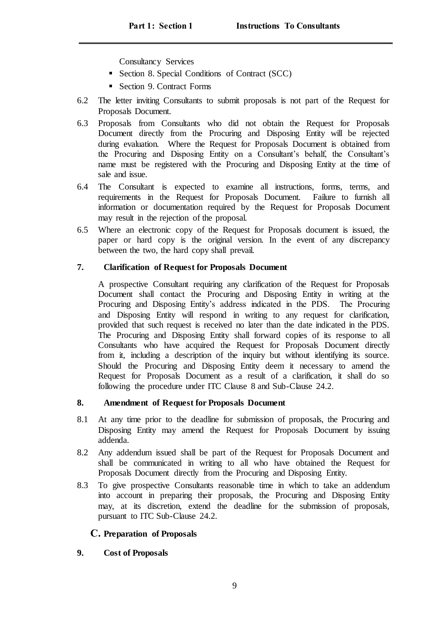Consultancy Services

- Section 8. Special Conditions of Contract (SCC)
- Section 9. Contract Forms
- 6.2 The letter inviting Consultants to submit proposals is not part of the Request for Proposals Document.
- 6.3 Proposals from Consultants who did not obtain the Request for Proposals Document directly from the Procuring and Disposing Entity will be rejected during evaluation. Where the Request for Proposals Document is obtained from the Procuring and Disposing Entity on a Consultant's behalf, the Consultant's name must be registered with the Procuring and Disposing Entity at the time of sale and issue.
- 6.4 The Consultant is expected to examine all instructions, forms, terms, and requirements in the Request for Proposals Document. Failure to furnish all information or documentation required by the Request for Proposals Document may result in the rejection of the proposal.
- 6.5 Where an electronic copy of the Request for Proposals document is issued, the paper or hard copy is the original version. In the event of any discrepancy between the two, the hard copy shall prevail.

## <span id="page-8-0"></span>**7. Clarification of Request for Proposals Document**

A prospective Consultant requiring any clarification of the Request for Proposals Document shall contact the Procuring and Disposing Entity in writing at the Procuring and Disposing Entity's address indicated in the PDS. The Procuring and Disposing Entity will respond in writing to any request for clarification, provided that such request is received no later than the date indicated in the PDS. The Procuring and Disposing Entity shall forward copies of its response to all Consultants who have acquired the Request for Proposals Document directly from it, including a description of the inquiry but without identifying its source. Should the Procuring and Disposing Entity deem it necessary to amend the Request for Proposals Document as a result of a clarification, it shall do so following the procedure under ITC Clause 8 and Sub-Clause 24.2.

## <span id="page-8-1"></span>**8. Amendment of Request for Proposals Document**

- 8.1 At any time prior to the deadline for submission of proposals, the Procuring and Disposing Entity may amend the Request for Proposals Document by issuing addenda.
- 8.2 Any addendum issued shall be part of the Request for Proposals Document and shall be communicated in writing to all who have obtained the Request for Proposals Document directly from the Procuring and Disposing Entity.
- 8.3 To give prospective Consultants reasonable time in which to take an addendum into account in preparing their proposals, the Procuring and Disposing Entity may, at its discretion, extend the deadline for the submission of proposals, pursuant to ITC Sub-Clause 24.2.

## <span id="page-8-2"></span>**C. Preparation of Proposals**

## <span id="page-8-3"></span>**9. Cost of Proposals**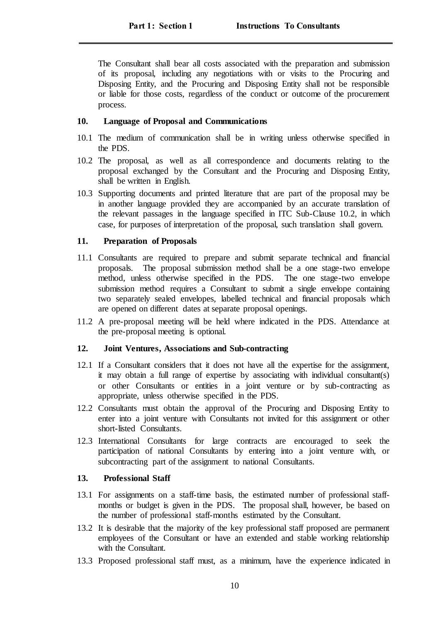The Consultant shall bear all costs associated with the preparation and submission of its proposal, including any negotiations with or visits to the Procuring and Disposing Entity, and the Procuring and Disposing Entity shall not be responsible or liable for those costs, regardless of the conduct or outcome of the procurement process.

## <span id="page-9-0"></span>**10. Language of Proposal and Communications**

- 10.1 The medium of communication shall be in writing unless otherwise specified in the PDS.
- 10.2 The proposal, as well as all correspondence and documents relating to the proposal exchanged by the Consultant and the Procuring and Disposing Entity, shall be written in English.
- 10.3 Supporting documents and printed literature that are part of the proposal may be in another language provided they are accompanied by an accurate translation of the relevant passages in the language specified in ITC Sub-Clause 10.2, in which case, for purposes of interpretation of the proposal, such translation shall govern.

## <span id="page-9-1"></span>**11. Preparation of Proposals**

- 11.1 Consultants are required to prepare and submit separate technical and financial proposals. The proposal submission method shall be a one stage-two envelope method, unless otherwise specified in the PDS. The one stage-two envelope submission method requires a Consultant to submit a single envelope containing two separately sealed envelopes, labelled technical and financial proposals which are opened on different dates at separate proposal openings.
- 11.2 A pre-proposal meeting will be held where indicated in the PDS. Attendance at the pre-proposal meeting is optional.

## <span id="page-9-2"></span>**12. Joint Ventures, Associations and Sub-contracting**

- 12.1 If a Consultant considers that it does not have all the expertise for the assignment, it may obtain a full range of expertise by associating with individual consultant(s) or other Consultants or entities in a joint venture or by sub-contracting as appropriate, unless otherwise specified in the PDS.
- 12.2 Consultants must obtain the approval of the Procuring and Disposing Entity to enter into a joint venture with Consultants not invited for this assignment or other short-listed Consultants.
- 12.3 International Consultants for large contracts are encouraged to seek the participation of national Consultants by entering into a joint venture with, or subcontracting part of the assignment to national Consultants.

## <span id="page-9-3"></span>**13. Professional Staff**

- 13.1 For assignments on a staff-time basis, the estimated number of professional staffmonths or budget is given in the PDS. The proposal shall, however, be based on the number of professional staff-months estimated by the Consultant.
- 13.2 It is desirable that the majority of the key professional staff proposed are permanent employees of the Consultant or have an extended and stable working relationship with the Consultant.
- 13.3 Proposed professional staff must, as a minimum, have the experience indicated in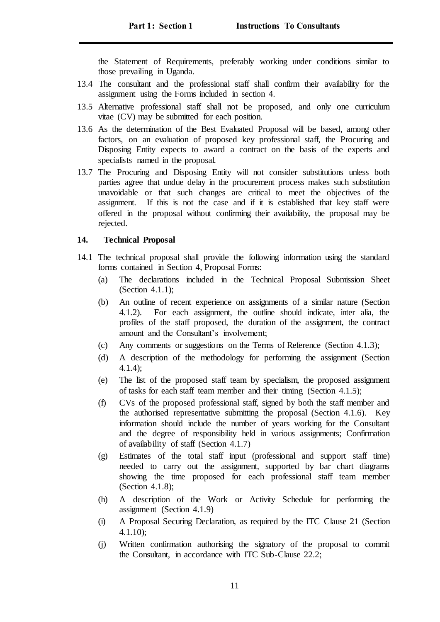the Statement of Requirements, preferably working under conditions similar to those prevailing in Uganda.

- 13.4 The consultant and the professional staff shall confirm their availability for the assignment using the Forms included in section 4.
- 13.5 Alternative professional staff shall not be proposed, and only one curriculum vitae (CV) may be submitted for each position.
- 13.6 As the determination of the Best Evaluated Proposal will be based, among other factors, on an evaluation of proposed key professional staff, the Procuring and Disposing Entity expects to award a contract on the basis of the experts and specialists named in the proposal.
- 13.7 The Procuring and Disposing Entity will not consider substitutions unless both parties agree that undue delay in the procurement process makes such substitution unavoidable or that such changes are critical to meet the objectives of the assignment. If this is not the case and if it is established that key staff were offered in the proposal without confirming their availability, the proposal may be rejected.

### <span id="page-10-0"></span>**14. Technical Proposal**

- 14.1 The technical proposal shall provide the following information using the standard forms contained in Section 4, Proposal Forms:
	- (a) The declarations included in the Technical Proposal Submission Sheet (Section 4.1.1);
	- (b) An outline of recent experience on assignments of a similar nature (Section 4.1.2). For each assignment, the outline should indicate, inter alia, the profiles of the staff proposed, the duration of the assignment, the contract amount and the Consultant's involvement;
	- (c) Any comments or suggestions on the Terms of Reference (Section 4.1.3);
	- (d) A description of the methodology for performing the assignment (Section 4.1.4);
	- (e) The list of the proposed staff team by specialism, the proposed assignment of tasks for each staff team member and their timing (Section 4.1.5);
	- (f) CVs of the proposed professional staff, signed by both the staff member and the authorised representative submitting the proposal (Section 4.1.6). Key information should include the number of years working for the Consultant and the degree of responsibility held in various assignments; Confirmation of availability of staff (Section 4.1.7)
	- (g) Estimates of the total staff input (professional and support staff time) needed to carry out the assignment, supported by bar chart diagrams showing the time proposed for each professional staff team member (Section 4.1.8);
	- (h) A description of the Work or Activity Schedule for performing the assignment (Section 4.1.9)
	- (i) A Proposal Securing Declaration, as required by the ITC Clause 21 (Section 4.1.10);
	- (j) Written confirmation authorising the signatory of the proposal to commit the Consultant, in accordance with ITC Sub-Clause 22.2;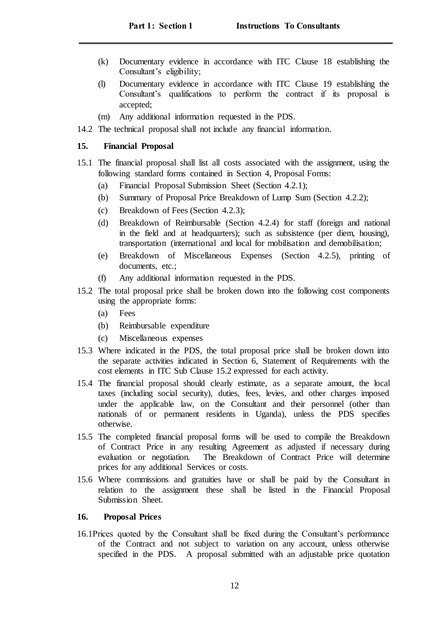- (k) Documentary evidence in accordance with ITC Clause 18 establishing the Consultant's eligibility;
- (l) Documentary evidence in accordance with ITC Clause 19 establishing the Consultant's qualifications to perform the contract if its proposal is accepted;
- (m) Any additional information requested in the PDS.
- 14.2 The technical proposal shall not include any financial information.

## <span id="page-11-0"></span>**15. Financial Proposal**

- 15.1 The financial proposal shall list all costs associated with the assignment, using the following standard forms contained in Section 4, Proposal Forms:
	- (a) Financial Proposal Submission Sheet (Section 4.2.1);
	- (b) Summary of Proposal Price Breakdown of Lump Sum (Section 4.2.2);
	- (c) Breakdown of Fees (Section 4.2.3);
	- (d) Breakdown of Reimbursable (Section 4.2.4) for staff (foreign and national in the field and at headquarters); such as subsistence (per diem, housing), transportation (international and local for mobilisation and demobilisation;
	- (e) Breakdown of Miscellaneous Expenses (Section 4.2.5), printing of documents, etc.:
	- (f) Any additional information requested in the PDS.
- 15.2 The total proposal price shall be broken down into the following cost components using the appropriate forms:
	- (a) Fees
	- (b) Reimbursable expenditure
	- (c) Miscellaneous expenses
- 15.3 Where indicated in the PDS, the total proposal price shall be broken down into the separate activities indicated in Section 6, Statement of Requirements with the cost elements in ITC Sub Clause 15.2 expressed for each activity.
- 15.4 The financial proposal should clearly estimate, as a separate amount, the local taxes (including social security), duties, fees, levies, and other charges imposed under the applicable law, on the Consultant and their personnel (other than nationals of or permanent residents in Uganda), unless the PDS specifies otherwise.
- 15.5 The completed financial proposal forms will be used to compile the Breakdown of Contract Price in any resulting Agreement as adjusted if necessary during evaluation or negotiation. The Breakdown of Contract Price will determine prices for any additional Services or costs.
- 15.6 Where commissions and gratuities have or shall be paid by the Consultant in relation to the assignment these shall be listed in the Financial Proposal Submission Sheet.

## <span id="page-11-1"></span>**16. Proposal Prices**

16.1Prices quoted by the Consultant shall be fixed during the Consultant's performance of the Contract and not subject to variation on any account, unless otherwise specified in the PDS. A proposal submitted with an adjustable price quotation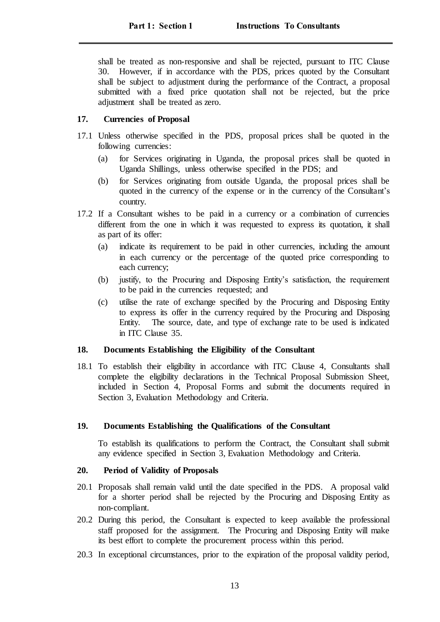shall be treated as non-responsive and shall be rejected, pursuant to ITC Clause 30. However, if in accordance with the PDS, prices quoted by the Consultant shall be subject to adjustment during the performance of the Contract, a proposal submitted with a fixed price quotation shall not be rejected, but the price adjustment shall be treated as zero.

## <span id="page-12-0"></span>**17. Currencies of Proposal**

- 17.1 Unless otherwise specified in the PDS, proposal prices shall be quoted in the following currencies:
	- (a) for Services originating in Uganda, the proposal prices shall be quoted in Uganda Shillings, unless otherwise specified in the PDS; and
	- (b) for Services originating from outside Uganda, the proposal prices shall be quoted in the currency of the expense or in the currency of the Consultant's country.
- 17.2 If a Consultant wishes to be paid in a currency or a combination of currencies different from the one in which it was requested to express its quotation, it shall as part of its offer:
	- (a) indicate its requirement to be paid in other currencies, including the amount in each currency or the percentage of the quoted price corresponding to each currency;
	- (b) justify, to the Procuring and Disposing Entity's satisfaction, the requirement to be paid in the currencies requested; and
	- (c) utilise the rate of exchange specified by the Procuring and Disposing Entity to express its offer in the currency required by the Procuring and Disposing Entity. The source, date, and type of exchange rate to be used is indicated in ITC Clause 35.

## <span id="page-12-1"></span>**18. Documents Establishing the Eligibility of the Consultant**

18.1 To establish their eligibility in accordance with ITC Clause 4, Consultants shall complete the eligibility declarations in the Technical Proposal Submission Sheet, included in Section 4, Proposal Forms and submit the documents required in Section 3, Evaluation Methodology and Criteria.

## <span id="page-12-2"></span>**19. Documents Establishing the Qualifications of the Consultant**

To establish its qualifications to perform the Contract, the Consultant shall submit any evidence specified in Section 3, Evaluation Methodology and Criteria.

## <span id="page-12-3"></span>**20. Period of Validity of Proposals**

- 20.1 Proposals shall remain valid until the date specified in the PDS. A proposal valid for a shorter period shall be rejected by the Procuring and Disposing Entity as non-compliant.
- 20.2 During this period, the Consultant is expected to keep available the professional staff proposed for the assignment. The Procuring and Disposing Entity will make its best effort to complete the procurement process within this period.
- 20.3 In exceptional circumstances, prior to the expiration of the proposal validity period,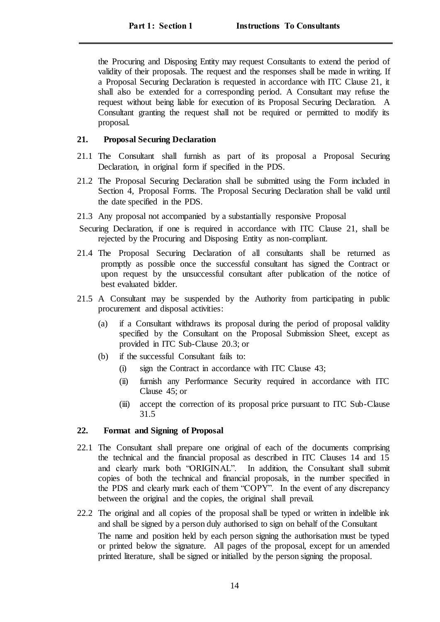the Procuring and Disposing Entity may request Consultants to extend the period of validity of their proposals. The request and the responses shall be made in writing. If a Proposal Securing Declaration is requested in accordance with ITC Clause 21, it shall also be extended for a corresponding period. A Consultant may refuse the request without being liable for execution of its Proposal Securing Declaration. A Consultant granting the request shall not be required or permitted to modify its proposal.

#### <span id="page-13-0"></span>**21. Proposal Securing Declaration**

- 21.1 The Consultant shall furnish as part of its proposal a Proposal Securing Declaration, in original form if specified in the PDS.
- 21.2 The Proposal Securing Declaration shall be submitted using the Form included in Section 4, Proposal Forms. The Proposal Securing Declaration shall be valid until the date specified in the PDS.
- 21.3 Any proposal not accompanied by a substantially responsive Proposal
- Securing Declaration, if one is required in accordance with ITC Clause 21, shall be rejected by the Procuring and Disposing Entity as non-compliant.
- 21.4 The Proposal Securing Declaration of all consultants shall be returned as promptly as possible once the successful consultant has signed the Contract or upon request by the unsuccessful consultant after publication of the notice of best evaluated bidder.
- 21.5 A Consultant may be suspended by the Authority from participating in public procurement and disposal activities:
	- (a) if a Consultant withdraws its proposal during the period of proposal validity specified by the Consultant on the Proposal Submission Sheet, except as provided in ITC Sub-Clause 20.3; or
	- (b) if the successful Consultant fails to:
		- (i) sign the Contract in accordance with ITC Clause 43;
		- (ii) furnish any Performance Security required in accordance with ITC Clause 45; or
		- (iii) accept the correction of its proposal price pursuant to ITC Sub-Clause 31.5

#### <span id="page-13-1"></span>**22. Format and Signing of Proposal**

- 22.1 The Consultant shall prepare one original of each of the documents comprising the technical and the financial proposal as described in ITC Clauses 14 and 15 and clearly mark both "ORIGINAL". In addition, the Consultant shall submit copies of both the technical and financial proposals, in the number specified in the PDS and clearly mark each of them "COPY". In the event of any discrepancy between the original and the copies, the original shall prevail.
- 22.2 The original and all copies of the proposal shall be typed or written in indelible ink and shall be signed by a person duly authorised to sign on behalf of the Consultant The name and position held by each person signing the authorisation must be typed or printed below the signature. All pages of the proposal, except for un amended printed literature, shall be signed or initialled by the person signing the proposal.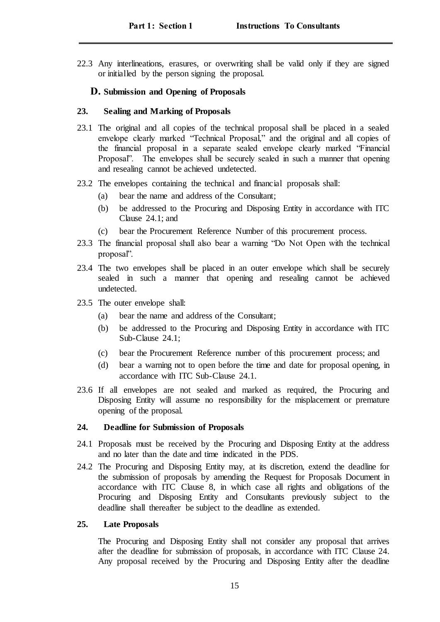22.3 Any interlineations, erasures, or overwriting shall be valid only if they are signed or initialled by the person signing the proposal.

#### <span id="page-14-0"></span>**D. Submission and Opening of Proposals**

#### <span id="page-14-1"></span>**23. Sealing and Marking of Proposals**

- 23.1 The original and all copies of the technical proposal shall be placed in a sealed envelope clearly marked "Technical Proposal," and the original and all copies of the financial proposal in a separate sealed envelope clearly marked "Financial Proposal". The envelopes shall be securely sealed in such a manner that opening and resealing cannot be achieved undetected.
- 23.2 The envelopes containing the technical and financial proposals shall:
	- (a) bear the name and address of the Consultant;
	- (b) be addressed to the Procuring and Disposing Entity in accordance with ITC Clause 24.1; and
	- (c) bear the Procurement Reference Number of this procurement process.
- 23.3 The financial proposal shall also bear a warning "Do Not Open with the technical proposal".
- 23.4 The two envelopes shall be placed in an outer envelope which shall be securely sealed in such a manner that opening and resealing cannot be achieved undetected.
- 23.5 The outer envelope shall:
	- (a) bear the name and address of the Consultant;
	- (b) be addressed to the Procuring and Disposing Entity in accordance with ITC Sub-Clause 24.1;
	- (c) bear the Procurement Reference number of this procurement process; and
	- (d) bear a warning not to open before the time and date for proposal opening, in accordance with ITC Sub-Clause 24.1.
- 23.6 If all envelopes are not sealed and marked as required, the Procuring and Disposing Entity will assume no responsibility for the misplacement or premature opening of the proposal.

#### <span id="page-14-2"></span>**24. Deadline for Submission of Proposals**

- 24.1 Proposals must be received by the Procuring and Disposing Entity at the address and no later than the date and time indicated in the PDS.
- 24.2 The Procuring and Disposing Entity may, at its discretion, extend the deadline for the submission of proposals by amending the Request for Proposals Document in accordance with ITC Clause 8, in which case all rights and obligations of the Procuring and Disposing Entity and Consultants previously subject to the deadline shall thereafter be subject to the deadline as extended.

#### <span id="page-14-3"></span>**25. Late Proposals**

The Procuring and Disposing Entity shall not consider any proposal that arrives after the deadline for submission of proposals, in accordance with ITC Clause 24. Any proposal received by the Procuring and Disposing Entity after the deadline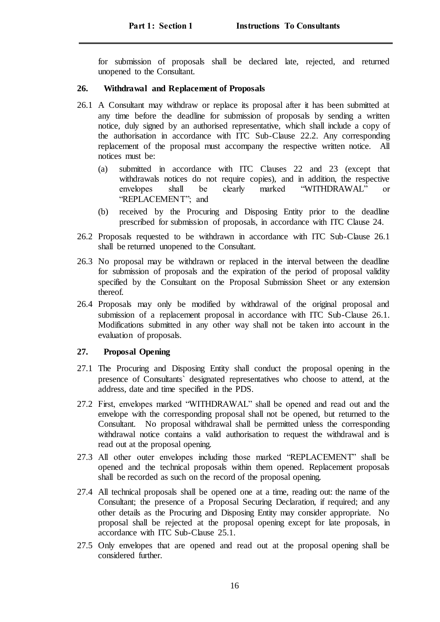for submission of proposals shall be declared late, rejected, and returned unopened to the Consultant.

## <span id="page-15-0"></span>**26. Withdrawal and Replacement of Proposals**

- 26.1 A Consultant may withdraw or replace its proposal after it has been submitted at any time before the deadline for submission of proposals by sending a written notice, duly signed by an authorised representative, which shall include a copy of the authorisation in accordance with ITC Sub-Clause 22.2. Any corresponding replacement of the proposal must accompany the respective written notice. All notices must be:
	- (a) submitted in accordance with ITC Clauses 22 and 23 (except that withdrawals notices do not require copies), and in addition, the respective envelopes shall be clearly marked "WITHDRAWAL" or "REPLACEMENT"; and
	- (b) received by the Procuring and Disposing Entity prior to the deadline prescribed for submission of proposals, in accordance with ITC Clause 24.
- 26.2 Proposals requested to be withdrawn in accordance with ITC Sub-Clause 26.1 shall be returned unopened to the Consultant.
- 26.3 No proposal may be withdrawn or replaced in the interval between the deadline for submission of proposals and the expiration of the period of proposal validity specified by the Consultant on the Proposal Submission Sheet or any extension thereof.
- 26.4 Proposals may only be modified by withdrawal of the original proposal and submission of a replacement proposal in accordance with ITC Sub-Clause 26.1. Modifications submitted in any other way shall not be taken into account in the evaluation of proposals.

## <span id="page-15-1"></span>**27. Proposal Opening**

- 27.1 The Procuring and Disposing Entity shall conduct the proposal opening in the presence of Consultants` designated representatives who choose to attend, at the address, date and time specified in the PDS.
- 27.2 First, envelopes marked "WITHDRAWAL" shall be opened and read out and the envelope with the corresponding proposal shall not be opened, but returned to the Consultant. No proposal withdrawal shall be permitted unless the corresponding withdrawal notice contains a valid authorisation to request the withdrawal and is read out at the proposal opening.
- 27.3 All other outer envelopes including those marked "REPLACEMENT" shall be opened and the technical proposals within them opened. Replacement proposals shall be recorded as such on the record of the proposal opening.
- 27.4 All technical proposals shall be opened one at a time, reading out: the name of the Consultant; the presence of a Proposal Securing Declaration, if required; and any other details as the Procuring and Disposing Entity may consider appropriate. No proposal shall be rejected at the proposal opening except for late proposals, in accordance with ITC Sub-Clause 25.1.
- 27.5 Only envelopes that are opened and read out at the proposal opening shall be considered further.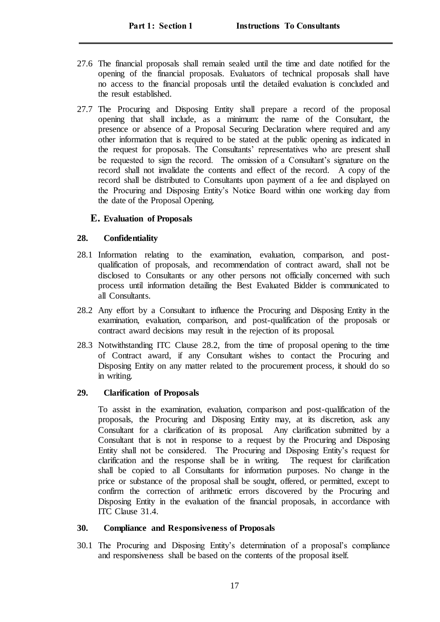- 27.6 The financial proposals shall remain sealed until the time and date notified for the opening of the financial proposals. Evaluators of technical proposals shall have no access to the financial proposals until the detailed evaluation is concluded and the result established.
- 27.7 The Procuring and Disposing Entity shall prepare a record of the proposal opening that shall include, as a minimum: the name of the Consultant, the presence or absence of a Proposal Securing Declaration where required and any other information that is required to be stated at the public opening as indicated in the request for proposals. The Consultants' representatives who are present shall be requested to sign the record. The omission of a Consultant's signature on the record shall not invalidate the contents and effect of the record. A copy of the record shall be distributed to Consultants upon payment of a fee and displayed on the Procuring and Disposing Entity's Notice Board within one working day from the date of the Proposal Opening.

## <span id="page-16-0"></span>**E. Evaluation of Proposals**

## <span id="page-16-1"></span>**28. Confidentiality**

- 28.1 Information relating to the examination, evaluation, comparison, and postqualification of proposals, and recommendation of contract award, shall not be disclosed to Consultants or any other persons not officially concerned with such process until information detailing the Best Evaluated Bidder is communicated to all Consultants.
- 28.2 Any effort by a Consultant to influence the Procuring and Disposing Entity in the examination, evaluation, comparison, and post-qualification of the proposals or contract award decisions may result in the rejection of its proposal.
- 28.3 Notwithstanding ITC Clause 28.2, from the time of proposal opening to the time of Contract award, if any Consultant wishes to contact the Procuring and Disposing Entity on any matter related to the procurement process, it should do so in writing.

## <span id="page-16-2"></span>**29. Clarification of Proposals**

To assist in the examination, evaluation, comparison and post-qualification of the proposals, the Procuring and Disposing Entity may, at its discretion, ask any Consultant for a clarification of its proposal. Any clarification submitted by a Consultant that is not in response to a request by the Procuring and Disposing Entity shall not be considered. The Procuring and Disposing Entity's request for clarification and the response shall be in writing. The request for clarification shall be copied to all Consultants for information purposes. No change in the price or substance of the proposal shall be sought, offered, or permitted, except to confirm the correction of arithmetic errors discovered by the Procuring and Disposing Entity in the evaluation of the financial proposals, in accordance with ITC Clause 31.4.

## <span id="page-16-3"></span>**30. Compliance and Responsiveness of Proposals**

30.1 The Procuring and Disposing Entity's determination of a proposal's compliance and responsiveness shall be based on the contents of the proposal itself.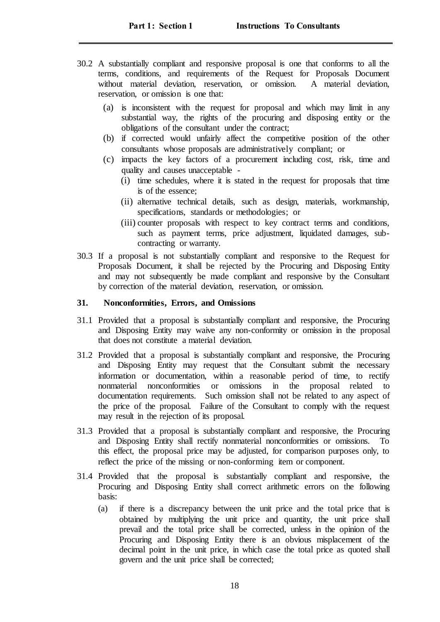- 30.2 A substantially compliant and responsive proposal is one that conforms to all the terms, conditions, and requirements of the Request for Proposals Document without material deviation, reservation, or omission. A material deviation, reservation, or omission is one that:
	- (a) is inconsistent with the request for proposal and which may limit in any substantial way, the rights of the procuring and disposing entity or the obligations of the consultant under the contract;
	- (b) if corrected would unfairly affect the competitive position of the other consultants whose proposals are administratively compliant; or
	- (c) impacts the key factors of a procurement including cost, risk, time and quality and causes unacceptable -
		- (i) time schedules, where it is stated in the request for proposals that time is of the essence;
		- (ii) alternative technical details, such as design, materials, workmanship, specifications, standards or methodologies; or
		- (iii) counter proposals with respect to key contract terms and conditions, such as payment terms, price adjustment, liquidated damages, subcontracting or warranty.
- 30.3 If a proposal is not substantially compliant and responsive to the Request for Proposals Document, it shall be rejected by the Procuring and Disposing Entity and may not subsequently be made compliant and responsive by the Consultant by correction of the material deviation, reservation, or omission.

#### <span id="page-17-0"></span>**31. Nonconformities, Errors, and Omissions**

- 31.1 Provided that a proposal is substantially compliant and responsive, the Procuring and Disposing Entity may waive any non-conformity or omission in the proposal that does not constitute a material deviation.
- 31.2 Provided that a proposal is substantially compliant and responsive, the Procuring and Disposing Entity may request that the Consultant submit the necessary information or documentation, within a reasonable period of time, to rectify nonmaterial nonconformities or omissions in the proposal related to documentation requirements. Such omission shall not be related to any aspect of the price of the proposal. Failure of the Consultant to comply with the request may result in the rejection of its proposal.
- 31.3 Provided that a proposal is substantially compliant and responsive, the Procuring and Disposing Entity shall rectify nonmaterial nonconformities or omissions. this effect, the proposal price may be adjusted, for comparison purposes only, to reflect the price of the missing or non-conforming item or component.
- 31.4 Provided that the proposal is substantially compliant and responsive, the Procuring and Disposing Entity shall correct arithmetic errors on the following basis:
	- (a) if there is a discrepancy between the unit price and the total price that is obtained by multiplying the unit price and quantity, the unit price shall prevail and the total price shall be corrected, unless in the opinion of the Procuring and Disposing Entity there is an obvious misplacement of the decimal point in the unit price, in which case the total price as quoted shall govern and the unit price shall be corrected;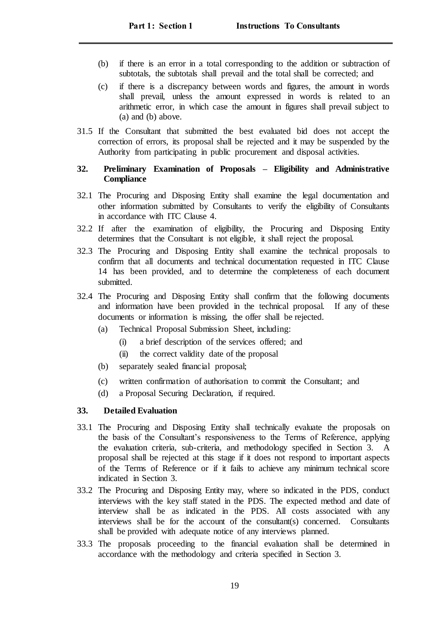- (b) if there is an error in a total corresponding to the addition or subtraction of subtotals, the subtotals shall prevail and the total shall be corrected; and
- (c) if there is a discrepancy between words and figures, the amount in words shall prevail, unless the amount expressed in words is related to an arithmetic error, in which case the amount in figures shall prevail subject to (a) and (b) above.
- 31.5 If the Consultant that submitted the best evaluated bid does not accept the correction of errors, its proposal shall be rejected and it may be suspended by the Authority from participating in public procurement and disposal activities.

### <span id="page-18-0"></span>**32. Preliminary Examination of Proposals – Eligibility and Administrative Compliance**

- 32.1 The Procuring and Disposing Entity shall examine the legal documentation and other information submitted by Consultants to verify the eligibility of Consultants in accordance with ITC Clause 4.
- 32.2 If after the examination of eligibility, the Procuring and Disposing Entity determines that the Consultant is not eligible, it shall reject the proposal.
- 32.3 The Procuring and Disposing Entity shall examine the technical proposals to confirm that all documents and technical documentation requested in ITC Clause 14 has been provided, and to determine the completeness of each document submitted.
- 32.4 The Procuring and Disposing Entity shall confirm that the following documents and information have been provided in the technical proposal. If any of these documents or information is missing, the offer shall be rejected.
	- (a) Technical Proposal Submission Sheet, including:
		- (i) a brief description of the services offered; and
		- (ii) the correct validity date of the proposal
	- (b) separately sealed financial proposal;
	- (c) written confirmation of authorisation to commit the Consultant; and
	- (d) a Proposal Securing Declaration, if required.

#### <span id="page-18-1"></span>**33. Detailed Evaluation**

- 33.1 The Procuring and Disposing Entity shall technically evaluate the proposals on the basis of the Consultant's responsiveness to the Terms of Reference, applying the evaluation criteria, sub-criteria, and methodology specified in Section 3. A proposal shall be rejected at this stage if it does not respond to important aspects of the Terms of Reference or if it fails to achieve any minimum technical score indicated in Section 3.
- 33.2 The Procuring and Disposing Entity may, where so indicated in the PDS, conduct interviews with the key staff stated in the PDS. The expected method and date of interview shall be as indicated in the PDS. All costs associated with any interviews shall be for the account of the consultant(s) concerned. Consultants shall be provided with adequate notice of any interviews planned.
- 33.3 The proposals proceeding to the financial evaluation shall be determined in accordance with the methodology and criteria specified in Section 3.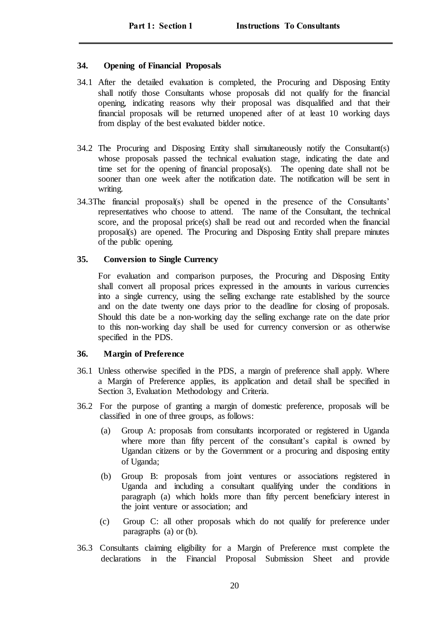#### <span id="page-19-0"></span>**34. Opening of Financial Proposals**

- 34.1 After the detailed evaluation is completed, the Procuring and Disposing Entity shall notify those Consultants whose proposals did not qualify for the financial opening, indicating reasons why their proposal was disqualified and that their financial proposals will be returned unopened after of at least 10 working days from display of the best evaluated bidder notice.
- 34.2 The Procuring and Disposing Entity shall simultaneously notify the Consultant(s) whose proposals passed the technical evaluation stage, indicating the date and time set for the opening of financial proposal(s). The opening date shall not be sooner than one week after the notification date. The notification will be sent in writing.
- 34.3The financial proposal(s) shall be opened in the presence of the Consultants' representatives who choose to attend. The name of the Consultant, the technical score, and the proposal price(s) shall be read out and recorded when the financial proposal(s) are opened. The Procuring and Disposing Entity shall prepare minutes of the public opening.

#### <span id="page-19-1"></span>**35. Conversion to Single Currency**

For evaluation and comparison purposes, the Procuring and Disposing Entity shall convert all proposal prices expressed in the amounts in various currencies into a single currency, using the selling exchange rate established by the source and on the date twenty one days prior to the deadline for closing of proposals. Should this date be a non-working day the selling exchange rate on the date prior to this non-working day shall be used for currency conversion or as otherwise specified in the PDS.

## <span id="page-19-2"></span>**36. Margin of Preference**

- 36.1 Unless otherwise specified in the PDS, a margin of preference shall apply. Where a Margin of Preference applies, its application and detail shall be specified in Section 3, Evaluation Methodology and Criteria.
- 36.2 For the purpose of granting a margin of domestic preference, proposals will be classified in one of three groups, as follows:
	- (a) Group A: proposals from consultants incorporated or registered in Uganda where more than fifty percent of the consultant's capital is owned by Ugandan citizens or by the Government or a procuring and disposing entity of Uganda;
	- (b) Group B: proposals from joint ventures or associations registered in Uganda and including a consultant qualifying under the conditions in paragraph (a) which holds more than fifty percent beneficiary interest in the joint venture or association; and
	- (c) Group C: all other proposals which do not qualify for preference under paragraphs (a) or (b).
- 36.3 Consultants claiming eligibility for a Margin of Preference must complete the declarations in the Financial Proposal Submission Sheet and provide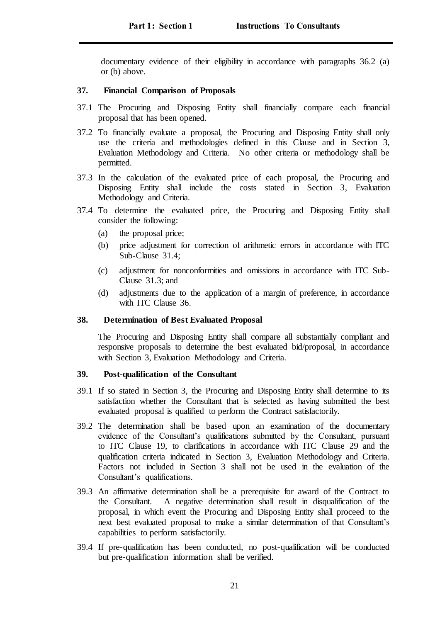documentary evidence of their eligibility in accordance with paragraphs 36.2 (a) or (b) above.

#### <span id="page-20-0"></span>**37. Financial Comparison of Proposals**

- 37.1 The Procuring and Disposing Entity shall financially compare each financial proposal that has been opened.
- 37.2 To financially evaluate a proposal, the Procuring and Disposing Entity shall only use the criteria and methodologies defined in this Clause and in Section 3, Evaluation Methodology and Criteria. No other criteria or methodology shall be permitted.
- 37.3 In the calculation of the evaluated price of each proposal, the Procuring and Disposing Entity shall include the costs stated in Section 3, Evaluation Methodology and Criteria.
- 37.4 To determine the evaluated price, the Procuring and Disposing Entity shall consider the following:
	- (a) the proposal price;
	- (b) price adjustment for correction of arithmetic errors in accordance with ITC Sub-Clause 31.4;
	- (c) adjustment for nonconformities and omissions in accordance with ITC Sub-Clause 31.3; and
	- (d) adjustments due to the application of a margin of preference, in accordance with ITC Clause 36.

### <span id="page-20-1"></span>**38. Determination of Best Evaluated Proposal**

The Procuring and Disposing Entity shall compare all substantially compliant and responsive proposals to determine the best evaluated bid/proposal, in accordance with Section 3, Evaluation Methodology and Criteria.

#### <span id="page-20-2"></span>**39. Post-qualification of the Consultant**

- 39.1 If so stated in Section 3, the Procuring and Disposing Entity shall determine to its satisfaction whether the Consultant that is selected as having submitted the best evaluated proposal is qualified to perform the Contract satisfactorily.
- 39.2 The determination shall be based upon an examination of the documentary evidence of the Consultant's qualifications submitted by the Consultant, pursuant to ITC Clause 19, to clarifications in accordance with ITC Clause 29 and the qualification criteria indicated in Section 3, Evaluation Methodology and Criteria. Factors not included in Section 3 shall not be used in the evaluation of the Consultant's qualifications.
- 39.3 An affirmative determination shall be a prerequisite for award of the Contract to the Consultant. A negative determination shall result in disqualification of the proposal, in which event the Procuring and Disposing Entity shall proceed to the next best evaluated proposal to make a similar determination of that Consultant's capabilities to perform satisfactorily.
- 39.4 If pre-qualification has been conducted, no post-qualification will be conducted but pre-qualification information shall be verified.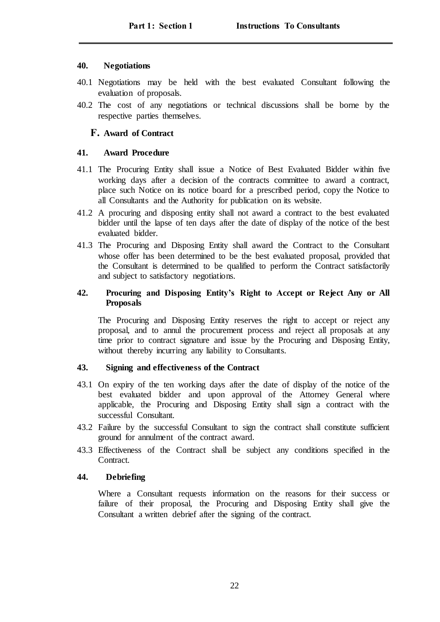## <span id="page-21-0"></span>**40. Negotiations**

- 40.1 Negotiations may be held with the best evaluated Consultant following the evaluation of proposals.
- 40.2 The cost of any negotiations or technical discussions shall be borne by the respective parties themselves.

## <span id="page-21-1"></span>**F. Award of Contract**

## <span id="page-21-2"></span>**41. Award Procedure**

- 41.1 The Procuring Entity shall issue a Notice of Best Evaluated Bidder within five working days after a decision of the contracts committee to award a contract, place such Notice on its notice board for a prescribed period, copy the Notice to all Consultants and the Authority for publication on its website.
- 41.2 A procuring and disposing entity shall not award a contract to the best evaluated bidder until the lapse of ten days after the date of display of the notice of the best evaluated bidder.
- 41.3 The Procuring and Disposing Entity shall award the Contract to the Consultant whose offer has been determined to be the best evaluated proposal, provided that the Consultant is determined to be qualified to perform the Contract satisfactorily and subject to satisfactory negotiations.

## <span id="page-21-3"></span>**42. Procuring and Disposing Entity's Right to Accept or Reject Any or All Proposals**

The Procuring and Disposing Entity reserves the right to accept or reject any proposal, and to annul the procurement process and reject all proposals at any time prior to contract signature and issue by the Procuring and Disposing Entity, without thereby incurring any liability to Consultants.

## <span id="page-21-4"></span>**43. Signing and effectiveness of the Contract**

- 43.1 On expiry of the ten working days after the date of display of the notice of the best evaluated bidder and upon approval of the Attorney General where applicable, the Procuring and Disposing Entity shall sign a contract with the successful Consultant.
- 43.2 Failure by the successful Consultant to sign the contract shall constitute sufficient ground for annulment of the contract award.
- 43.3 Effectiveness of the Contract shall be subject any conditions specified in the Contract.

## <span id="page-21-5"></span>**44. Debriefing**

Where a Consultant requests information on the reasons for their success or failure of their proposal, the Procuring and Disposing Entity shall give the Consultant a written debrief after the signing of the contract.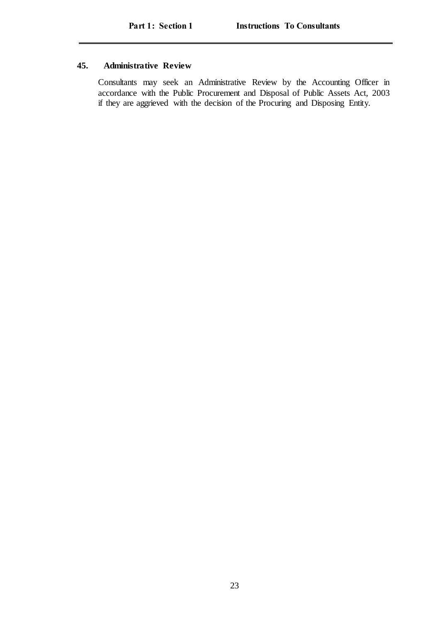## <span id="page-22-0"></span>**45. Administrative Review**

Consultants may seek an Administrative Review by the Accounting Officer in accordance with the Public Procurement and Disposal of Public Assets Act, 2003 if they are aggrieved with the decision of the Procuring and Disposing Entity.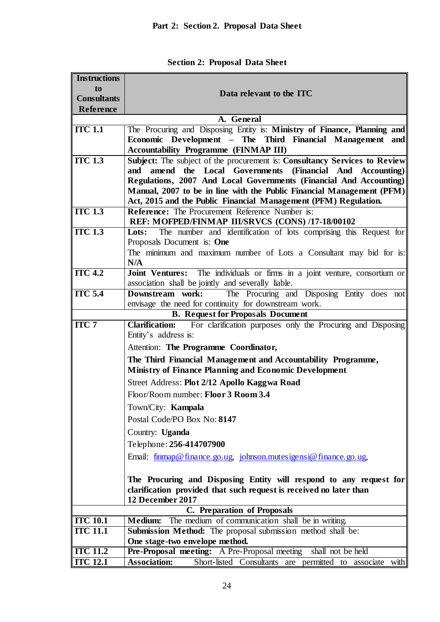| <b>Instructions</b> |                                                                                                                                          |  |  |
|---------------------|------------------------------------------------------------------------------------------------------------------------------------------|--|--|
| to                  | Data relevant to the ITC                                                                                                                 |  |  |
| <b>Consultants</b>  |                                                                                                                                          |  |  |
| Reference           |                                                                                                                                          |  |  |
|                     | A. General                                                                                                                               |  |  |
| <b>ITC 1.1</b>      | The Procuring and Disposing Entity is: Ministry of Finance, Planning and                                                                 |  |  |
|                     | Economic Development - The Third Financial Management and                                                                                |  |  |
|                     | <b>Accountability Programme (FINMAP III)</b>                                                                                             |  |  |
| $ITC$ 1.3           | Subject: The subject of the procurement is: Consultancy Services to Review                                                               |  |  |
|                     | amend the Local Governments (Financial And Accounting)<br>and                                                                            |  |  |
|                     | Regulations, 2007 And Local Governments (Financial And Accounting)                                                                       |  |  |
|                     | Manual, 2007 to be in line with the Public Financial Management (PFM)<br>Act, 2015 and the Public Financial Management (PFM) Regulation. |  |  |
| $ITC$ 1.3           | <b>Reference:</b> The Procurement Reference Number is:                                                                                   |  |  |
|                     | REF: MOFPED/FINMAP III/SRVCS (CONS) /17-18/00102                                                                                         |  |  |
| $ITC$ 1.3           | The number and identification of lots comprising this Request for<br>Lots:                                                               |  |  |
|                     | Proposals Document is: One                                                                                                               |  |  |
|                     | The minimum and maximum number of Lots a Consultant may bid for is:                                                                      |  |  |
|                     | N/A                                                                                                                                      |  |  |
| ITC <sub>4.2</sub>  | Joint Ventures: The individuals or firms in a joint venture, consortium or                                                               |  |  |
|                     | association shall be jointly and severally liable.                                                                                       |  |  |
| <b>ITC 5.4</b>      | Downstream work:<br>The Procuring and Disposing Entity does not                                                                          |  |  |
|                     | envisage the need for continuity for downstream work.                                                                                    |  |  |
|                     | <b>B.</b> Request for Proposals Document                                                                                                 |  |  |
| <b>ITC 7</b>        | <b>Clarification:</b><br>For clarification purposes only the Procuring and Disposing<br>Entity's address is:                             |  |  |
|                     | Attention: The Programme Coordinator,                                                                                                    |  |  |
|                     | The Third Financial Management and Accountability Programme,                                                                             |  |  |
|                     | <b>Ministry of Finance Planning and Economic Development</b>                                                                             |  |  |
|                     | Street Address: Plot 2/12 Apollo Kaggwa Road                                                                                             |  |  |
|                     | Floor/Room number: Floor 3 Room 3.4                                                                                                      |  |  |
|                     | Town/City: Kampala                                                                                                                       |  |  |
|                     | Postal Code/PO Box No: 8147                                                                                                              |  |  |
|                     |                                                                                                                                          |  |  |
|                     | Country: Uganda                                                                                                                          |  |  |
|                     | Telephone: 256-414707900                                                                                                                 |  |  |
|                     | Email: finmap@finance.go.ug, johnson.mutesigensi@finance.go.ug,                                                                          |  |  |
|                     | The Procuring and Disposing Entity will respond to any request for                                                                       |  |  |
|                     | clarification provided that such request is received no later than<br>12 December 2017                                                   |  |  |
|                     | C. Preparation of Proposals                                                                                                              |  |  |
| <b>ITC 10.1</b>     | The medium of communication shall be in writing.<br><b>Medium:</b>                                                                       |  |  |
| <b>ITC 11.1</b>     | Submission Method: The proposal submission method shall be:                                                                              |  |  |
|                     | One stage-two envelope method.                                                                                                           |  |  |
| <b>ITC 11.2</b>     | Pre-Proposal meeting: A Pre-Proposal meeting<br>shall not be held                                                                        |  |  |
| <b>ITC 12.1</b>     | Short-listed Consultants are permitted to associate with<br><b>Association:</b>                                                          |  |  |

**Section 2: Proposal Data Sheet**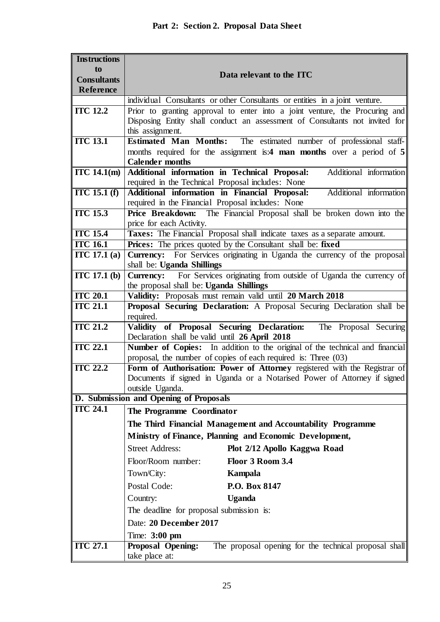| <b>Instructions</b> |                                                                                                                                         |  |  |
|---------------------|-----------------------------------------------------------------------------------------------------------------------------------------|--|--|
| to                  | Data relevant to the ITC                                                                                                                |  |  |
| <b>Consultants</b>  |                                                                                                                                         |  |  |
| Reference           |                                                                                                                                         |  |  |
|                     | individual Consultants or other Consultants or entities in a joint venture.                                                             |  |  |
| <b>ITC 12.2</b>     | Prior to granting approval to enter into a joint venture, the Procuring and                                                             |  |  |
|                     | Disposing Entity shall conduct an assessment of Consultants not invited for<br>this assignment.                                         |  |  |
| <b>ITC 13.1</b>     | Estimated Man Months: The estimated number of professional staff-                                                                       |  |  |
|                     | months required for the assignment is:4 man months over a period of 5                                                                   |  |  |
|                     | <b>Calender months</b>                                                                                                                  |  |  |
| ITC $14.1(m)$       | Additional information in Technical Proposal:<br>Additional information                                                                 |  |  |
|                     | required in the Technical Proposal includes: None                                                                                       |  |  |
| $TC$ 15.1 $(f)$     | Additional information in Financial Proposal:<br>Additional information                                                                 |  |  |
|                     | required in the Financial Proposal includes: None                                                                                       |  |  |
| <b>ITC 15.3</b>     | Price Breakdown: The Financial Proposal shall be broken down into the                                                                   |  |  |
| <b>ITC 15.4</b>     | price for each Activity.                                                                                                                |  |  |
| <b>ITC 16.1</b>     | Taxes: The Financial Proposal shall indicate taxes as a separate amount.<br>Prices: The prices quoted by the Consultant shall be: fixed |  |  |
| ITC 17.1 (a)        | Currency: For Services originating in Uganda the currency of the proposal                                                               |  |  |
|                     | shall be: Uganda Shillings                                                                                                              |  |  |
| ITC 17.1(b)         | For Services originating from outside of Uganda the currency of<br><b>Currency:</b>                                                     |  |  |
|                     | the proposal shall be: Uganda Shillings                                                                                                 |  |  |
| <b>ITC 20.1</b>     | Validity: Proposals must remain valid until 20 March 2018                                                                               |  |  |
| <b>ITC 21.1</b>     | Proposal Securing Declaration: A Proposal Securing Declaration shall be                                                                 |  |  |
|                     | required.                                                                                                                               |  |  |
| <b>ITC 21.2</b>     | Validity of Proposal Securing Declaration:<br>The Proposal Securing                                                                     |  |  |
| <b>ITC 22.1</b>     | Declaration shall be valid until 26 April 2018<br>Number of Copies: In addition to the original of the technical and financial          |  |  |
|                     | proposal, the number of copies of each required is: Three (03)                                                                          |  |  |
| <b>ITC 22.2</b>     | Form of Authorisation: Power of Attorney registered with the Registrar of                                                               |  |  |
|                     | Documents if signed in Uganda or a Notarised Power of Attorney if signed                                                                |  |  |
|                     | outside Uganda.                                                                                                                         |  |  |
|                     | D. Submission and Opening of Proposals                                                                                                  |  |  |
| <b>ITC 24.1</b>     | The Programme Coordinator                                                                                                               |  |  |
|                     | The Third Financial Management and Accountability Programme                                                                             |  |  |
|                     | Ministry of Finance, Planning and Economic Development,                                                                                 |  |  |
|                     | <b>Street Address:</b><br>Plot 2/12 Apollo Kaggwa Road                                                                                  |  |  |
|                     | Floor/Room number:<br>Floor 3 Room 3.4                                                                                                  |  |  |
|                     | Town/City:<br><b>Kampala</b>                                                                                                            |  |  |
|                     | Postal Code:<br>P.O. Box 8147                                                                                                           |  |  |
|                     | <b>Uganda</b><br>Country:                                                                                                               |  |  |
|                     | The deadline for proposal submission is:                                                                                                |  |  |
|                     | Date: 20 December 2017                                                                                                                  |  |  |
|                     | Time: 3:00 pm                                                                                                                           |  |  |
| <b>ITC 27.1</b>     | The proposal opening for the technical proposal shall<br><b>Proposal Opening:</b>                                                       |  |  |
|                     | take place at:                                                                                                                          |  |  |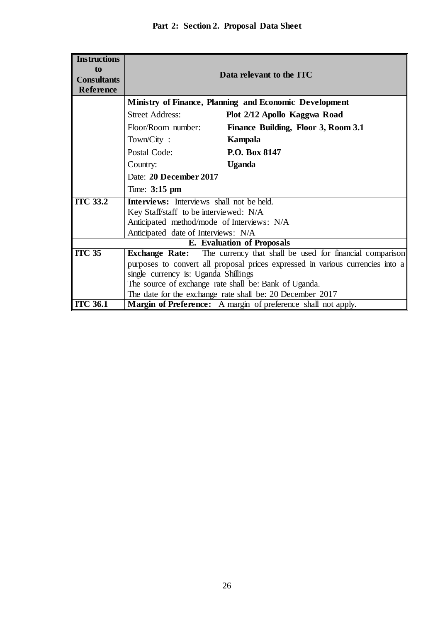| <b>Instructions</b>               |                                                                                |  |
|-----------------------------------|--------------------------------------------------------------------------------|--|
| to                                |                                                                                |  |
| <b>Consultants</b>                | Data relevant to the ITC                                                       |  |
| <b>Reference</b>                  |                                                                                |  |
|                                   |                                                                                |  |
|                                   | <b>Ministry of Finance, Planning and Economic Development</b>                  |  |
|                                   | <b>Street Address:</b><br>Plot 2/12 Apollo Kaggwa Road                         |  |
|                                   | Floor/Room number:<br>Finance Building, Floor 3, Room 3.1                      |  |
|                                   | Town/City:<br>Kampala                                                          |  |
|                                   | P.O. Box 8147<br>Postal Code:                                                  |  |
|                                   | <b>Uganda</b><br>Country:                                                      |  |
|                                   | Date: 20 December 2017                                                         |  |
|                                   | Time: $3:15 \text{ pm}$                                                        |  |
| <b>ITC 33.2</b>                   | Interviews: Interviews shall not be held.                                      |  |
|                                   | Key Staff/staff to be interviewed: N/A                                         |  |
|                                   | Anticipated method/mode of Interviews: N/A                                     |  |
|                                   | Anticipated date of Interviews: N/A                                            |  |
| <b>E.</b> Evaluation of Proposals |                                                                                |  |
| <b>ITC 35</b>                     | <b>Exchange Rate:</b> The currency that shall be used for financial comparison |  |
|                                   | purposes to convert all proposal prices expressed in various currencies into a |  |
|                                   | single currency is: Uganda Shillings                                           |  |
|                                   | The source of exchange rate shall be: Bank of Uganda.                          |  |
|                                   | The date for the exchange rate shall be: 20 December 2017                      |  |
| <b>ITC 36.1</b>                   | Margin of Preference: A margin of preference shall not apply.                  |  |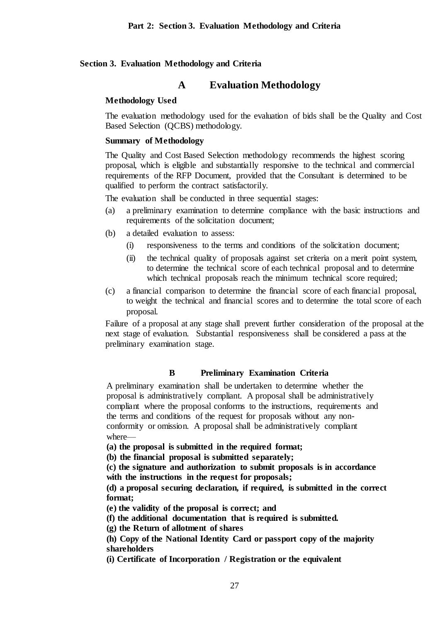## **Section 3. Evaluation Methodology and Criteria**

## **A Evaluation Methodology**

## **Methodology Used**

The evaluation methodology used for the evaluation of bids shall be the Quality and Cost Based Selection (QCBS) methodology.

#### **Summary of Methodology**

The Quality and Cost Based Selection methodology recommends the highest scoring proposal, which is eligible and substantially responsive to the technical and commercial requirements of the RFP Document, provided that the Consultant is determined to be qualified to perform the contract satisfactorily.

The evaluation shall be conducted in three sequential stages:

- (a) a preliminary examination to determine compliance with the basic instructions and requirements of the solicitation document;
- (b) a detailed evaluation to assess:
	- (i) responsiveness to the terms and conditions of the solicitation document;
	- (ii) the technical quality of proposals against set criteria on a merit point system, to determine the technical score of each technical proposal and to determine which technical proposals reach the minimum technical score required:
- (c) a financial comparison to determine the financial score of each financial proposal, to weight the technical and financial scores and to determine the total score of each proposal.

Failure of a proposal at any stage shall prevent further consideration of the proposal at the next stage of evaluation. Substantial responsiveness shall be considered a pass at the preliminary examination stage.

## **B Preliminary Examination Criteria**

A preliminary examination shall be undertaken to determine whether the proposal is administratively compliant. A proposal shall be administratively compliant where the proposal conforms to the instructions, requirements and the terms and conditions of the request for proposals without any nonconformity or omission. A proposal shall be administratively compliant where—

**(a) the proposal is submitted in the required format;**

**(b) the financial proposal is submitted separately;**

**(c) the signature and authorization to submit proposals is in accordance with the instructions in the request for proposals;**

**(d) a proposal securing declaration, if required, is submitted in the correct format;**

**(e) the validity of the proposal is correct; and**

**(f) the additional documentation that is required is submitted.**

**(g) the Return of allotment of shares**

**(h) Copy of the National Identity Card or passport copy of the majority shareholders**

**(i) Certificate of Incorporation / Registration or the equivalent**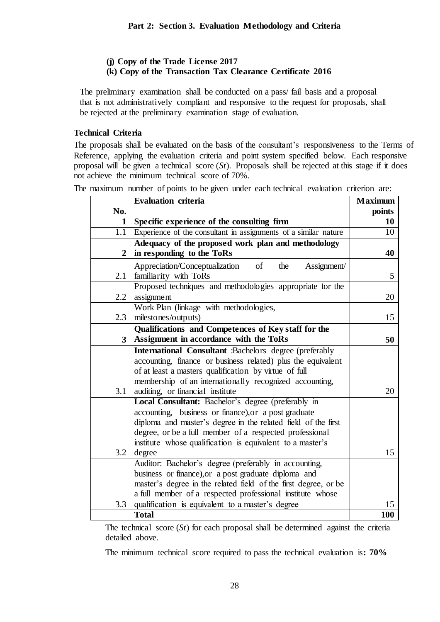## **(j) Copy of the Trade License 2017**

## **(k) Copy of the Transaction Tax Clearance Certificate 2016**

The preliminary examination shall be conducted on a pass/ fail basis and a proposal that is not administratively compliant and responsive to the request for proposals, shall be rejected at the preliminary examination stage of evaluation.

## **Technical Criteria**

The proposals shall be evaluated on the basis of the consultant's responsiveness to the Terms of Reference, applying the evaluation criteria and point system specified below. Each responsive proposal will be given a technical score (*St*). Proposals shall be rejected at this stage if it does not achieve the minimum technical score of 70%.

The maximum number of points to be given under each technical evaluation criterion are:

|                | <b>Evaluation criteria</b>                                      | <b>Maximum</b> |
|----------------|-----------------------------------------------------------------|----------------|
| No.            |                                                                 | points         |
| 1              | Specific experience of the consulting firm                      | 10             |
| 1.1            | Experience of the consultant in assignments of a similar nature | 10             |
|                | Adequacy of the proposed work plan and methodology              |                |
| $\overline{2}$ | in responding to the ToRs                                       | 40             |
|                | Appreciation/Conceptualization<br>of<br>Assignment/<br>the      |                |
| 2.1            | familiarity with ToRs                                           | 5              |
|                | Proposed techniques and methodologies appropriate for the       |                |
| 2.2            | assignment                                                      | 20             |
|                | Work Plan (linkage with methodologies,                          |                |
| 2.3            | milestones/outputs)                                             | 15             |
|                | Qualifications and Competences of Key staff for the             |                |
| 3              | Assignment in accordance with the ToRs                          | 50             |
|                | International Consultant :Bachelors degree (preferably          |                |
|                | accounting, finance or business related) plus the equivalent    |                |
|                | of at least a masters qualification by virtue of full           |                |
|                | membership of an internationally recognized accounting,         |                |
| 3.1            | auditing, or financial institute                                | 20             |
|                | Local Consultant: Bachelor's degree (preferably in              |                |
|                | accounting, business or finance), or a post graduate            |                |
|                | diploma and master's degree in the related field of the first   |                |
|                | degree, or be a full member of a respected professional         |                |
|                | institute whose qualification is equivalent to a master's       |                |
| 3.2            | degree                                                          | 15             |
|                | Auditor: Bachelor's degree (preferably in accounting,           |                |
|                | business or finance), or a post graduate diploma and            |                |
|                | master's degree in the related field of the first degree, or be |                |
|                | a full member of a respected professional institute whose       |                |
| 3.3            | qualification is equivalent to a master's degree                | 15             |
|                | <b>Total</b>                                                    | <b>100</b>     |

The technical score (*St*) for each proposal shall be determined against the criteria detailed above.

The minimum technical score required to pass the technical evaluation is**: 70%**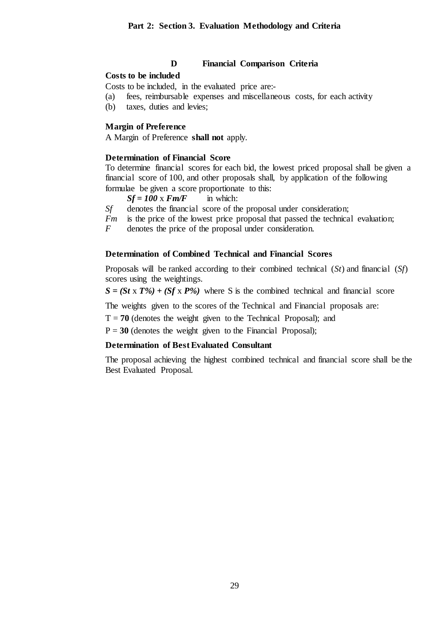## **D Financial Comparison Criteria**

## **Costs to be included**

Costs to be included, in the evaluated price are:-

- (a) fees, reimbursable expenses and miscellaneous costs, for each activity
- (b) taxes, duties and levies;

### **Margin of Preference**

A Margin of Preference **shall not** apply.

## **Determination of Financial Score**

To determine financial scores for each bid, the lowest priced proposal shall be given a financial score of 100, and other proposals shall, by application of the following formulae be given a score proportionate to this:<br> $Sf = 100 \times Fm/F$  in which:

 $Sf = 100 \text{ x}$  *Fm/F* 

*Sf* denotes the financial score of the proposal under consideration;

*Fm* is the price of the lowest price proposal that passed the technical evaluation;

*F* denotes the price of the proposal under consideration.

#### **Determination of Combined Technical and Financial Scores**

Proposals will be ranked according to their combined technical (*St*) and financial (*Sf*) scores using the weightings.

 $S = (St \times T\%) + (Sf \times P\%)$  where S is the combined technical and financial score

The weights given to the scores of the Technical and Financial proposals are:

 $T = 70$  (denotes the weight given to the Technical Proposal); and

 $P = 30$  (denotes the weight given to the Financial Proposal);

### **Determination of Best Evaluated Consultant**

The proposal achieving the highest combined technical and financial score shall be the Best Evaluated Proposal.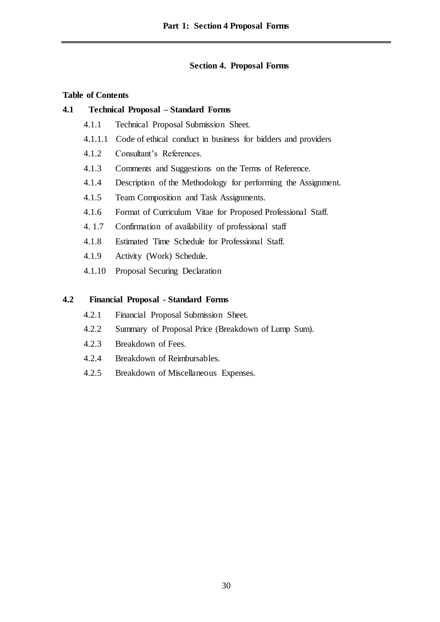## **Section 4. Proposal Forms**

## **Table of Contents**

## **4.1 Technical Proposal – Standard Forms**

- 4.1.1 Technical Proposal Submission Sheet.
- 4.1.1.1 Code of ethical conduct in business for bidders and providers
- 4.1.2 Consultant's References.
- 4.1.3 Comments and Suggestions on the Terms of Reference.
- 4.1.4 Description of the Methodology for performing the Assignment.
- 4.1.5 Team Composition and Task Assignments.
- 4.1.6 Format of Curriculum Vitae for Proposed Professional Staff.
- 4. 1.7 Confirmation of availability of professional staff
- 4.1.8 Estimated Time Schedule for Professional Staff.
- 4.1.9 Activity (Work) Schedule.
- 4.1.10 Proposal Securing Declaration

## **4.2 Financial Proposal - Standard Forms**

- 4.2.1 Financial Proposal Submission Sheet.
- 4.2.2 Summary of Proposal Price (Breakdown of Lump Sum).
- 4.2.3 Breakdown of Fees.
- 4.2.4 Breakdown of Reimbursables.
- 4.2.5 Breakdown of Miscellaneous Expenses.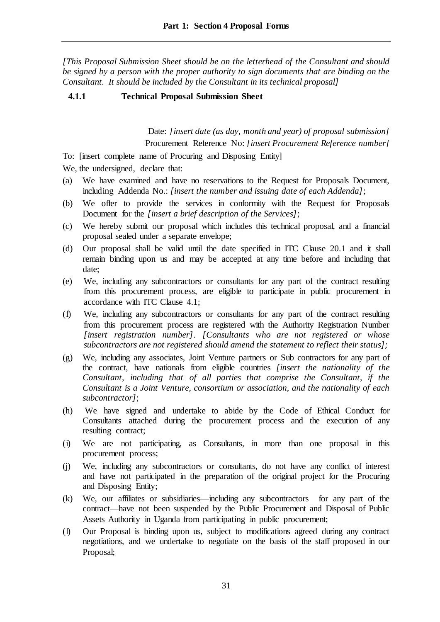*[This Proposal Submission Sheet should be on the letterhead of the Consultant and should be signed by a person with the proper authority to sign documents that are binding on the Consultant. It should be included by the Consultant in its technical proposal]*

## **4.1.1 Technical Proposal Submission Sheet**

Date: *[insert date (as day, month and year) of proposal submission]* Procurement Reference No: *[insert Procurement Reference number]*

To: [insert complete name of Procuring and Disposing Entity]

We, the undersigned, declare that:

- (a) We have examined and have no reservations to the Request for Proposals Document, including Addenda No.: *[insert the number and issuing date of each Addenda]*;
- (b) We offer to provide the services in conformity with the Request for Proposals Document for the *[insert a brief description of the Services]*;
- (c) We hereby submit our proposal which includes this technical proposal, and a financial proposal sealed under a separate envelope;
- (d) Our proposal shall be valid until the date specified in ITC Clause 20.1 and it shall remain binding upon us and may be accepted at any time before and including that date;
- (e) We, including any subcontractors or consultants for any part of the contract resulting from this procurement process, are eligible to participate in public procurement in accordance with ITC Clause 4.1;
- (f) We, including any subcontractors or consultants for any part of the contract resulting from this procurement process are registered with the Authority Registration Number *[insert registration number]*. *[Consultants who are not registered or whose subcontractors are not registered should amend the statement to reflect their status];*
- (g) We, including any associates, Joint Venture partners or Sub contractors for any part of the contract, have nationals from eligible countries *[insert the nationality of the Consultant, including that of all parties that comprise the Consultant, if the Consultant is a Joint Venture, consortium or association, and the nationality of each subcontractor]*;
- (h) We have signed and undertake to abide by the Code of Ethical Conduct for Consultants attached during the procurement process and the execution of any resulting contract;
- (i) We are not participating, as Consultants, in more than one proposal in this procurement process;
- (j) We, including any subcontractors or consultants, do not have any conflict of interest and have not participated in the preparation of the original project for the Procuring and Disposing Entity;
- (k) We, our affiliates or subsidiaries—including any subcontractors for any part of the contract—have not been suspended by the Public Procurement and Disposal of Public Assets Authority in Uganda from participating in public procurement;
- (l) Our Proposal is binding upon us, subject to modifications agreed during any contract negotiations, and we undertake to negotiate on the basis of the staff proposed in our Proposal;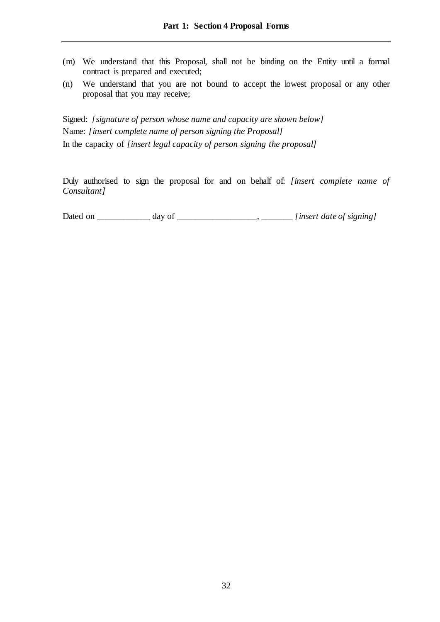- (m) We understand that this Proposal, shall not be binding on the Entity until a formal contract is prepared and executed;
- (n) We understand that you are not bound to accept the lowest proposal or any other proposal that you may receive;

Signed: *[signature of person whose name and capacity are shown below]* Name: *[insert complete name of person signing the Proposal]* In the capacity of *[insert legal capacity of person signing the proposal]*

Duly authorised to sign the proposal for and on behalf of: *[insert complete name of Consultant]*

| Dated on | dav of |  |                          |
|----------|--------|--|--------------------------|
|          |        |  | linsert date of signing. |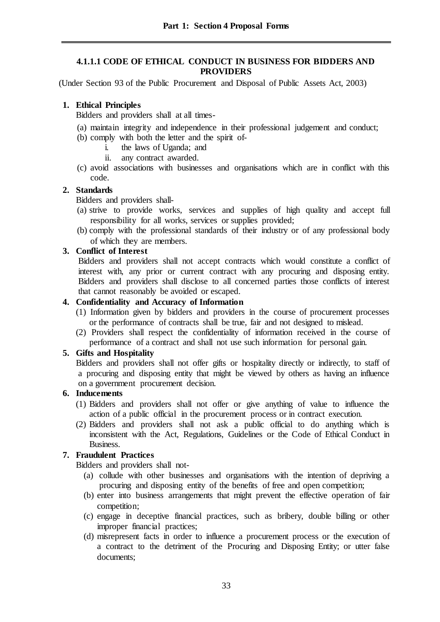## **4.1.1.1 CODE OF ETHICAL CONDUCT IN BUSINESS FOR BIDDERS AND PROVIDERS**

(Under Section 93 of the Public Procurement and Disposal of Public Assets Act, 2003)

## **1. Ethical Principles**

Bidders and providers shall at all times-

- (a) maintain integrity and independence in their professional judgement and conduct;
- (b) comply with both the letter and the spirit of
	- i. the laws of Uganda; and
	- ii. any contract awarded.
- (c) avoid associations with businesses and organisations which are in conflict with this code.

## **2. Standards**

Bidders and providers shall-

- (a) strive to provide works, services and supplies of high quality and accept full responsibility for all works, services or supplies provided;
- (b) comply with the professional standards of their industry or of any professional body of which they are members.

## **3. Conflict of Interest**

Bidders and providers shall not accept contracts which would constitute a conflict of interest with, any prior or current contract with any procuring and disposing entity. Bidders and providers shall disclose to all concerned parties those conflicts of interest that cannot reasonably be avoided or escaped.

## **4. Confidentiality and Accuracy of Information**

- (1) Information given by bidders and providers in the course of procurement processes or the performance of contracts shall be true, fair and not designed to mislead.
- (2) Providers shall respect the confidentiality of information received in the course of performance of a contract and shall not use such information for personal gain.

## **5. Gifts and Hospitality**

Bidders and providers shall not offer gifts or hospitality directly or indirectly, to staff of a procuring and disposing entity that might be viewed by others as having an influence on a government procurement decision.

## **6. Inducements**

- (1) Bidders and providers shall not offer or give anything of value to influence the action of a public official in the procurement process or in contract execution.
- (2) Bidders and providers shall not ask a public official to do anything which is inconsistent with the Act, Regulations, Guidelines or the Code of Ethical Conduct in Business.

## **7. Fraudulent Practices**

Bidders and providers shall not-

- (a) collude with other businesses and organisations with the intention of depriving a procuring and disposing entity of the benefits of free and open competition;
- (b) enter into business arrangements that might prevent the effective operation of fair competition;
- (c) engage in deceptive financial practices, such as bribery, double billing or other improper financial practices;
- (d) misrepresent facts in order to influence a procurement process or the execution of a contract to the detriment of the Procuring and Disposing Entity; or utter false documents;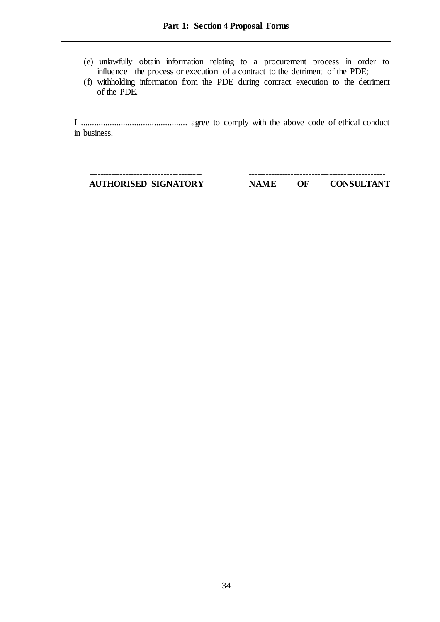- (e) unlawfully obtain information relating to a procurement process in order to influence the process or execution of a contract to the detriment of the PDE;
- (f) withholding information from the PDE during contract execution to the detriment of the PDE.

I ................................................ agree to comply with the above code of ethical conduct in business.

**--------------------------------------- -----------------------------------------------**

**AUTHORISED SIGNATORY NAME OF CONSULTANT**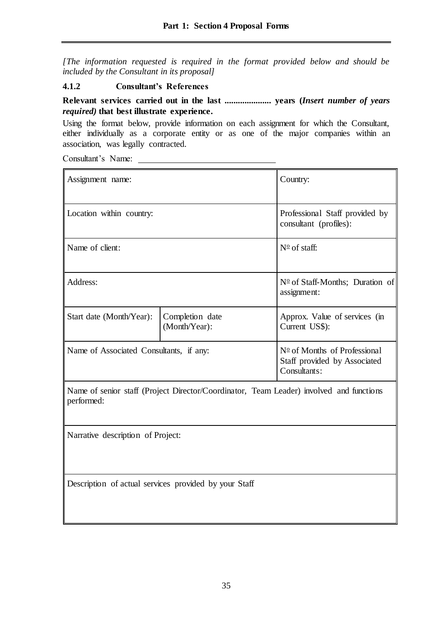*[The information requested is required in the format provided below and should be included by the Consultant in its proposal]*

## **4.1.2 Consultant's References**

## **Relevant services carried out in the last ..................... years (***Insert number of years required)* **that best illustrate experience.**

Using the format below, provide information on each assignment for which the Consultant, either individually as a corporate entity or as one of the major companies within an association, was legally contracted.

Consultant's Name:

| Assignment name:                                                                                      | Country:                         |                                                                                       |
|-------------------------------------------------------------------------------------------------------|----------------------------------|---------------------------------------------------------------------------------------|
| Location within country:                                                                              |                                  | Professional Staff provided by<br>consultant (profiles):                              |
| Name of client:                                                                                       |                                  | $N^{\circ}$ of staff:                                                                 |
| Address:                                                                                              |                                  | $N^{\circ}$ of Staff-Months; Duration of<br>assignment:                               |
| Start date (Month/Year):                                                                              | Completion date<br>(Month/Year): | Approx. Value of services (in<br>Current US\$):                                       |
| Name of Associated Consultants, if any:                                                               |                                  | $N^{\circ}$ of Months of Professional<br>Staff provided by Associated<br>Consultants: |
| Name of senior staff (Project Director/Coordinator, Team Leader) involved and functions<br>performed: |                                  |                                                                                       |
| Narrative description of Project:                                                                     |                                  |                                                                                       |

Description of actual services provided by your Staff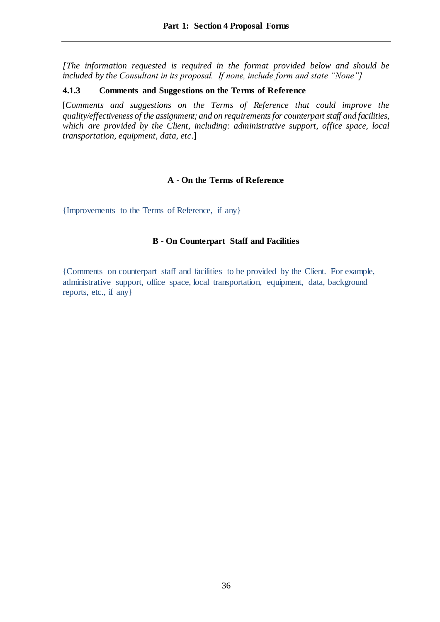*[The information requested is required in the format provided below and should be included by the Consultant in its proposal. If none, include form and state "None"]*

### **4.1.3 Comments and Suggestions on the Terms of Reference**

[*Comments and suggestions on the Terms of Reference that could improve the quality/effectiveness of the assignment; and on requirements for counterpart staff and facilities, which are provided by the Client, including: administrative support, office space, local transportation, equipment, data, etc*.]

## **A - On the Terms of Reference**

{Improvements to the Terms of Reference, if any}

## **B - On Counterpart Staff and Facilities**

{Comments on counterpart staff and facilities to be provided by the Client. For example, administrative support, office space, local transportation, equipment, data, background reports, etc., if any}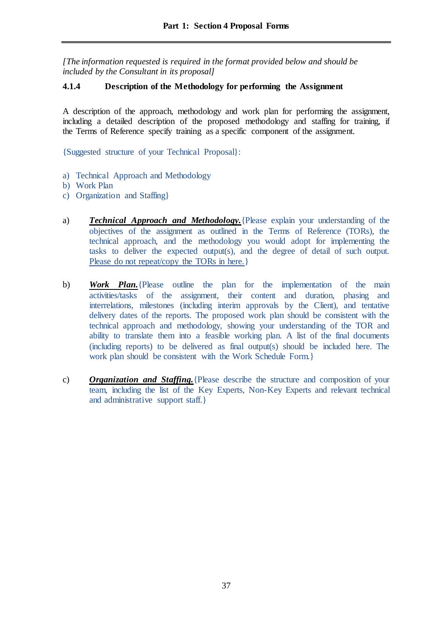*[The information requested is required in the format provided below and should be included by the Consultant in its proposal]*

## **4.1.4 Description of the Methodology for performing the Assignment**

A description of the approach, methodology and work plan for performing the assignment, including a detailed description of the proposed methodology and staffing for training, if the Terms of Reference specify training as a specific component of the assignment.

{Suggested structure of your Technical Proposal}:

- a) Technical Approach and Methodology
- b) Work Plan
- c) Organization and Staffing}
- a) *Technical Approach and Methodology.*{Please explain your understanding of the objectives of the assignment as outlined in the Terms of Reference (TORs), the technical approach, and the methodology you would adopt for implementing the tasks to deliver the expected output(s), and the degree of detail of such output. Please do not repeat/copy the TORs in here.}
- b) *Work Plan.*{Please outline the plan for the implementation of the main activities/tasks of the assignment, their content and duration, phasing and interrelations, milestones (including interim approvals by the Client), and tentative delivery dates of the reports. The proposed work plan should be consistent with the technical approach and methodology, showing your understanding of the TOR and ability to translate them into a feasible working plan. A list of the final documents (including reports) to be delivered as final output(s) should be included here. The work plan should be consistent with the Work Schedule Form.}
- c) *Organization and Staffing.*{Please describe the structure and composition of your team, including the list of the Key Experts, Non-Key Experts and relevant technical and administrative support staff.}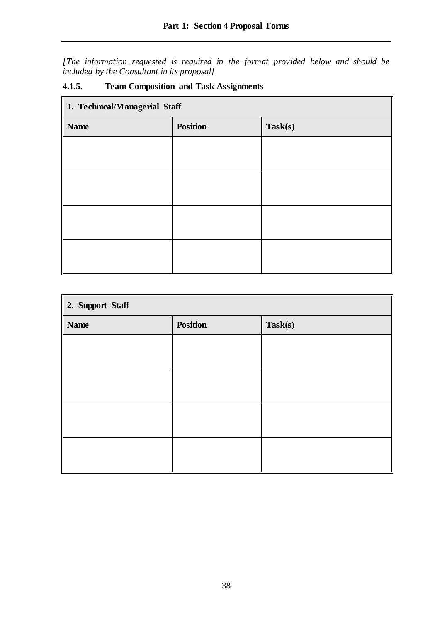*[The information requested is required in the format provided below and should be included by the Consultant in its proposal]*

| 1. Technical/Managerial Staff |                 |         |  |  |  |  |
|-------------------------------|-----------------|---------|--|--|--|--|
| <b>Name</b>                   | <b>Position</b> | Task(s) |  |  |  |  |
|                               |                 |         |  |  |  |  |
|                               |                 |         |  |  |  |  |
|                               |                 |         |  |  |  |  |
|                               |                 |         |  |  |  |  |
|                               |                 |         |  |  |  |  |
|                               |                 |         |  |  |  |  |
|                               |                 |         |  |  |  |  |
|                               |                 |         |  |  |  |  |

# **4.1.5. Team Composition and Task Assignments**

| 2. Support Staff |                 |         |  |  |  |  |
|------------------|-----------------|---------|--|--|--|--|
| <b>Name</b>      | <b>Position</b> | Task(s) |  |  |  |  |
|                  |                 |         |  |  |  |  |
|                  |                 |         |  |  |  |  |
|                  |                 |         |  |  |  |  |
|                  |                 |         |  |  |  |  |
|                  |                 |         |  |  |  |  |
|                  |                 |         |  |  |  |  |
|                  |                 |         |  |  |  |  |
|                  |                 |         |  |  |  |  |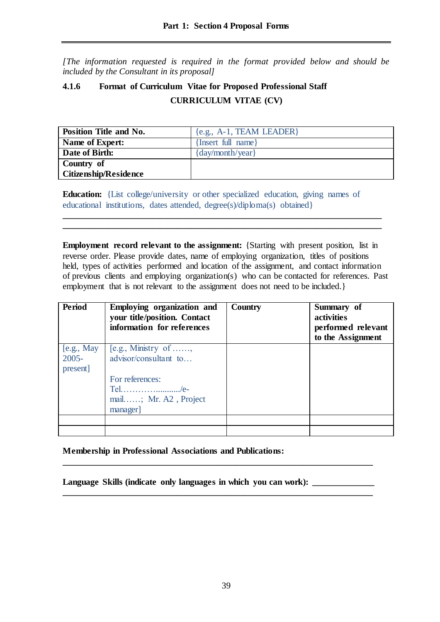*[The information requested is required in the format provided below and should be included by the Consultant in its proposal]*

# **4.1.6 Format of Curriculum Vitae for Proposed Professional Staff CURRICULUM VITAE (CV)**

| <b>Position Title and No.</b> | ${e.g., A-1, TEAM LEADER}$ |
|-------------------------------|----------------------------|
| Name of Expert:               | {Insert full name}         |
| Date of Birth:                | $\{day/month/year\}$       |
| Country of                    |                            |
| <b>Citizenship/Residence</b>  |                            |

**Education:** {List college/university or other specialized education, giving names of educational institutions, dates attended, degree(s)/diploma(s) obtained}

**\_\_\_\_\_\_\_\_\_\_\_\_\_\_\_\_\_\_\_\_\_\_\_\_\_\_\_\_\_\_\_\_\_\_\_\_\_\_\_\_\_\_\_\_\_\_\_\_\_\_\_\_\_\_\_\_\_\_\_\_\_\_\_\_\_\_\_\_\_\_\_\_ \_\_\_\_\_\_\_\_\_\_\_\_\_\_\_\_\_\_\_\_\_\_\_\_\_\_\_\_\_\_\_\_\_\_\_\_\_\_\_\_\_\_\_\_\_\_\_\_\_\_\_\_\_\_\_\_\_\_\_\_\_\_\_\_\_\_\_\_\_\_\_\_**

**Employment record relevant to the assignment:** {Starting with present position, list in reverse order. Please provide dates, name of employing organization, titles of positions held, types of activities performed and location of the assignment, and contact information of previous clients and employing organization(s) who can be contacted for references. Past employment that is not relevant to the assignment does not need to be included.}

| <b>Period</b> | Employing organization and<br>your title/position. Contact<br>information for references | Country | Summary of<br>activities<br>performed relevant<br>to the Assignment |
|---------------|------------------------------------------------------------------------------------------|---------|---------------------------------------------------------------------|
| [e.g., May    | $\overline{[e.g., M\text{inistry of} \dots \dots]}$                                      |         |                                                                     |
| $2005 -$      | advisor/consultant to                                                                    |         |                                                                     |
| present]      |                                                                                          |         |                                                                     |
|               | For references:                                                                          |         |                                                                     |
|               | Tel/e-                                                                                   |         |                                                                     |
|               | mail; Mr. A2, Project                                                                    |         |                                                                     |
|               | manager                                                                                  |         |                                                                     |
|               |                                                                                          |         |                                                                     |
|               |                                                                                          |         |                                                                     |

**Membership in Professional Associations and Publications:** 

Language Skills (indicate only languages in which you can work):

**\_\_\_\_\_\_\_\_\_\_\_\_\_\_\_\_\_\_\_\_\_\_\_\_\_\_\_\_\_\_\_\_\_\_\_\_\_\_\_\_\_\_\_\_\_\_\_\_\_\_\_\_\_\_\_\_\_\_\_\_\_\_\_\_\_\_\_\_\_\_**

**\_\_\_\_\_\_\_\_\_\_\_\_\_\_\_\_\_\_\_\_\_\_\_\_\_\_\_\_\_\_\_\_\_\_\_\_\_\_\_\_\_\_\_\_\_\_\_\_\_\_\_\_\_\_\_\_\_\_\_\_\_\_\_\_\_\_\_\_\_\_**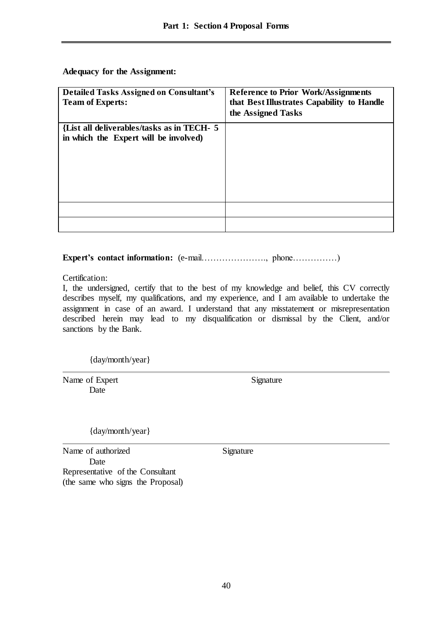**Adequacy for the Assignment:**

| <b>Detailed Tasks Assigned on Consultant's</b><br><b>Team of Experts:</b>           | <b>Reference to Prior Work/Assignments</b><br>that Best Illustrates Capability to Handle<br>the Assigned Tasks |
|-------------------------------------------------------------------------------------|----------------------------------------------------------------------------------------------------------------|
| {List all deliverables/tasks as in TECH- 5<br>in which the Expert will be involved) |                                                                                                                |
|                                                                                     |                                                                                                                |
|                                                                                     |                                                                                                                |

**Expert's contact information:** (e-mail…………………., phone……………)

Certification:

I, the undersigned, certify that to the best of my knowledge and belief, this CV correctly describes myself, my qualifications, and my experience, and I am available to undertake the assignment in case of an award. I understand that any misstatement or misrepresentation described herein may lead to my disqualification or dismissal by the Client, and/or sanctions by the Bank.

{day/month/year}

Name of Expert Signature Date

{day/month/year}

Name of authorized Signature Date Representative of the Consultant (the same who signs the Proposal)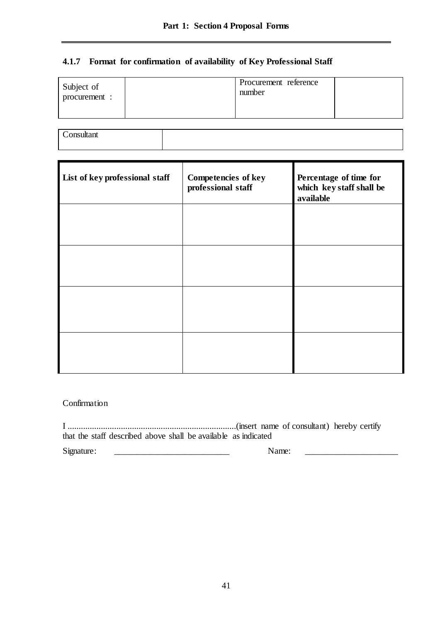## **4.1.7 Format for confirmation of availability of Key Professional Staff**

| Subject of<br>procurement : | Procurement reference<br>number |  |
|-----------------------------|---------------------------------|--|
|-----------------------------|---------------------------------|--|

**Consultant** 

| List of key professional staff | <b>Competencies of key</b><br>professional staff | Percentage of time for<br>which key staff shall be<br>available |
|--------------------------------|--------------------------------------------------|-----------------------------------------------------------------|
|                                |                                                  |                                                                 |
|                                |                                                  |                                                                 |
|                                |                                                  |                                                                 |
|                                |                                                  |                                                                 |

### Confirmation

I ............................................................................(insert name of consultant) hereby certify that the staff described above shall be available as indicated

Signature: \_\_\_\_\_\_\_\_\_\_\_\_\_\_\_\_\_\_\_\_\_\_\_\_\_\_ Name: \_\_\_\_\_\_\_\_\_\_\_\_\_\_\_\_\_\_\_\_\_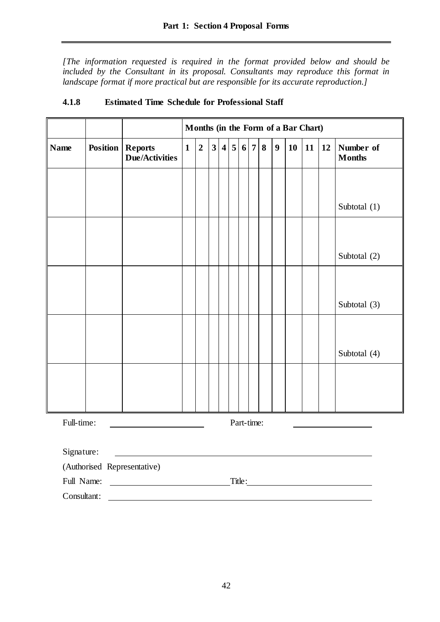*[The information requested is required in the format provided below and should be*  included by the Consultant in its proposal. Consultants may reproduce this format in *landscape format if more practical but are responsible for its accurate reproduction.]*

|                             |  |                                                    | Months (in the Form of a Bar Chart) |                |                         |                |                 |                |                |   |                  |           |    |    |                            |
|-----------------------------|--|----------------------------------------------------|-------------------------------------|----------------|-------------------------|----------------|-----------------|----------------|----------------|---|------------------|-----------|----|----|----------------------------|
| <b>Name</b>                 |  | <b>Position   Reports</b><br><b>Due/Activities</b> | $\mathbf{1}$                        | $\overline{2}$ | $\overline{\mathbf{3}}$ | $\overline{4}$ | $5\phantom{.0}$ | 6 <sup>1</sup> | 7 <sup>1</sup> | 8 | $\boldsymbol{9}$ | <b>10</b> | 11 | 12 | Number of<br><b>Months</b> |
|                             |  |                                                    |                                     |                |                         |                |                 |                |                |   |                  |           |    |    |                            |
|                             |  |                                                    |                                     |                |                         |                |                 |                |                |   |                  |           |    |    | Subtotal (1)               |
|                             |  |                                                    |                                     |                |                         |                |                 |                |                |   |                  |           |    |    |                            |
|                             |  |                                                    |                                     |                |                         |                |                 |                |                |   |                  |           |    |    | Subtotal (2)               |
|                             |  |                                                    |                                     |                |                         |                |                 |                |                |   |                  |           |    |    |                            |
|                             |  |                                                    |                                     |                |                         |                |                 |                |                |   |                  |           |    |    | Subtotal (3)               |
|                             |  |                                                    |                                     |                |                         |                |                 |                |                |   |                  |           |    |    |                            |
|                             |  |                                                    |                                     |                |                         |                |                 |                |                |   |                  |           |    |    | Subtotal (4)               |
|                             |  |                                                    |                                     |                |                         |                |                 |                |                |   |                  |           |    |    |                            |
|                             |  |                                                    |                                     |                |                         |                |                 |                |                |   |                  |           |    |    |                            |
| Full-time:                  |  |                                                    |                                     |                |                         |                |                 | Part-time:     |                |   |                  |           |    |    |                            |
| Signature:                  |  |                                                    |                                     |                |                         |                |                 |                |                |   |                  |           |    |    |                            |
| (Authorised Representative) |  |                                                    |                                     |                |                         |                |                 |                |                |   |                  |           |    |    |                            |
| Full Name:                  |  | <u> 1980 - Johann Barbara, martxa a</u>            |                                     |                |                         |                |                 |                |                |   |                  |           |    |    | Title:                     |
| Consultant:                 |  |                                                    |                                     |                |                         |                |                 |                |                |   |                  |           |    |    |                            |

# **4.1.8 Estimated Time Schedule for Professional Staff**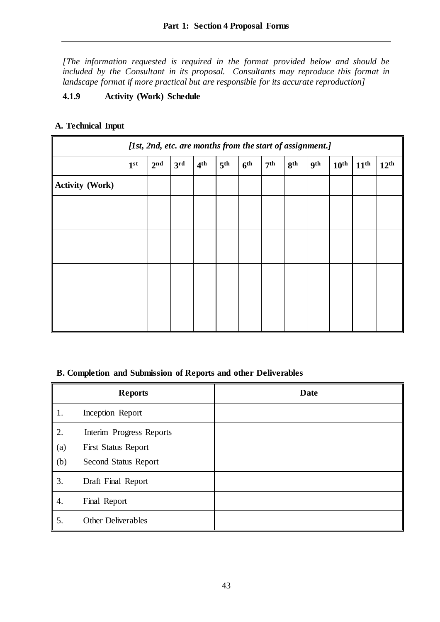*[The information requested is required in the format provided below and should be*  included by the Consultant in its proposal. Consultants may reproduce this format in *landscape format if more practical but are responsible for its accurate reproduction]*

# **4.1.9 Activity (Work) Schedule**

## **A. Technical Input**

|                        | [1st, 2nd, etc. are months from the start of assignment.] |                 |                 |                 |                 |                 |                 |                 |            |                  |                  |                  |
|------------------------|-----------------------------------------------------------|-----------------|-----------------|-----------------|-----------------|-----------------|-----------------|-----------------|------------|------------------|------------------|------------------|
|                        | 1 <sup>st</sup>                                           | 2 <sup>nd</sup> | 3 <sup>rd</sup> | 4 <sup>th</sup> | 5 <sup>th</sup> | 6 <sup>th</sup> | 7 <sup>th</sup> | 8 <sup>th</sup> | <b>9th</b> | 10 <sup>th</sup> | 11 <sup>th</sup> | 12 <sup>th</sup> |
| <b>Activity (Work)</b> |                                                           |                 |                 |                 |                 |                 |                 |                 |            |                  |                  |                  |
|                        |                                                           |                 |                 |                 |                 |                 |                 |                 |            |                  |                  |                  |
|                        |                                                           |                 |                 |                 |                 |                 |                 |                 |            |                  |                  |                  |
|                        |                                                           |                 |                 |                 |                 |                 |                 |                 |            |                  |                  |                  |
|                        |                                                           |                 |                 |                 |                 |                 |                 |                 |            |                  |                  |                  |
|                        |                                                           |                 |                 |                 |                 |                 |                 |                 |            |                  |                  |                  |
|                        |                                                           |                 |                 |                 |                 |                 |                 |                 |            |                  |                  |                  |
|                        |                                                           |                 |                 |                 |                 |                 |                 |                 |            |                  |                  |                  |
|                        |                                                           |                 |                 |                 |                 |                 |                 |                 |            |                  |                  |                  |

## **B. Completion and Submission of Reports and other Deliverables**

|            | <b>Reports</b>                                     | <b>Date</b> |
|------------|----------------------------------------------------|-------------|
| 1.         | Inception Report                                   |             |
| 2.         | Interim Progress Reports                           |             |
| (a)<br>(b) | <b>First Status Report</b><br>Second Status Report |             |
| 3.         | Draft Final Report                                 |             |
| 4.         | Final Report                                       |             |
| 5.         | Other Deliverables                                 |             |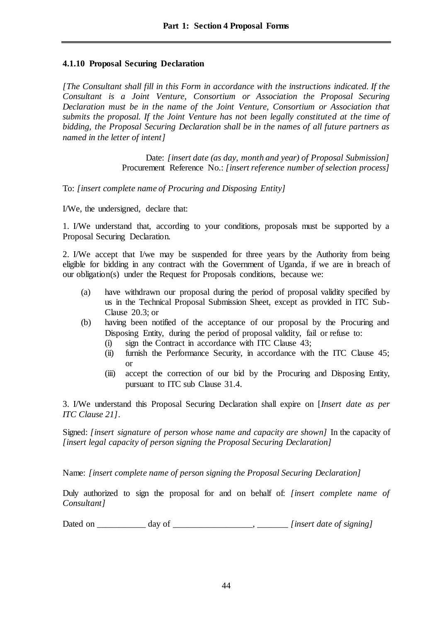## **4.1.10 Proposal Securing Declaration**

*[The Consultant shall fill in this Form in accordance with the instructions indicated. If the Consultant is a Joint Venture, Consortium or Association the Proposal Securing Declaration must be in the name of the Joint Venture, Consortium or Association that submits the proposal. If the Joint Venture has not been legally constituted at the time of bidding, the Proposal Securing Declaration shall be in the names of all future partners as named in the letter of intent]*

> Date: *[insert date (as day, month and year) of Proposal Submission]* Procurement Reference No.: *[insert reference number of selection process]*

To: *[insert complete name of Procuring and Disposing Entity]*

I/We, the undersigned, declare that:

1. I/We understand that, according to your conditions, proposals must be supported by a Proposal Securing Declaration.

2. I/We accept that I/we may be suspended for three years by the Authority from being eligible for bidding in any contract with the Government of Uganda*,* if we are in breach of our obligation(s) under the Request for Proposals conditions, because we:

- (a) have withdrawn our proposal during the period of proposal validity specified by us in the Technical Proposal Submission Sheet, except as provided in ITC Sub-Clause 20.3; or
- (b) having been notified of the acceptance of our proposal by the Procuring and Disposing Entity, during the period of proposal validity, fail or refuse to:
	- (i) sign the Contract in accordance with ITC Clause 43;
	- (ii) furnish the Performance Security, in accordance with the ITC Clause 45; or
	- (iii) accept the correction of our bid by the Procuring and Disposing Entity, pursuant to ITC sub Clause 31.4.

3. I/We understand this Proposal Securing Declaration shall expire on [*Insert date as per ITC Clause 21]*.

Signed: *[insert signature of person whose name and capacity are shown]* In the capacity of *[insert legal capacity of person signing the Proposal Securing Declaration]*

Name: *[insert complete name of person signing the Proposal Securing Declaration]*

Duly authorized to sign the proposal for and on behalf of: *[insert complete name of Consultant]*

Dated on \_\_\_\_\_\_\_\_\_\_\_ day of \_\_\_\_\_\_\_\_\_\_\_\_\_\_\_\_\_\_, \_\_\_\_\_\_\_ *[insert date of signing]*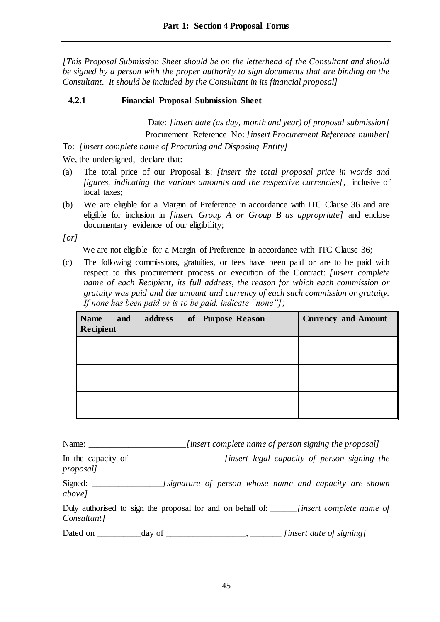*[This Proposal Submission Sheet should be on the letterhead of the Consultant and should be signed by a person with the proper authority to sign documents that are binding on the Consultant. It should be included by the Consultant in its financial proposal]*

# **4.2.1 Financial Proposal Submission Sheet**

Date: *[insert date (as day, month and year) of proposal submission]* Procurement Reference No: *[insert Procurement Reference number]*

To: *[insert complete name of Procuring and Disposing Entity]*

We, the undersigned, declare that:

- (a) The total price of our Proposal is: *[insert the total proposal price in words and figures, indicating the various amounts and the respective currencies]*, inclusive of local taxes;
- (b) We are eligible for a Margin of Preference in accordance with ITC Clause 36 and are eligible for inclusion in *[insert Group A or Group B as appropriate]* and enclose documentary evidence of our eligibility;

*[or]*

We are not eligible for a Margin of Preference in accordance with ITC Clause 36;

(c) The following commissions, gratuities, or fees have been paid or are to be paid with respect to this procurement process or execution of the Contract: *[insert complete name of each Recipient, its full address, the reason for which each commission or gratuity was paid and the amount and currency of each such commission or gratuity. If none has been paid or is to be paid, indicate "none"];*

| Name<br><b>Recipient</b> | and | address | of   Purpose Reason | <b>Currency and Amount</b> |
|--------------------------|-----|---------|---------------------|----------------------------|
|                          |     |         |                     |                            |
|                          |     |         |                     |                            |
|                          |     |         |                     |                            |

Name: \_\_\_\_\_\_\_\_\_\_\_\_\_\_\_\_\_\_\_\_\_\_*[insert complete name of person signing the proposal]*

In the capacity of \_\_\_\_\_\_\_\_\_\_\_\_\_\_\_\_\_\_\_\_\_*[insert legal capacity of person signing the proposal]*

Signed: \_\_\_\_\_\_\_\_\_\_\_\_\_\_\_\_*[signature of person whose name and capacity are shown above]*

Duly authorised to sign the proposal for and on behalf of: \_\_\_\_\_\_*[insert complete name of Consultant]*

Dated on \_\_\_\_\_\_\_\_\_\_day of \_\_\_\_\_\_\_\_\_\_\_\_\_\_\_\_\_\_, \_\_\_\_\_\_\_ *[insert date of signing]*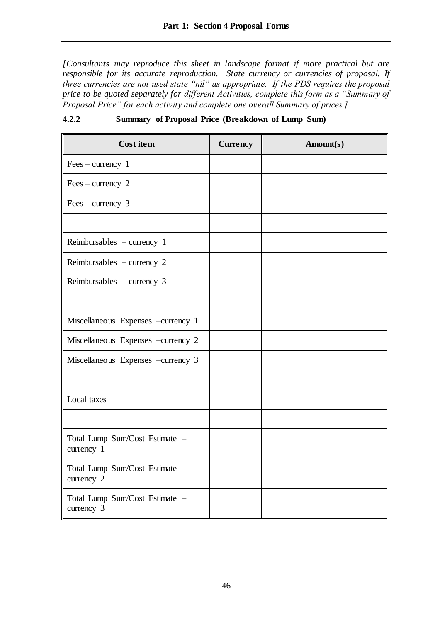*[Consultants may reproduce this sheet in landscape format if more practical but are responsible for its accurate reproduction. State currency or currencies of proposal. If three currencies are not used state "nil" as appropriate. If the PDS requires the proposal price to be quoted separately for different Activities, complete this form as a "Summary of Proposal Price" for each activity and complete one overall Summary of prices.]*

| <b>Cost item</b>                             | <b>Currency</b> | Amount(s) |
|----------------------------------------------|-----------------|-----------|
| $Fees - currency 1$                          |                 |           |
| $Fees$ – currency 2                          |                 |           |
| $Fees$ – currency 3                          |                 |           |
|                                              |                 |           |
| Reimbursables - currency 1                   |                 |           |
| Reimbursables – currency $2$                 |                 |           |
| Reimbursables $-$ currency 3                 |                 |           |
|                                              |                 |           |
| Miscellaneous Expenses -currency 1           |                 |           |
| Miscellaneous Expenses -currency 2           |                 |           |
| Miscellaneous Expenses -currency 3           |                 |           |
|                                              |                 |           |
| Local taxes                                  |                 |           |
|                                              |                 |           |
| Total Lump Sum/Cost Estimate -<br>currency 1 |                 |           |
| Total Lump Sum/Cost Estimate -<br>currency 2 |                 |           |
| Total Lump Sum/Cost Estimate -<br>currency 3 |                 |           |

**4.2.2 Summary of Proposal Price (Breakdown of Lump Sum)**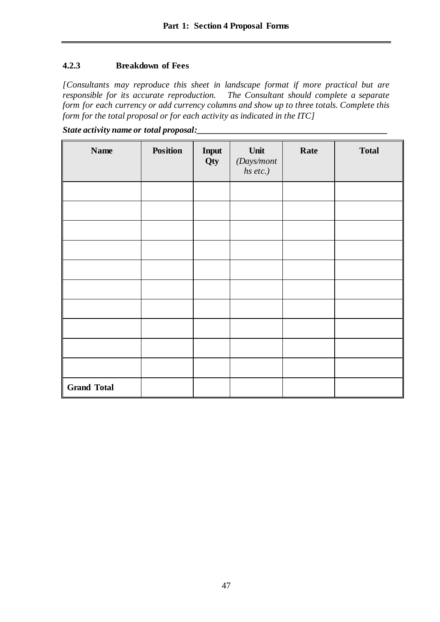# **4.2.3 Breakdown of Fees**

*[Consultants may reproduce this sheet in landscape format if more practical but are rhe Consultant should complete a separate form for each currency or add currency columns and show up to three totals. Complete this form for the total proposal or for each activity as indicated in the ITC]* 

| State activity name or total proposal: |  |
|----------------------------------------|--|
|                                        |  |

| <b>Name</b>        | <b>Position</b> | Input<br>Qty | Unit<br>(Days/mont<br>hs etc.) | Rate | <b>Total</b> |
|--------------------|-----------------|--------------|--------------------------------|------|--------------|
|                    |                 |              |                                |      |              |
|                    |                 |              |                                |      |              |
|                    |                 |              |                                |      |              |
|                    |                 |              |                                |      |              |
|                    |                 |              |                                |      |              |
|                    |                 |              |                                |      |              |
|                    |                 |              |                                |      |              |
|                    |                 |              |                                |      |              |
|                    |                 |              |                                |      |              |
|                    |                 |              |                                |      |              |
| <b>Grand Total</b> |                 |              |                                |      |              |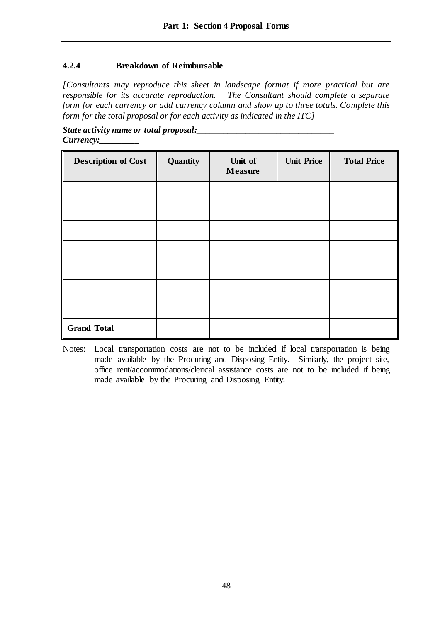## **4.2.4 Breakdown of Reimbursable**

*[Consultants may reproduce this sheet in landscape format if more practical but are responsible for its accurate reproduction. The Consultant should complete a separate form for each currency or add currency column and show up to three totals. Complete this form for the total proposal or for each activity as indicated in the ITC]* 

*State activity name or total proposal:\_\_\_\_\_\_\_\_\_\_\_\_\_\_\_\_\_\_\_\_\_\_\_\_\_\_\_\_\_\_\_ Currency:\_\_\_\_\_\_\_\_\_*

| <b>Description of Cost</b> | Quantity | Unit of<br><b>Measure</b> | <b>Unit Price</b> | <b>Total Price</b> |
|----------------------------|----------|---------------------------|-------------------|--------------------|
|                            |          |                           |                   |                    |
|                            |          |                           |                   |                    |
|                            |          |                           |                   |                    |
|                            |          |                           |                   |                    |
|                            |          |                           |                   |                    |
|                            |          |                           |                   |                    |
|                            |          |                           |                   |                    |
| <b>Grand Total</b>         |          |                           |                   |                    |

Notes: Local transportation costs are not to be included if local transportation is being made available by the Procuring and Disposing Entity. Similarly, the project site, office rent/accommodations/clerical assistance costs are not to be included if being made available by the Procuring and Disposing Entity.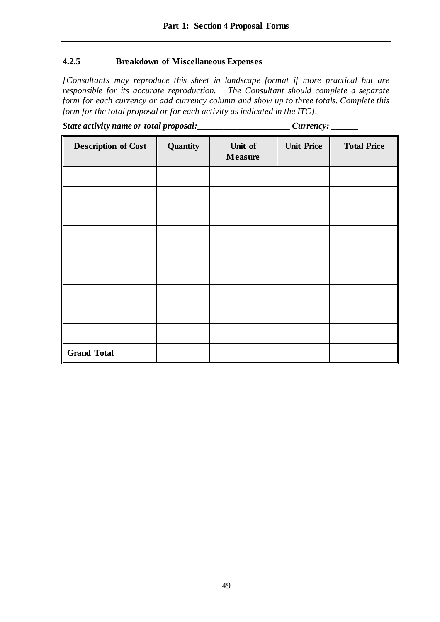### **4.2.5 Breakdown of Miscellaneous Expenses**

*[Consultants may reproduce this sheet in landscape format if more practical but are responsible for its accurate reproduction. The Consultant should complete a separate form for each currency or add currency column and show up to three totals. Complete this form for the total proposal or for each activity as indicated in the ITC].* 

| State activity name or total proposal: | Currency: |
|----------------------------------------|-----------|
|----------------------------------------|-----------|

| <b>Description of Cost</b> | Quantity | Unit of<br><b>Measure</b> | <b>Unit Price</b> | <b>Total Price</b> |
|----------------------------|----------|---------------------------|-------------------|--------------------|
|                            |          |                           |                   |                    |
|                            |          |                           |                   |                    |
|                            |          |                           |                   |                    |
|                            |          |                           |                   |                    |
|                            |          |                           |                   |                    |
|                            |          |                           |                   |                    |
|                            |          |                           |                   |                    |
|                            |          |                           |                   |                    |
|                            |          |                           |                   |                    |
| <b>Grand Total</b>         |          |                           |                   |                    |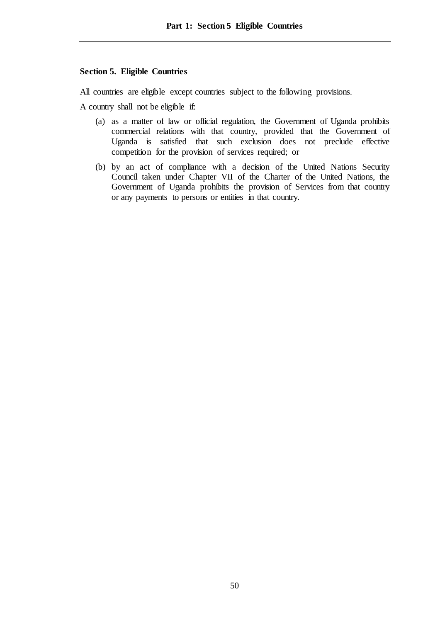### **Section 5. Eligible Countries**

All countries are eligible except countries subject to the following provisions.

A country shall not be eligible if:

- (a) as a matter of law or official regulation, the Government of Uganda prohibits commercial relations with that country, provided that the Government of Uganda is satisfied that such exclusion does not preclude effective competition for the provision of services required; or
- (b) by an act of compliance with a decision of the United Nations Security Council taken under Chapter VII of the Charter of the United Nations, the Government of Uganda prohibits the provision of Services from that country or any payments to persons or entities in that country.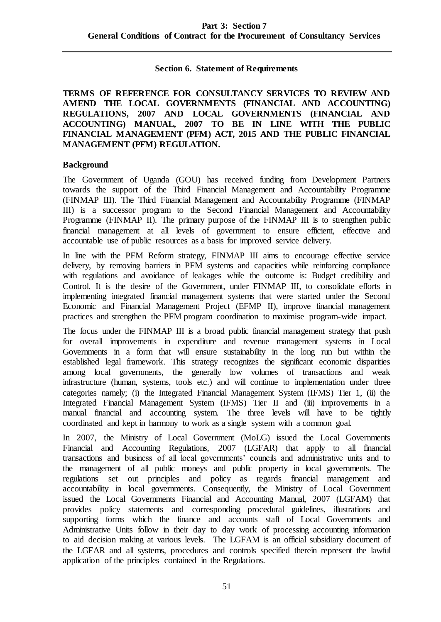#### **Section 6. Statement of Requirements**

**TERMS OF REFERENCE FOR CONSULTANCY SERVICES TO REVIEW AND AMEND THE LOCAL GOVERNMENTS (FINANCIAL AND ACCOUNTING) REGULATIONS, 2007 AND LOCAL GOVERNMENTS (FINANCIAL AND ACCOUNTING) MANUAL, 2007 TO BE IN LINE WITH THE PUBLIC FINANCIAL MANAGEMENT (PFM) ACT, 2015 AND THE PUBLIC FINANCIAL MANAGEMENT (PFM) REGULATION.**

### **Background**

The Government of Uganda (GOU) has received funding from Development Partners towards the support of the Third Financial Management and Accountability Programme (FINMAP III). The Third Financial Management and Accountability Programme (FINMAP III) is a successor program to the Second Financial Management and Accountability Programme (FINMAP II). The primary purpose of the FINMAP III is to strengthen public financial management at all levels of government to ensure efficient, effective and accountable use of public resources as a basis for improved service delivery.

In line with the PFM Reform strategy, FINMAP III aims to encourage effective service delivery, by removing barriers in PFM systems and capacities while reinforcing compliance with regulations and avoidance of leakages while the outcome is: Budget credibility and Control. It is the desire of the Government, under FINMAP III, to consolidate efforts in implementing integrated financial management systems that were started under the Second Economic and Financial Management Project (EFMP II), improve financial management practices and strengthen the PFM program coordination to maximise program-wide impact.

The focus under the FINMAP III is a broad public financial management strategy that push for overall improvements in expenditure and revenue management systems in Local Governments in a form that will ensure sustainability in the long run but within the established legal framework. This strategy recognizes the significant economic disparities among local governments, the generally low volumes of transactions and weak infrastructure (human, systems, tools etc.) and will continue to implementation under three categories namely; (i) the Integrated Financial Management System (IFMS) Tier 1, (ii) the Integrated Financial Management System (IFMS) Tier II and (iii) improvements in a manual financial and accounting system. The three levels will have to be tightly coordinated and kept in harmony to work as a single system with a common goal.

In 2007, the Ministry of Local Government (MoLG) issued the Local Governments Financial and Accounting Regulations, 2007 (LGFAR) that apply to all financial transactions and business of all local governments' councils and administrative units and to the management of all public moneys and public property in local governments. The regulations set out principles and policy as regards financial management and accountability in local governments. Consequently, the Ministry of Local Government issued the Local Governments Financial and Accounting Manual, 2007 (LGFAM) that provides policy statements and corresponding procedural guidelines, illustrations and supporting forms which the finance and accounts staff of Local Governments and Administrative Units follow in their day to day work of processing accounting information to aid decision making at various levels. The LGFAM is an official subsidiary document of the LGFAR and all systems, procedures and controls specified therein represent the lawful application of the principles contained in the Regulations.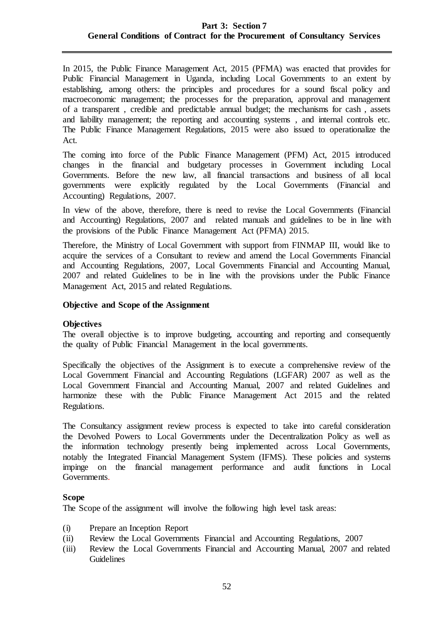### **Part 3: Section 7 General Conditions of Contract for the Procurement of Consultancy Services**

In 2015, the Public Finance Management Act, 2015 (PFMA) was enacted that provides for Public Financial Management in Uganda, including Local Governments to an extent by establishing, among others: the principles and procedures for a sound fiscal policy and macroeconomic management; the processes for the preparation, approval and management of a transparent , credible and predictable annual budget; the mechanisms for cash , assets and liability management; the reporting and accounting systems , and internal controls etc. The Public Finance Management Regulations, 2015 were also issued to operationalize the Act.

The coming into force of the Public Finance Management (PFM) Act, 2015 introduced changes in the financial and budgetary processes in Government including Local Governments. Before the new law, all financial transactions and business of all local governments were explicitly regulated by the Local Governments (Financial and Accounting) Regulations, 2007.

In view of the above, therefore, there is need to revise the Local Governments (Financial and Accounting) Regulations, 2007 and related manuals and guidelines to be in line with the provisions of the Public Finance Management Act (PFMA) 2015.

Therefore, the Ministry of Local Government with support from FINMAP III, would like to acquire the services of a Consultant to review and amend the Local Governments Financial and Accounting Regulations, 2007, Local Governments Financial and Accounting Manual, 2007 and related Guidelines to be in line with the provisions under the Public Finance Management Act, 2015 and related Regulations.

### **Objective and Scope of the Assignment**

### **Objectives**

The overall objective is to improve budgeting, accounting and reporting and consequently the quality of Public Financial Management in the local governments.

Specifically the objectives of the Assignment is to execute a comprehensive review of the Local Government Financial and Accounting Regulations (LGFAR) 2007 as well as the Local Government Financial and Accounting Manual, 2007 and related Guidelines and harmonize these with the Public Finance Management Act 2015 and the related Regulations.

The Consultancy assignment review process is expected to take into careful consideration the Devolved Powers to Local Governments under the Decentralization Policy as well as the information technology presently being implemented across Local Governments, notably the Integrated Financial Management System (IFMS). These policies and systems impinge on the financial management performance and audit functions in Local Governments.

#### **Scope**

The Scope of the assignment will involve the following high level task areas:

- (i) Prepare an Inception Report
- (ii) Review the Local Governments Financial and Accounting Regulations, 2007
- (iii) Review the Local Governments Financial and Accounting Manual, 2007 and related Guidelines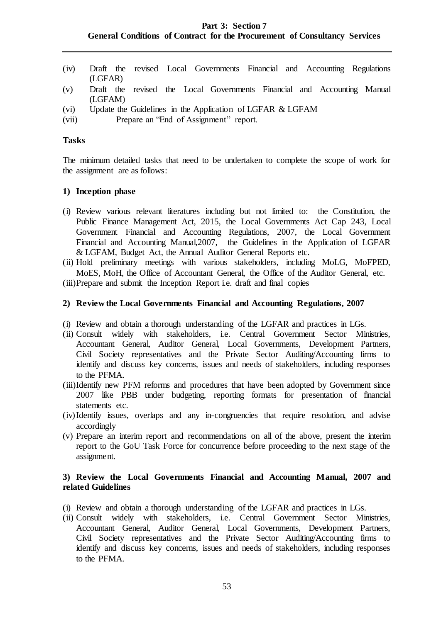### **Part 3: Section 7 General Conditions of Contract for the Procurement of Consultancy Services**

- (iv) Draft the revised Local Governments Financial and Accounting Regulations (LGFAR)
- (v) Draft the revised the Local Governments Financial and Accounting Manual (LGFAM)
- (vi) Update the Guidelines in the Application of LGFAR & LGFAM
- (vii) Prepare an "End of Assignment" report.

#### **Tasks**

The minimum detailed tasks that need to be undertaken to complete the scope of work for the assignment are as follows:

#### **1) Inception phase**

- (i) Review various relevant literatures including but not limited to: the Constitution, the Public Finance Management Act, 2015, the Local Governments Act Cap 243, Local Government Financial and Accounting Regulations, 2007, the Local Government Financial and Accounting Manual,2007, the Guidelines in the Application of LGFAR & LGFAM, Budget Act, the Annual Auditor General Reports etc.
- (ii) Hold preliminary meetings with various stakeholders, including MoLG, MoFPED, MoES, MoH, the Office of Accountant General, the Office of the Auditor General, etc.

(iii)Prepare and submit the Inception Report i.e. draft and final copies

#### **2) Review the Local Governments Financial and Accounting Regulations, 2007**

- (i) Review and obtain a thorough understanding of the LGFAR and practices in LGs.
- (ii) Consult widely with stakeholders, i.e. Central Government Sector Ministries, Accountant General, Auditor General, Local Governments, Development Partners, Civil Society representatives and the Private Sector Auditing/Accounting firms to identify and discuss key concerns, issues and needs of stakeholders, including responses to the PFMA.
- (iii)Identify new PFM reforms and procedures that have been adopted by Government since 2007 like PBB under budgeting, reporting formats for presentation of financial statements etc.
- (iv)Identify issues, overlaps and any in-congruencies that require resolution, and advise accordingly
- (v) Prepare an interim report and recommendations on all of the above, present the interim report to the GoU Task Force for concurrence before proceeding to the next stage of the assignment.

### **3) Review the Local Governments Financial and Accounting Manual, 2007 and related Guidelines**

- (i) Review and obtain a thorough understanding of the LGFAR and practices in LGs.
- (ii) Consult widely with stakeholders, i.e. Central Government Sector Ministries, Accountant General, Auditor General, Local Governments, Development Partners, Civil Society representatives and the Private Sector Auditing/Accounting firms to identify and discuss key concerns, issues and needs of stakeholders, including responses to the PFMA.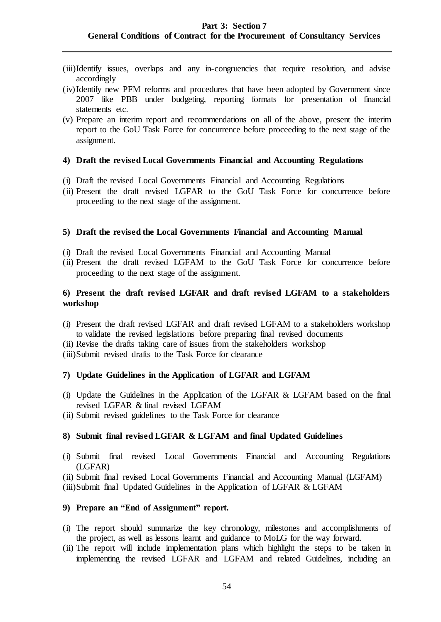- (iii)Identify issues, overlaps and any in-congruencies that require resolution, and advise accordingly
- (iv)Identify new PFM reforms and procedures that have been adopted by Government since 2007 like PBB under budgeting, reporting formats for presentation of financial statements etc.
- (v) Prepare an interim report and recommendations on all of the above, present the interim report to the GoU Task Force for concurrence before proceeding to the next stage of the assignment.

#### **4) Draft the revised Local Governments Financial and Accounting Regulations**

- (i) Draft the revised Local Governments Financial and Accounting Regulations
- (ii) Present the draft revised LGFAR to the GoU Task Force for concurrence before proceeding to the next stage of the assignment.

### **5) Draft the revised the Local Governments Financial and Accounting Manual**

- (i) Draft the revised Local Governments Financial and Accounting Manual
- (ii) Present the draft revised LGFAM to the GoU Task Force for concurrence before proceeding to the next stage of the assignment.

### **6) Present the draft revised LGFAR and draft revised LGFAM to a stakeholders workshop**

- (i) Present the draft revised LGFAR and draft revised LGFAM to a stakeholders workshop to validate the revised legislations before preparing final revised documents
- (ii) Revise the drafts taking care of issues from the stakeholders workshop
- (iii)Submit revised drafts to the Task Force for clearance

### **7) Update Guidelines in the Application of LGFAR and LGFAM**

- (i) Update the Guidelines in the Application of the LGFAR & LGFAM based on the final revised LGFAR & final revised LGFAM
- (ii) Submit revised guidelines to the Task Force for clearance

### **8) Submit final revised LGFAR & LGFAM and final Updated Guidelines**

(i) Submit final revised Local Governments Financial and Accounting Regulations (LGFAR)

(ii) Submit final revised Local Governments Financial and Accounting Manual (LGFAM)

(iii)Submit final Updated Guidelines in the Application of LGFAR & LGFAM

#### **9) Prepare an "End of Assignment" report.**

- (i) The report should summarize the key chronology, milestones and accomplishments of the project, as well as lessons learnt and guidance to MoLG for the way forward.
- (ii) The report will include implementation plans which highlight the steps to be taken in implementing the revised LGFAR and LGFAM and related Guidelines, including an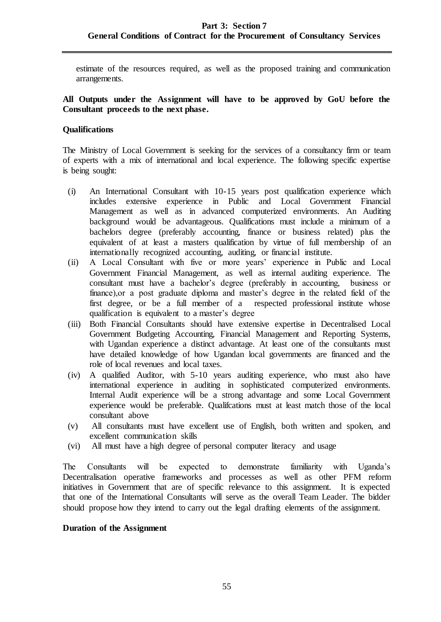estimate of the resources required, as well as the proposed training and communication arrangements.

### **All Outputs under the Assignment will have to be approved by GoU before the Consultant proceeds to the next phase.**

### **Qualifications**

The Ministry of Local Government is seeking for the services of a consultancy firm or team of experts with a mix of international and local experience. The following specific expertise is being sought:

- (i) An International Consultant with 10-15 years post qualification experience which includes extensive experience in Public and Local Government Financial Management as well as in advanced computerized environments. An Auditing background would be advantageous. Qualifications must include a minimum of a bachelors degree (preferably accounting, finance or business related) plus the equivalent of at least a masters qualification by virtue of full membership of an internationally recognized accounting, auditing, or financial institute.
- (ii) A Local Consultant with five or more years' experience in Public and Local Government Financial Management, as well as internal auditing experience. The consultant must have a bachelor's degree (preferably in accounting, business or finance),or a post graduate diploma and master's degree in the related field of the first degree, or be a full member of a respected professional institute whose qualification is equivalent to a master's degree
- (iii) Both Financial Consultants should have extensive expertise in Decentralised Local Government Budgeting Accounting, Financial Management and Reporting Systems, with Ugandan experience a distinct advantage. At least one of the consultants must have detailed knowledge of how Ugandan local governments are financed and the role of local revenues and local taxes.
- (iv) A qualified Auditor, with 5-10 years auditing experience, who must also have international experience in auditing in sophisticated computerized environments. Internal Audit experience will be a strong advantage and some Local Government experience would be preferable. Qualifcations must at least match those of the local consultant above
- (v) All consultants must have excellent use of English, both written and spoken, and excellent communication skills
- (vi) All must have a high degree of personal computer literacy and usage

The Consultants will be expected to demonstrate familiarity with Uganda's Decentralisation operative frameworks and processes as well as other PFM reform initiatives in Government that are of specific relevance to this assignment. It is expected that one of the International Consultants will serve as the overall Team Leader. The bidder should propose how they intend to carry out the legal drafting elements of the assignment.

### **Duration of the Assignment**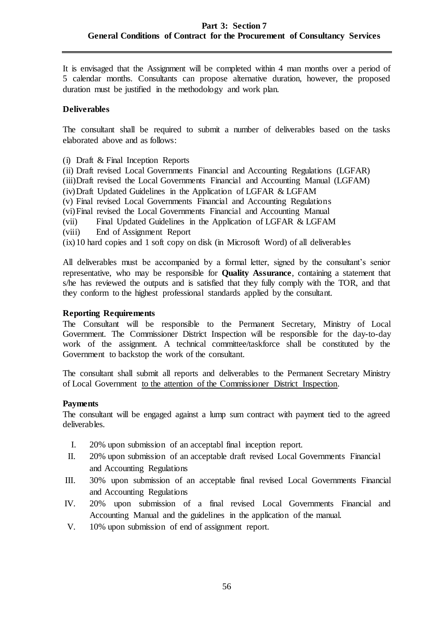It is envisaged that the Assignment will be completed within 4 man months over a period of 5 calendar months. Consultants can propose alternative duration, however, the proposed duration must be justified in the methodology and work plan.

## **Deliverables**

The consultant shall be required to submit a number of deliverables based on the tasks elaborated above and as follows:

(i) Draft & Final Inception Reports

(ii) Draft revised Local Governments Financial and Accounting Regulations (LGFAR)

(iii)Draft revised the Local Governments Financial and Accounting Manual (LGFAM)

- (iv)Draft Updated Guidelines in the Application of LGFAR & LGFAM
- (v) Final revised Local Governments Financial and Accounting Regulations
- (vi)Final revised the Local Governments Financial and Accounting Manual
- (vii) Final Updated Guidelines in the Application of LGFAR & LGFAM
- (viii) End of Assignment Report

(ix)10 hard copies and 1 soft copy on disk (in Microsoft Word) of all deliverables

All deliverables must be accompanied by a formal letter, signed by the consultant's senior representative, who may be responsible for **Quality Assurance**, containing a statement that s/he has reviewed the outputs and is satisfied that they fully comply with the TOR, and that they conform to the highest professional standards applied by the consultant.

### **Reporting Requirements**

The Consultant will be responsible to the Permanent Secretary, Ministry of Local Government. The Commissioner District Inspection will be responsible for the day-to-day work of the assignment. A technical committee/taskforce shall be constituted by the Government to backstop the work of the consultant.

The consultant shall submit all reports and deliverables to the Permanent Secretary Ministry of Local Government to the attention of the Commissioner District Inspection.

### **Payments**

The consultant will be engaged against a lump sum contract with payment tied to the agreed deliverables.

- I. 20% upon submission of an acceptabl final inception report.
- II. 20% upon submission of an acceptable draft revised Local Governments Financial and Accounting Regulations
- III. 30% upon submission of an acceptable final revised Local Governments Financial and Accounting Regulations
- IV. 20% upon submission of a final revised Local Governments Financial and Accounting Manual and the guidelines in the application of the manual.
- V. 10% upon submission of end of assignment report.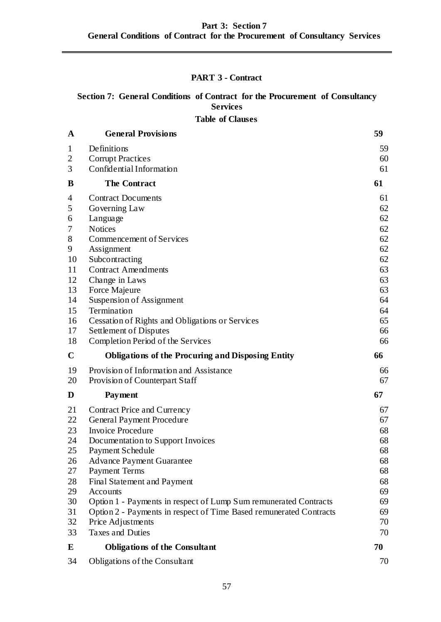# **PART 3 - Contract**

# **Section 7: General Conditions of Contract for the Procurement of Consultancy Services**

**Table of Clauses**

| A              | <b>General Provisions</b>                                          | 59                                     |
|----------------|--------------------------------------------------------------------|----------------------------------------|
| 1              | Definitions                                                        | 59                                     |
| $\overline{2}$ | <b>Corrupt Practices</b>                                           | 60                                     |
| 3              | Confidential Information                                           | 61                                     |
| B              | <b>The Contract</b>                                                | 61                                     |
| 4              | <b>Contract Documents</b>                                          | 61                                     |
| 5              | Governing Law                                                      | 62                                     |
| 6              | Language                                                           | 62                                     |
| 7              | <b>Notices</b>                                                     | 62                                     |
| 8              | Commencement of Services                                           | 62                                     |
| 9              | Assignment                                                         | 62                                     |
| 10             | Subcontracting                                                     | 62                                     |
| 11             | <b>Contract Amendments</b>                                         | 63                                     |
| 12             | Change in Laws                                                     | 63                                     |
| 13             | Force Majeure                                                      | 63                                     |
| 14             | Suspension of Assignment                                           | 64                                     |
| 15             | Termination                                                        | 64                                     |
| 16             | <b>Cessation of Rights and Obligations or Services</b>             | 65                                     |
| 17             | Settlement of Disputes                                             | 66                                     |
| 18             | Completion Period of the Services                                  | 66                                     |
|                | <b>Obligations of the Procuring and Disposing Entity</b>           | 66                                     |
| $\mathbf C$    |                                                                    |                                        |
| 19             | Provision of Information and Assistance                            |                                        |
| 20             | Provision of Counterpart Staff                                     | 66<br>67                               |
| D              | Payment                                                            | 67                                     |
| 21             |                                                                    |                                        |
| 22             | Contract Price and Currency                                        |                                        |
| 23             | General Payment Procedure<br><b>Invoice Procedure</b>              | 68                                     |
| 24             |                                                                    | 68                                     |
| 25             | Documentation to Support Invoices                                  | 67<br>67<br>68                         |
| 26             | <b>Payment Schedule</b>                                            |                                        |
| 27             | <b>Advance Payment Guarantee</b>                                   |                                        |
| 28             | <b>Payment Terms</b>                                               |                                        |
| 29             | Final Statement and Payment<br>Accounts                            |                                        |
| 30             | Option 1 - Payments in respect of Lump Sum remunerated Contracts   |                                        |
| 31             | Option 2 - Payments in respect of Time Based remunerated Contracts |                                        |
| 32             | Price Adjustments                                                  | 70                                     |
| 33             | <b>Taxes and Duties</b>                                            | 68<br>68<br>68<br>69<br>69<br>69<br>70 |
| E              | <b>Obligations of the Consultant</b>                               | 70                                     |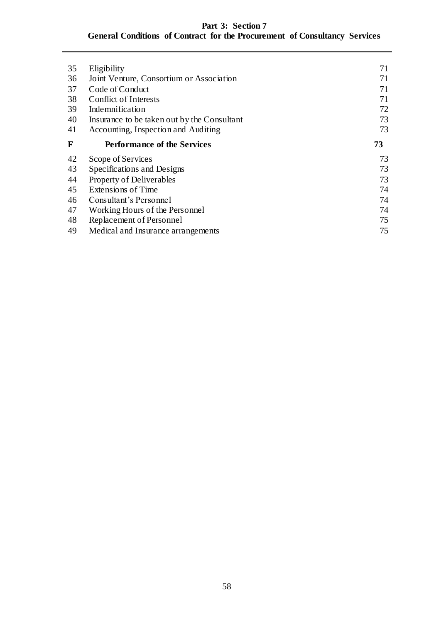# **Part 3: Section 7 General Conditions of Contract for the Procurement of Consultancy Services**

| 35 | Eligibility                                 | 71 |
|----|---------------------------------------------|----|
| 36 | Joint Venture, Consortium or Association    | 71 |
| 37 | Code of Conduct                             | 71 |
| 38 | Conflict of Interests                       | 71 |
| 39 | Indemnification                             | 72 |
| 40 | Insurance to be taken out by the Consultant | 73 |
| 41 | Accounting, Inspection and Auditing         | 73 |
| F  | <b>Performance of the Services</b>          | 73 |
| 42 | Scope of Services                           | 73 |
| 43 | Specifications and Designs                  | 73 |
| 44 | Property of Deliverables                    | 73 |
| 45 | Extensions of Time                          | 74 |
| 46 | Consultant's Personnel                      | 74 |
| 47 | Working Hours of the Personnel              | 74 |
| 48 | Replacement of Personnel                    | 75 |
| 49 | Medical and Insurance arrangements          | 75 |
|    |                                             |    |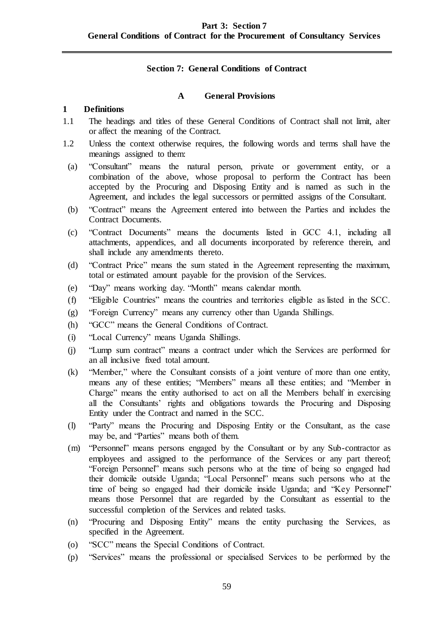### **Section 7: General Conditions of Contract**

### **A General Provisions**

### <span id="page-58-1"></span><span id="page-58-0"></span>**1 Definitions**

- 1.1 The headings and titles of these General Conditions of Contract shall not limit, alter or affect the meaning of the Contract.
- 1.2 Unless the context otherwise requires, the following words and terms shall have the meanings assigned to them:
- (a) "Consultant" means the natural person, private or government entity, or a combination of the above, whose proposal to perform the Contract has been accepted by the Procuring and Disposing Entity and is named as such in the Agreement, and includes the legal successors or permitted assigns of the Consultant.
- (b) "Contract" means the Agreement entered into between the Parties and includes the Contract Documents.
- (c) "Contract Documents" means the documents listed in GCC 4.1, including all attachments, appendices, and all documents incorporated by reference therein, and shall include any amendments thereto.
- (d) "Contract Price" means the sum stated in the Agreement representing the maximum, total or estimated amount payable for the provision of the Services.
- (e) "Day" means working day. "Month" means calendar month.
- (f) "Eligible Countries" means the countries and territories eligible as listed in the SCC.
- (g) "Foreign Currency" means any currency other than Uganda Shillings.
- (h) "GCC" means the General Conditions of Contract.
- (i) "Local Currency" means Uganda Shillings.
- (j) "Lump sum contract" means a contract under which the Services are performed for an all inclusive fixed total amount.
- (k) "Member," where the Consultant consists of a joint venture of more than one entity, means any of these entities; "Members" means all these entities; and "Member in Charge" means the entity authorised to act on all the Members behalf in exercising all the Consultants' rights and obligations towards the Procuring and Disposing Entity under the Contract and named in the SCC.
- (l) "Party" means the Procuring and Disposing Entity or the Consultant, as the case may be, and "Parties" means both of them.
- (m) "Personnel" means persons engaged by the Consultant or by any Sub-contractor as employees and assigned to the performance of the Services or any part thereof; "Foreign Personnel" means such persons who at the time of being so engaged had their domicile outside Uganda; "Local Personnel" means such persons who at the time of being so engaged had their domicile inside Uganda; and "Key Personnel" means those Personnel that are regarded by the Consultant as essential to the successful completion of the Services and related tasks.
- (n) "Procuring and Disposing Entity" means the entity purchasing the Services, as specified in the Agreement.
- (o) "SCC" means the Special Conditions of Contract.
- (p) "Services" means the professional or specialised Services to be performed by the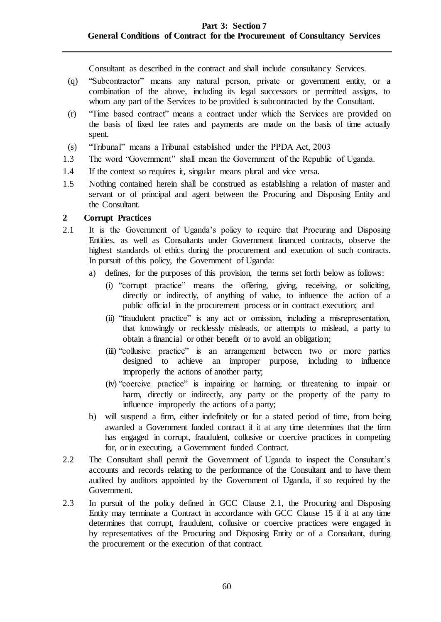Consultant as described in the contract and shall include consultancy Services.

- (q) "Subcontractor" means any natural person, private or government entity, or a combination of the above, including its legal successors or permitted assigns, to whom any part of the Services to be provided is subcontracted by the Consultant.
- (r) "Time based contract" means a contract under which the Services are provided on the basis of fixed fee rates and payments are made on the basis of time actually spent.
- (s) "Tribunal" means a Tribunal established under the PPDA Act, 2003
- 1.3 The word "Government" shall mean the Government of the Republic of Uganda.
- 1.4 If the context so requires it, singular means plural and vice versa.
- 1.5 Nothing contained herein shall be construed as establishing a relation of master and servant or of principal and agent between the Procuring and Disposing Entity and the Consultant.

### <span id="page-59-0"></span>**2 Corrupt Practices**

- 2.1 It is the Government of Uganda's policy to require that Procuring and Disposing Entities, as well as Consultants under Government financed contracts, observe the highest standards of ethics during the procurement and execution of such contracts. In pursuit of this policy, the Government of Uganda:
	- a) defines, for the purposes of this provision, the terms set forth below as follows:
		- (i) "corrupt practice" means the offering, giving, receiving, or soliciting, directly or indirectly, of anything of value, to influence the action of a public official in the procurement process or in contract execution; and
		- (ii) "fraudulent practice" is any act or omission, including a misrepresentation, that knowingly or recklessly misleads, or attempts to mislead, a party to obtain a financial or other benefit or to avoid an obligation;
		- (iii) "collusive practice" is an arrangement between two or more parties designed to achieve an improper purpose, including to influence improperly the actions of another party;
		- (iv) "coercive practice" is impairing or harming, or threatening to impair or harm, directly or indirectly, any party or the property of the party to influence improperly the actions of a party;
	- b) will suspend a firm, either indefinitely or for a stated period of time, from being awarded a Government funded contract if it at any time determines that the firm has engaged in corrupt, fraudulent, collusive or coercive practices in competing for, or in executing, a Government funded Contract.
- 2.2 The Consultant shall permit the Government of Uganda to inspect the Consultant's accounts and records relating to the performance of the Consultant and to have them audited by auditors appointed by the Government of Uganda, if so required by the Government.
- 2.3 In pursuit of the policy defined in GCC Clause 2.1, the Procuring and Disposing Entity may terminate a Contract in accordance with GCC Clause [15](#page-63-1) if it at any time determines that corrupt, fraudulent, collusive or coercive practices were engaged in by representatives of the Procuring and Disposing Entity or of a Consultant, during the procurement or the execution of that contract.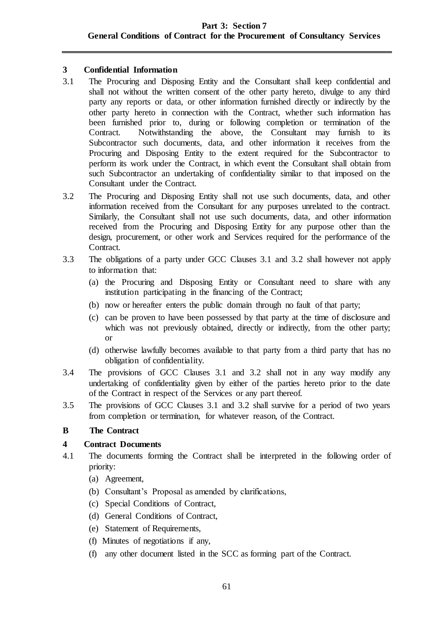## <span id="page-60-0"></span>**3 Confidential Information**

- 3.1 The Procuring and Disposing Entity and the Consultant shall keep confidential and shall not without the written consent of the other party hereto, divulge to any third party any reports or data, or other information furnished directly or indirectly by the other party hereto in connection with the Contract, whether such information has been furnished prior to, during or following completion or termination of the Contract. Notwithstanding the above, the Consultant may furnish to its Subcontractor such documents, data, and other information it receives from the Procuring and Disposing Entity to the extent required for the Subcontractor to perform its work under the Contract, in which event the Consultant shall obtain from such Subcontractor an undertaking of confidentiality similar to that imposed on the Consultant under the Contract.
- 3.2 The Procuring and Disposing Entity shall not use such documents, data, and other information received from the Consultant for any purposes unrelated to the contract. Similarly, the Consultant shall not use such documents, data, and other information received from the Procuring and Disposing Entity for any purpose other than the design, procurement, or other work and Services required for the performance of the Contract.
- 3.3 The obligations of a party under GCC Clauses 3.1 and 3.2 shall however not apply to information that:
	- (a) the Procuring and Disposing Entity or Consultant need to share with any institution participating in the financing of the Contract;
	- (b) now or hereafter enters the public domain through no fault of that party;
	- (c) can be proven to have been possessed by that party at the time of disclosure and which was not previously obtained, directly or indirectly, from the other party; or
	- (d) otherwise lawfully becomes available to that party from a third party that has no obligation of confidentiality.
- 3.4 The provisions of GCC Clauses 3.1 and 3.2 shall not in any way modify any undertaking of confidentiality given by either of the parties hereto prior to the date of the Contract in respect of the Services or any part thereof.
- 3.5 The provisions of GCC Clauses 3.1 and 3.2 shall survive for a period of two years from completion or termination, for whatever reason, of the Contract.

## <span id="page-60-1"></span>**B The Contract**

## <span id="page-60-2"></span>**4 Contract Documents**

- 4.1 The documents forming the Contract shall be interpreted in the following order of priority:
	- (a) Agreement,
	- (b) Consultant's Proposal as amended by clarifications,
	- (c) Special Conditions of Contract,
	- (d) General Conditions of Contract,
	- (e) Statement of Requirements,
	- (f) Minutes of negotiations if any,
	- (f) any other document listed in the SCC as forming part of the Contract.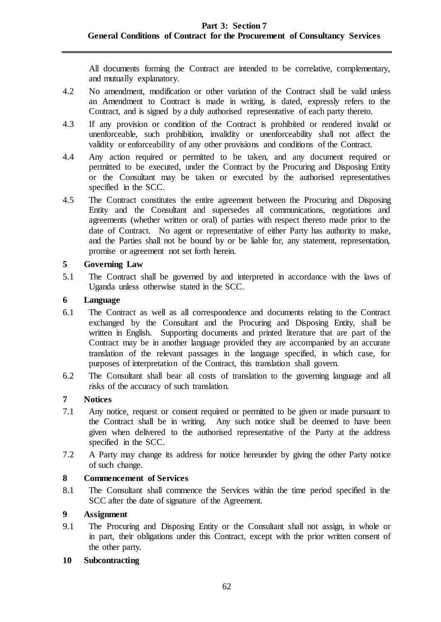All documents forming the Contract are intended to be correlative, complementary, and mutually explanatory.

- 4.2 No amendment, modification or other variation of the Contract shall be valid unless an Amendment to Contract is made in writing, is dated, expressly refers to the Contract, and is signed by a duly authorised representative of each party thereto.
- 4.3 If any provision or condition of the Contract is prohibited or rendered invalid or unenforceable, such prohibition, invalidity or unenforceability shall not affect the validity or enforceability of any other provisions and conditions of the Contract.
- 4.4 Any action required or permitted to be taken, and any document required or permitted to be executed, under the Contract by the Procuring and Disposing Entity or the Consultant may be taken or executed by the authorised representatives specified in the SCC.
- 4.5 The Contract constitutes the entire agreement between the Procuring and Disposing Entity and the Consultant and supersedes all communications, negotiations and agreements (whether written or oral) of parties with respect thereto made prior to the date of Contract. No agent or representative of either Party has authority to make, and the Parties shall not be bound by or be liable for, any statement, representation, promise or agreement not set forth herein.

## <span id="page-61-0"></span>**5 Governing Law**

5.1 The Contract shall be governed by and interpreted in accordance with the laws of Uganda unless otherwise stated in the SCC.

### <span id="page-61-1"></span>**6 Language**

- 6.1 The Contract as well as all correspondence and documents relating to the Contract exchanged by the Consultant and the Procuring and Disposing Entity, shall be written in English. Supporting documents and printed literature that are part of the Contract may be in another language provided they are accompanied by an accurate translation of the relevant passages in the language specified, in which case, for purposes of interpretation of the Contract, this translation shall govern.
- 6.2 The Consultant shall bear all costs of translation to the governing language and all risks of the accuracy of such translation.

## <span id="page-61-2"></span>**7 Notices**

- 7.1 Any notice, request or consent required or permitted to be given or made pursuant to the Contract shall be in writing. Any such notice shall be deemed to have been given when delivered to the authorised representative of the Party at the address specified in the SCC.
- 7.2 A Party may change its address for notice hereunder by giving the other Party notice of such change.

### <span id="page-61-3"></span>**8 Commencement of Services**

8.1 The Consultant shall commence the Services within the time period specified in the SCC after the date of signature of the Agreement.

## <span id="page-61-4"></span>**9 Assignment**

9.1 The Procuring and Disposing Entity or the Consultant shall not assign, in whole or in part, their obligations under this Contract, except with the prior written consent of the other party.

### <span id="page-61-5"></span>**10 Subcontracting**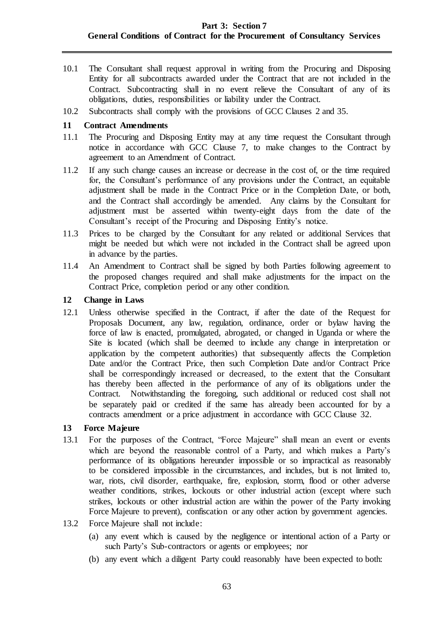- 10.1 The Consultant shall request approval in writing from the Procuring and Disposing Entity for all subcontracts awarded under the Contract that are not included in the Contract. Subcontracting shall in no event relieve the Consultant of any of its obligations, duties, responsibilities or liability under the Contract.
- 10.2 Subcontracts shall comply with the provisions of GCC Clauses 2 and 35.

#### <span id="page-62-0"></span>**11 Contract Amendments**

- 11.1 The Procuring and Disposing Entity may at any time request the Consultant through notice in accordance with GCC Clause 7, to make changes to the Contract by agreement to an Amendment of Contract.
- 11.2 If any such change causes an increase or decrease in the cost of, or the time required for, the Consultant's performance of any provisions under the Contract, an equitable adjustment shall be made in the Contract Price or in the Completion Date, or both, and the Contract shall accordingly be amended. Any claims by the Consultant for adjustment must be asserted within twenty-eight days from the date of the Consultant's receipt of the Procuring and Disposing Entity's notice.
- 11.3 Prices to be charged by the Consultant for any related or additional Services that might be needed but which were not included in the Contract shall be agreed upon in advance by the parties.
- 11.4 An Amendment to Contract shall be signed by both Parties following agreement to the proposed changes required and shall make adjustments for the impact on the Contract Price, completion period or any other condition.

### <span id="page-62-1"></span>**12 Change in Laws**

12.1 Unless otherwise specified in the Contract, if after the date of the Request for Proposals Document, any law, regulation, ordinance, order or bylaw having the force of law is enacted, promulgated, abrogated, or changed in Uganda or where the Site is located (which shall be deemed to include any change in interpretation or application by the competent authorities) that subsequently affects the Completion Date and/or the Contract Price, then such Completion Date and/or Contract Price shall be correspondingly increased or decreased, to the extent that the Consultant has thereby been affected in the performance of any of its obligations under the Contract. Notwithstanding the foregoing, such additional or reduced cost shall not be separately paid or credited if the same has already been accounted for by a contracts amendment or a price adjustment in accordance with GCC Clause 32.

### <span id="page-62-2"></span>**13 Force Majeure**

- 13.1 For the purposes of the Contract, "Force Majeure" shall mean an event or events which are beyond the reasonable control of a Party, and which makes a Party's performance of its obligations hereunder impossible or so impractical as reasonably to be considered impossible in the circumstances, and includes, but is not limited to, war, riots, civil disorder, earthquake, fire, explosion, storm, flood or other adverse weather conditions, strikes, lockouts or other industrial action (except where such strikes, lockouts or other industrial action are within the power of the Party invoking Force Majeure to prevent), confiscation or any other action by government agencies.
- 13.2 Force Majeure shall not include:
	- (a) any event which is caused by the negligence or intentional action of a Party or such Party's Sub-contractors or agents or employees; nor
	- (b) any event which a diligent Party could reasonably have been expected to both: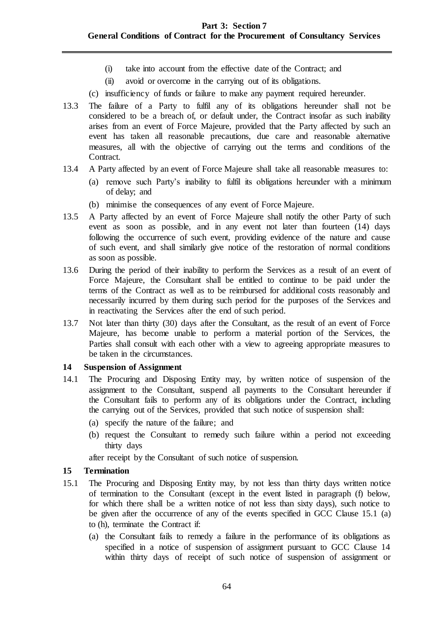- (i) take into account from the effective date of the Contract; and
- (ii) avoid or overcome in the carrying out of its obligations.
- (c) insufficiency of funds or failure to make any payment required hereunder.
- 13.3 The failure of a Party to fulfil any of its obligations hereunder shall not be considered to be a breach of, or default under, the Contract insofar as such inability arises from an event of Force Majeure, provided that the Party affected by such an event has taken all reasonable precautions, due care and reasonable alternative measures, all with the objective of carrying out the terms and conditions of the Contract.
- 13.4 A Party affected by an event of Force Majeure shall take all reasonable measures to:
	- (a) remove such Party's inability to fulfil its obligations hereunder with a minimum of delay; and
	- (b) minimise the consequences of any event of Force Majeure.
- 13.5 A Party affected by an event of Force Majeure shall notify the other Party of such event as soon as possible, and in any event not later than fourteen (14) days following the occurrence of such event, providing evidence of the nature and cause of such event, and shall similarly give notice of the restoration of normal conditions as soon as possible.
- 13.6 During the period of their inability to perform the Services as a result of an event of Force Majeure, the Consultant shall be entitled to continue to be paid under the terms of the Contract as well as to be reimbursed for additional costs reasonably and necessarily incurred by them during such period for the purposes of the Services and in reactivating the Services after the end of such period.
- 13.7 Not later than thirty (30) days after the Consultant, as the result of an event of Force Majeure, has become unable to perform a material portion of the Services, the Parties shall consult with each other with a view to agreeing appropriate measures to be taken in the circumstances.

### <span id="page-63-0"></span>**14 Suspension of Assignment**

- 14.1 The Procuring and Disposing Entity may, by written notice of suspension of the assignment to the Consultant, suspend all payments to the Consultant hereunder if the Consultant fails to perform any of its obligations under the Contract, including the carrying out of the Services, provided that such notice of suspension shall:
	- (a) specify the nature of the failure; and
	- (b) request the Consultant to remedy such failure within a period not exceeding thirty days

after receipt by the Consultant of such notice of suspension.

## <span id="page-63-1"></span>**15 Termination**

- 15.1 The Procuring and Disposing Entity may, by not less than thirty days written notice of termination to the Consultant (except in the event listed in paragraph (f) below, for which there shall be a written notice of not less than sixty days), such notice to be given after the occurrence of any of the events specified in GCC Clause 15.1 (a) to (h), terminate the Contract if:
	- (a) the Consultant fails to remedy a failure in the performance of its obligations as specified in a notice of suspension of assignment pursuant to GCC Clause 14 within thirty days of receipt of such notice of suspension of assignment or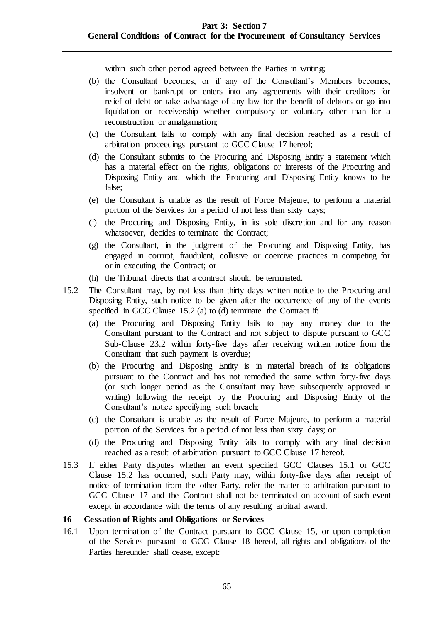within such other period agreed between the Parties in writing;

- (b) the Consultant becomes, or if any of the Consultant's Members becomes, insolvent or bankrupt or enters into any agreements with their creditors for relief of debt or take advantage of any law for the benefit of debtors or go into liquidation or receivership whether compulsory or voluntary other than for a reconstruction or amalgamation;
- (c) the Consultant fails to comply with any final decision reached as a result of arbitration proceedings pursuant to GCC Clause 17 hereof;
- (d) the Consultant submits to the Procuring and Disposing Entity a statement which has a material effect on the rights, obligations or interests of the Procuring and Disposing Entity and which the Procuring and Disposing Entity knows to be false;
- (e) the Consultant is unable as the result of Force Majeure, to perform a material portion of the Services for a period of not less than sixty days;
- (f) the Procuring and Disposing Entity, in its sole discretion and for any reason whatsoever, decides to terminate the Contract;
- (g) the Consultant, in the judgment of the Procuring and Disposing Entity, has engaged in corrupt, fraudulent, collusive or coercive practices in competing for or in executing the Contract; or
- (h) the Tribunal directs that a contract should be terminated.
- 15.2 The Consultant may, by not less than thirty days written notice to the Procuring and Disposing Entity, such notice to be given after the occurrence of any of the events specified in GCC Clause 15.2 (a) to (d) terminate the Contract if:
	- (a) the Procuring and Disposing Entity fails to pay any money due to the Consultant pursuant to the Contract and not subject to dispute pursuant to GCC Sub-Clause 23.2 within forty-five days after receiving written notice from the Consultant that such payment is overdue;
	- (b) the Procuring and Disposing Entity is in material breach of its obligations pursuant to the Contract and has not remedied the same within forty-five days (or such longer period as the Consultant may have subsequently approved in writing) following the receipt by the Procuring and Disposing Entity of the Consultant's notice specifying such breach;
	- (c) the Consultant is unable as the result of Force Majeure, to perform a material portion of the Services for a period of not less than sixty days; or
	- (d) the Procuring and Disposing Entity fails to comply with any final decision reached as a result of arbitration pursuant to GCC Clause 17 hereof.
- 15.3 If either Party disputes whether an event specified GCC Clauses 15.1 or GCC Clause 15.2 has occurred, such Party may, within forty-five days after receipt of notice of termination from the other Party, refer the matter to arbitration pursuant to GCC Clause 17 and the Contract shall not be terminated on account of such event except in accordance with the terms of any resulting arbitral award.

#### <span id="page-64-0"></span>**16 Cessation of Rights and Obligations or Services**

16.1 Upon termination of the Contract pursuant to GCC Clause 15, or upon completion of the Services pursuant to GCC Clause 18 hereof, all rights and obligations of the Parties hereunder shall cease, except: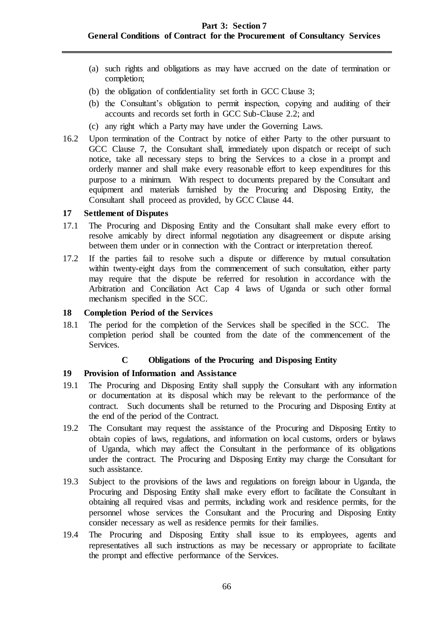### **Part 3: Section 7 General Conditions of Contract for the Procurement of Consultancy Services**

- (a) such rights and obligations as may have accrued on the date of termination or completion;
- (b) the obligation of confidentiality set forth in GCC Clause 3;
- (b) the Consultant's obligation to permit inspection, copying and auditing of their accounts and records set forth in GCC Sub-Clause 2.2; and
- (c) any right which a Party may have under the Governing Laws.
- 16.2 Upon termination of the Contract by notice of either Party to the other pursuant to GCC Clause 7, the Consultant shall, immediately upon dispatch or receipt of such notice, take all necessary steps to bring the Services to a close in a prompt and orderly manner and shall make every reasonable effort to keep expenditures for this purpose to a minimum. With respect to documents prepared by the Consultant and equipment and materials furnished by the Procuring and Disposing Entity, the Consultant shall proceed as provided, by GCC Clause 44.

### <span id="page-65-0"></span>**17 Settlement of Disputes**

- 17.1 The Procuring and Disposing Entity and the Consultant shall make every effort to resolve amicably by direct informal negotiation any disagreement or dispute arising between them under or in connection with the Contract or interpretation thereof.
- 17.2 If the parties fail to resolve such a dispute or difference by mutual consultation within twenty-eight days from the commencement of such consultation, either party may require that the dispute be referred for resolution in accordance with the Arbitration and Conciliation Act Cap 4 laws of Uganda or such other formal mechanism specified in the SCC.

#### <span id="page-65-1"></span>**18 Completion Period of the Services**

18.1 The period for the completion of the Services shall be specified in the SCC. The completion period shall be counted from the date of the commencement of the Services.

### **C Obligations of the Procuring and Disposing Entity**

### <span id="page-65-3"></span><span id="page-65-2"></span>**19 Provision of Information and Assistance**

- 19.1 The Procuring and Disposing Entity shall supply the Consultant with any information or documentation at its disposal which may be relevant to the performance of the contract. Such documents shall be returned to the Procuring and Disposing Entity at the end of the period of the Contract.
- 19.2 The Consultant may request the assistance of the Procuring and Disposing Entity to obtain copies of laws, regulations, and information on local customs, orders or bylaws of Uganda, which may affect the Consultant in the performance of its obligations under the contract. The Procuring and Disposing Entity may charge the Consultant for such assistance.
- 19.3 Subject to the provisions of the laws and regulations on foreign labour in Uganda, the Procuring and Disposing Entity shall make every effort to facilitate the Consultant in obtaining all required visas and permits, including work and residence permits, for the personnel whose services the Consultant and the Procuring and Disposing Entity consider necessary as well as residence permits for their families.
- 19.4 The Procuring and Disposing Entity shall issue to its employees, agents and representatives all such instructions as may be necessary or appropriate to facilitate the prompt and effective performance of the Services.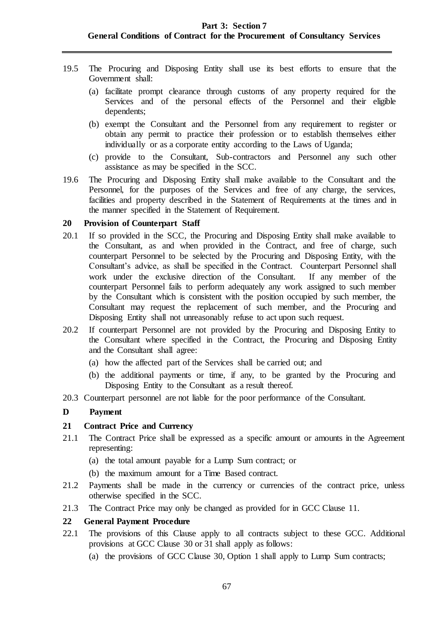- 19.5 The Procuring and Disposing Entity shall use its best efforts to ensure that the Government shall:
	- (a) facilitate prompt clearance through customs of any property required for the Services and of the personal effects of the Personnel and their eligible dependents;
	- (b) exempt the Consultant and the Personnel from any requirement to register or obtain any permit to practice their profession or to establish themselves either individually or as a corporate entity according to the Laws of Uganda;
	- (c) provide to the Consultant, Sub-contractors and Personnel any such other assistance as may be specified in the SCC.
- 19.6 The Procuring and Disposing Entity shall make available to the Consultant and the Personnel, for the purposes of the Services and free of any charge, the services, facilities and property described in the Statement of Requirements at the times and in the manner specified in the Statement of Requirement.

### <span id="page-66-0"></span>**20 Provision of Counterpart Staff**

- 20.1 If so provided in the SCC, the Procuring and Disposing Entity shall make available to the Consultant, as and when provided in the Contract, and free of charge, such counterpart Personnel to be selected by the Procuring and Disposing Entity, with the Consultant's advice, as shall be specified in the Contract. Counterpart Personnel shall work under the exclusive direction of the Consultant. If any member of the counterpart Personnel fails to perform adequately any work assigned to such member by the Consultant which is consistent with the position occupied by such member, the Consultant may request the replacement of such member, and the Procuring and Disposing Entity shall not unreasonably refuse to act upon such request.
- 20.2 If counterpart Personnel are not provided by the Procuring and Disposing Entity to the Consultant where specified in the Contract, the Procuring and Disposing Entity and the Consultant shall agree:
	- (a) how the affected part of the Services shall be carried out; and
	- (b) the additional payments or time, if any, to be granted by the Procuring and Disposing Entity to the Consultant as a result thereof.
- 20.3 Counterpart personnel are not liable for the poor performance of the Consultant.

## <span id="page-66-1"></span>**D Payment**

## <span id="page-66-2"></span>**21 Contract Price and Currency**

- 21.1 The Contract Price shall be expressed as a specific amount or amounts in the Agreement representing:
	- (a) the total amount payable for a Lump Sum contract; or
	- (b) the maximum amount for a Time Based contract.
- 21.2 Payments shall be made in the currency or currencies of the contract price, unless otherwise specified in the SCC.
- 21.3 The Contract Price may only be changed as provided for in GCC Clause [11.](#page-62-0)

## <span id="page-66-3"></span>**22 General Payment Procedure**

- 22.1 The provisions of this Clause apply to all contracts subject to these GCC. Additional provisions at GCC Clause 30 or 31 shall apply as follows:
	- (a) the provisions of GCC Clause 30, Option 1 shall apply to Lump Sum contracts;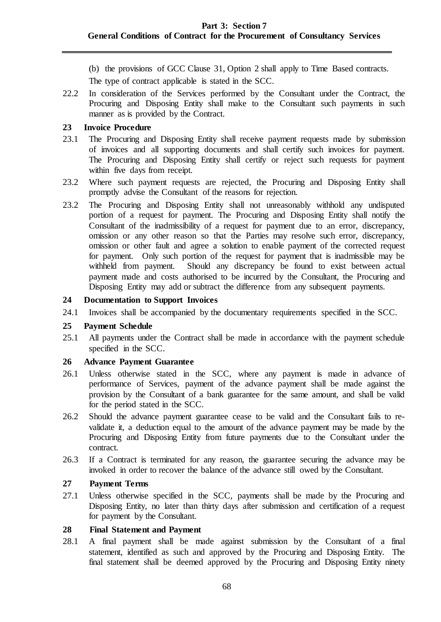(b) the provisions of GCC Clause 31, Option 2 shall apply to Time Based contracts.

The type of contract applicable is stated in the SCC.

22.2 In consideration of the Services performed by the Consultant under the Contract, the Procuring and Disposing Entity shall make to the Consultant such payments in such manner as is provided by the Contract.

## <span id="page-67-0"></span>**23 Invoice Procedure**

- 23.1 The Procuring and Disposing Entity shall receive payment requests made by submission of invoices and all supporting documents and shall certify such invoices for payment. The Procuring and Disposing Entity shall certify or reject such requests for payment within five days from receipt.
- 23.2 Where such payment requests are rejected, the Procuring and Disposing Entity shall promptly advise the Consultant of the reasons for rejection.
- 23.2 The Procuring and Disposing Entity shall not unreasonably withhold any undisputed portion of a request for payment. The Procuring and Disposing Entity shall notify the Consultant of the inadmissibility of a request for payment due to an error, discrepancy, omission or any other reason so that the Parties may resolve such error, discrepancy, omission or other fault and agree a solution to enable payment of the corrected request for payment. Only such portion of the request for payment that is inadmissible may be withheld from payment. Should any discrepancy be found to exist between actual payment made and costs authorised to be incurred by the Consultant, the Procuring and Disposing Entity may add or subtract the difference from any subsequent payments.

## <span id="page-67-1"></span>**24 Documentation to Support Invoices**

24.1 Invoices shall be accompanied by the documentary requirements specified in the SCC.

### <span id="page-67-2"></span>**25 Payment Schedule**

25.1 All payments under the Contract shall be made in accordance with the payment schedule specified in the SCC.

### <span id="page-67-3"></span>**26 Advance Payment Guarantee**

- 26.1 Unless otherwise stated in the SCC, where any payment is made in advance of performance of Services, payment of the advance payment shall be made against the provision by the Consultant of a bank guarantee for the same amount, and shall be valid for the period stated in the SCC.
- 26.2 Should the advance payment guarantee cease to be valid and the Consultant fails to revalidate it, a deduction equal to the amount of the advance payment may be made by the Procuring and Disposing Entity from future payments due to the Consultant under the contract.
- 26.3 If a Contract is terminated for any reason, the guarantee securing the advance may be invoked in order to recover the balance of the advance still owed by the Consultant.

## <span id="page-67-4"></span>**27 Payment Terms**

27.1 Unless otherwise specified in the SCC, payments shall be made by the Procuring and Disposing Entity, no later than thirty days after submission and certification of a request for payment by the Consultant.

### <span id="page-67-5"></span>**28 Final Statement and Payment**

28.1 A final payment shall be made against submission by the Consultant of a final statement, identified as such and approved by the Procuring and Disposing Entity. The final statement shall be deemed approved by the Procuring and Disposing Entity ninety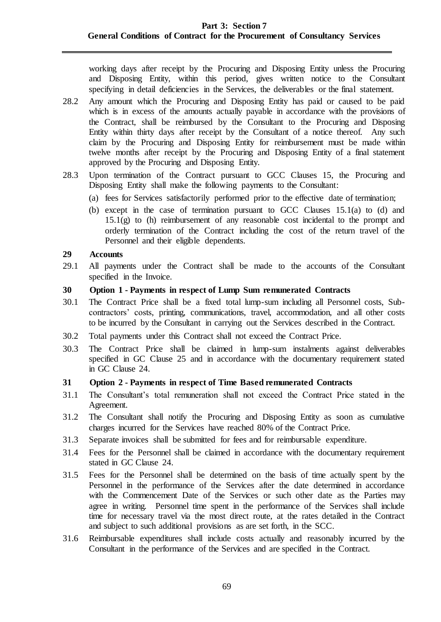working days after receipt by the Procuring and Disposing Entity unless the Procuring and Disposing Entity, within this period, gives written notice to the Consultant specifying in detail deficiencies in the Services, the deliverables or the final statement.

- 28.2 Any amount which the Procuring and Disposing Entity has paid or caused to be paid which is in excess of the amounts actually payable in accordance with the provisions of the Contract, shall be reimbursed by the Consultant to the Procuring and Disposing Entity within thirty days after receipt by the Consultant of a notice thereof. Any such claim by the Procuring and Disposing Entity for reimbursement must be made within twelve months after receipt by the Procuring and Disposing Entity of a final statement approved by the Procuring and Disposing Entity.
- 28.3 Upon termination of the Contract pursuant to GCC Clauses 15, the Procuring and Disposing Entity shall make the following payments to the Consultant:
	- (a) fees for Services satisfactorily performed prior to the effective date of termination;
	- (b) except in the case of termination pursuant to GCC Clauses 15.1(a) to (d) and  $15.1(g)$  to (h) reimbursement of any reasonable cost incidental to the prompt and orderly termination of the Contract including the cost of the return travel of the Personnel and their eligible dependents.

### <span id="page-68-0"></span>**29 Accounts**

29.1 All payments under the Contract shall be made to the accounts of the Consultant specified in the Invoice.

### <span id="page-68-1"></span>**30 Option 1 - Payments in respect of Lump Sum remunerated Contracts**

- 30.1 The Contract Price shall be a fixed total lump-sum including all Personnel costs, Subcontractors' costs, printing, communications, travel, accommodation, and all other costs to be incurred by the Consultant in carrying out the Services described in the Contract.
- 30.2 Total payments under this Contract shall not exceed the Contract Price.
- 30.3 The Contract Price shall be claimed in lump-sum instalments against deliverables specified in GC Clause 25 and in accordance with the documentary requirement stated in GC Clause [24.](#page-67-1)

## <span id="page-68-2"></span>**31 Option 2 - Payments in respect of Time Based remunerated Contracts**

- 31.1 The Consultant's total remuneration shall not exceed the Contract Price stated in the Agreement.
- 31.2 The Consultant shall notify the Procuring and Disposing Entity as soon as cumulative charges incurred for the Services have reached 80% of the Contract Price.
- 31.3 Separate invoices shall be submitted for fees and for reimbursable expenditure.
- 31.4 Fees for the Personnel shall be claimed in accordance with the documentary requirement stated in GC Clause [24.](#page-67-1)
- 31.5 Fees for the Personnel shall be determined on the basis of time actually spent by the Personnel in the performance of the Services after the date determined in accordance with the Commencement Date of the Services or such other date as the Parties may agree in writing. Personnel time spent in the performance of the Services shall include time for necessary travel via the most direct route, at the rates detailed in the Contract and subject to such additional provisions as are set forth, in the SCC.
- 31.6 Reimbursable expenditures shall include costs actually and reasonably incurred by the Consultant in the performance of the Services and are specified in the Contract.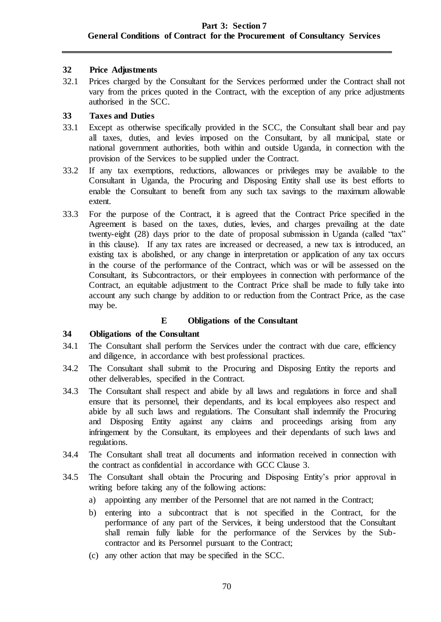### <span id="page-69-0"></span>**32 Price Adjustments**

32.1 Prices charged by the Consultant for the Services performed under the Contract shall not vary from the prices quoted in the Contract, with the exception of any price adjustments authorised in the SCC.

## <span id="page-69-1"></span>**33 Taxes and Duties**

- 33.1 Except as otherwise specifically provided in the SCC, the Consultant shall bear and pay all taxes, duties, and levies imposed on the Consultant, by all municipal, state or national government authorities, both within and outside Uganda, in connection with the provision of the Services to be supplied under the Contract.
- 33.2 If any tax exemptions, reductions, allowances or privileges may be available to the Consultant in Uganda, the Procuring and Disposing Entity shall use its best efforts to enable the Consultant to benefit from any such tax savings to the maximum allowable extent.
- 33.3 For the purpose of the Contract, it is agreed that the Contract Price specified in the Agreement is based on the taxes, duties, levies, and charges prevailing at the date twenty-eight (28) days prior to the date of proposal submission in Uganda (called "tax" in this clause). If any tax rates are increased or decreased, a new tax is introduced, an existing tax is abolished, or any change in interpretation or application of any tax occurs in the course of the performance of the Contract, which was or will be assessed on the Consultant, its Subcontractors, or their employees in connection with performance of the Contract, an equitable adjustment to the Contract Price shall be made to fully take into account any such change by addition to or reduction from the Contract Price, as the case may be.

## **E Obligations of the Consultant**

### <span id="page-69-3"></span><span id="page-69-2"></span>**34 Obligations of the Consultant**

- 34.1 The Consultant shall perform the Services under the contract with due care, efficiency and diligence, in accordance with best professional practices.
- 34.2 The Consultant shall submit to the Procuring and Disposing Entity the reports and other deliverables, specified in the Contract.
- 34.3 The Consultant shall respect and abide by all laws and regulations in force and shall ensure that its personnel, their dependants, and its local employees also respect and abide by all such laws and regulations. The Consultant shall indemnify the Procuring and Disposing Entity against any claims and proceedings arising from any infringement by the Consultant, its employees and their dependants of such laws and regulations.
- 34.4 The Consultant shall treat all documents and information received in connection with the contract as confidential in accordance with GCC Clause 3.
- 34.5 The Consultant shall obtain the Procuring and Disposing Entity's prior approval in writing before taking any of the following actions:
	- a) appointing any member of the Personnel that are not named in the Contract;
	- b) entering into a subcontract that is not specified in the Contract, for the performance of any part of the Services, it being understood that the Consultant shall remain fully liable for the performance of the Services by the Subcontractor and its Personnel pursuant to the Contract;
	- (c) any other action that may be specified in the SCC.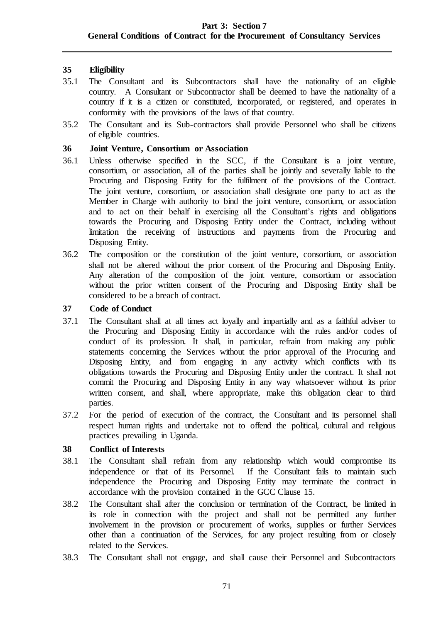## <span id="page-70-0"></span>**35 Eligibility**

- 35.1 The Consultant and its Subcontractors shall have the nationality of an eligible country. A Consultant or Subcontractor shall be deemed to have the nationality of a country if it is a citizen or constituted, incorporated, or registered, and operates in conformity with the provisions of the laws of that country.
- 35.2 The Consultant and its Sub-contractors shall provide Personnel who shall be citizens of eligible countries.

### <span id="page-70-1"></span>**36 Joint Venture, Consortium or Association**

- 36.1 Unless otherwise specified in the SCC, if the Consultant is a joint venture, consortium, or association, all of the parties shall be jointly and severally liable to the Procuring and Disposing Entity for the fulfilment of the provisions of the Contract. The joint venture, consortium, or association shall designate one party to act as the Member in Charge with authority to bind the joint venture, consortium, or association and to act on their behalf in exercising all the Consultant's rights and obligations towards the Procuring and Disposing Entity under the Contract, including without limitation the receiving of instructions and payments from the Procuring and Disposing Entity.
- 36.2 The composition or the constitution of the joint venture, consortium, or association shall not be altered without the prior consent of the Procuring and Disposing Entity. Any alteration of the composition of the joint venture, consortium or association without the prior written consent of the Procuring and Disposing Entity shall be considered to be a breach of contract.

### <span id="page-70-2"></span>**37 Code of Conduct**

- 37.1 The Consultant shall at all times act loyally and impartially and as a faithful adviser to the Procuring and Disposing Entity in accordance with the rules and/or codes of conduct of its profession. It shall, in particular, refrain from making any public statements concerning the Services without the prior approval of the Procuring and Disposing Entity, and from engaging in any activity which conflicts with its obligations towards the Procuring and Disposing Entity under the contract. It shall not commit the Procuring and Disposing Entity in any way whatsoever without its prior written consent, and shall, where appropriate, make this obligation clear to third parties.
- 37.2 For the period of execution of the contract, the Consultant and its personnel shall respect human rights and undertake not to offend the political, cultural and religious practices prevailing in Uganda.

### <span id="page-70-3"></span>**38 Conflict of Interests**

- 38.1 The Consultant shall refrain from any relationship which would compromise its independence or that of its Personnel. If the Consultant fails to maintain such independence the Procuring and Disposing Entity may terminate the contract in accordance with the provision contained in the GCC Clause 15.
- 38.2 The Consultant shall after the conclusion or termination of the Contract, be limited in its role in connection with the project and shall not be permitted any further involvement in the provision or procurement of works, supplies or further Services other than a continuation of the Services, for any project resulting from or closely related to the Services.
- 38.3 The Consultant shall not engage, and shall cause their Personnel and Subcontractors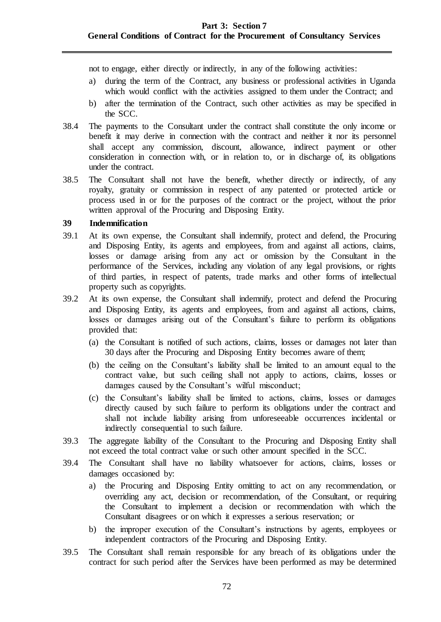not to engage, either directly or indirectly, in any of the following activities:

- a) during the term of the Contract, any business or professional activities in Uganda which would conflict with the activities assigned to them under the Contract; and
- b) after the termination of the Contract, such other activities as may be specified in the SCC.
- 38.4 The payments to the Consultant under the contract shall constitute the only income or benefit it may derive in connection with the contract and neither it nor its personnel shall accept any commission, discount, allowance, indirect payment or other consideration in connection with, or in relation to, or in discharge of, its obligations under the contract.
- 38.5 The Consultant shall not have the benefit, whether directly or indirectly, of any royalty, gratuity or commission in respect of any patented or protected article or process used in or for the purposes of the contract or the project, without the prior written approval of the Procuring and Disposing Entity.

### <span id="page-71-0"></span>**39 Indemnification**

- 39.1 At its own expense, the Consultant shall indemnify, protect and defend, the Procuring and Disposing Entity, its agents and employees, from and against all actions, claims, losses or damage arising from any act or omission by the Consultant in the performance of the Services, including any violation of any legal provisions, or rights of third parties, in respect of patents, trade marks and other forms of intellectual property such as copyrights.
- 39.2 At its own expense, the Consultant shall indemnify, protect and defend the Procuring and Disposing Entity, its agents and employees, from and against all actions, claims, losses or damages arising out of the Consultant's failure to perform its obligations provided that:
	- (a) the Consultant is notified of such actions, claims, losses or damages not later than 30 days after the Procuring and Disposing Entity becomes aware of them;
	- (b) the ceiling on the Consultant's liability shall be limited to an amount equal to the contract value, but such ceiling shall not apply to actions, claims, losses or damages caused by the Consultant's wilful misconduct;
	- (c) the Consultant's liability shall be limited to actions, claims, losses or damages directly caused by such failure to perform its obligations under the contract and shall not include liability arising from unforeseeable occurrences incidental or indirectly consequential to such failure.
- 39.3 The aggregate liability of the Consultant to the Procuring and Disposing Entity shall not exceed the total contract value or such other amount specified in the SCC.
- 39.4 The Consultant shall have no liability whatsoever for actions, claims, losses or damages occasioned by:
	- a) the Procuring and Disposing Entity omitting to act on any recommendation, or overriding any act, decision or recommendation, of the Consultant, or requiring the Consultant to implement a decision or recommendation with which the Consultant disagrees or on which it expresses a serious reservation; or
	- b) the improper execution of the Consultant's instructions by agents, employees or independent contractors of the Procuring and Disposing Entity.
- 39.5 The Consultant shall remain responsible for any breach of its obligations under the contract for such period after the Services have been performed as may be determined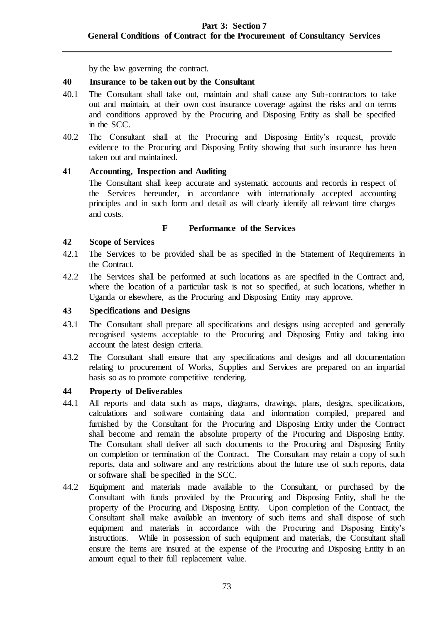by the law governing the contract.

### **40 Insurance to be taken out by the Consultant**

- 40.1 The Consultant shall take out, maintain and shall cause any Sub-contractors to take out and maintain, at their own cost insurance coverage against the risks and on terms and conditions approved by the Procuring and Disposing Entity as shall be specified in the SCC.
- 40.2 The Consultant shall at the Procuring and Disposing Entity's request, provide evidence to the Procuring and Disposing Entity showing that such insurance has been taken out and maintained.

## **41 Accounting, Inspection and Auditing**

The Consultant shall keep accurate and systematic accounts and records in respect of the Services hereunder, in accordance with internationally accepted accounting principles and in such form and detail as will clearly identify all relevant time charges and costs.

### **F Performance of the Services**

### **42 Scope of Services**

- 42.1 The Services to be provided shall be as specified in the Statement of Requirements in the Contract.
- 42.2 The Services shall be performed at such locations as are specified in the Contract and, where the location of a particular task is not so specified, at such locations, whether in Uganda or elsewhere, as the Procuring and Disposing Entity may approve.

## **43 Specifications and Designs**

- 43.1 The Consultant shall prepare all specifications and designs using accepted and generally recognised systems acceptable to the Procuring and Disposing Entity and taking into account the latest design criteria.
- 43.2 The Consultant shall ensure that any specifications and designs and all documentation relating to procurement of Works, Supplies and Services are prepared on an impartial basis so as to promote competitive tendering.

### **44 Property of Deliverables**

- 44.1 All reports and data such as maps, diagrams, drawings, plans, designs, specifications, calculations and software containing data and information compiled, prepared and furnished by the Consultant for the Procuring and Disposing Entity under the Contract shall become and remain the absolute property of the Procuring and Disposing Entity. The Consultant shall deliver all such documents to the Procuring and Disposing Entity on completion or termination of the Contract. The Consultant may retain a copy of such reports, data and software and any restrictions about the future use of such reports, data or software shall be specified in the SCC.
- 44.2 Equipment and materials made available to the Consultant, or purchased by the Consultant with funds provided by the Procuring and Disposing Entity, shall be the property of the Procuring and Disposing Entity. Upon completion of the Contract, the Consultant shall make available an inventory of such items and shall dispose of such equipment and materials in accordance with the Procuring and Disposing Entity's instructions. While in possession of such equipment and materials, the Consultant shall ensure the items are insured at the expense of the Procuring and Disposing Entity in an amount equal to their full replacement value.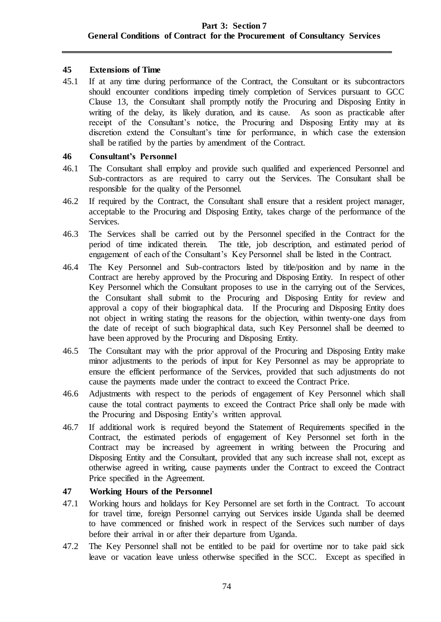## **45 Extensions of Time**

45.1 If at any time during performance of the Contract, the Consultant or its subcontractors should encounter conditions impeding timely completion of Services pursuant to GCC Clause 13, the Consultant shall promptly notify the Procuring and Disposing Entity in writing of the delay, its likely duration, and its cause. As soon as practicable after receipt of the Consultant's notice, the Procuring and Disposing Entity may at its discretion extend the Consultant's time for performance, in which case the extension shall be ratified by the parties by amendment of the Contract.

### **46 Consultant's Personnel**

- 46.1 The Consultant shall employ and provide such qualified and experienced Personnel and Sub-contractors as are required to carry out the Services. The Consultant shall be responsible for the quality of the Personnel.
- 46.2 If required by the Contract, the Consultant shall ensure that a resident project manager, acceptable to the Procuring and Disposing Entity, takes charge of the performance of the Services.
- 46.3 The Services shall be carried out by the Personnel specified in the Contract for the period of time indicated therein. The title, job description, and estimated period of engagement of each of the Consultant's Key Personnel shall be listed in the Contract.
- 46.4 The Key Personnel and Sub-contractors listed by title/position and by name in the Contract are hereby approved by the Procuring and Disposing Entity. In respect of other Key Personnel which the Consultant proposes to use in the carrying out of the Services, the Consultant shall submit to the Procuring and Disposing Entity for review and approval a copy of their biographical data. If the Procuring and Disposing Entity does not object in writing stating the reasons for the objection, within twenty-one days from the date of receipt of such biographical data, such Key Personnel shall be deemed to have been approved by the Procuring and Disposing Entity.
- 46.5 The Consultant may with the prior approval of the Procuring and Disposing Entity make minor adjustments to the periods of input for Key Personnel as may be appropriate to ensure the efficient performance of the Services, provided that such adjustments do not cause the payments made under the contract to exceed the Contract Price.
- 46.6 Adjustments with respect to the periods of engagement of Key Personnel which shall cause the total contract payments to exceed the Contract Price shall only be made with the Procuring and Disposing Entity's written approval.
- 46.7 If additional work is required beyond the Statement of Requirements specified in the Contract, the estimated periods of engagement of Key Personnel set forth in the Contract may be increased by agreement in writing between the Procuring and Disposing Entity and the Consultant, provided that any such increase shall not, except as otherwise agreed in writing, cause payments under the Contract to exceed the Contract Price specified in the Agreement.

## **47 Working Hours of the Personnel**

- 47.1 Working hours and holidays for Key Personnel are set forth in the Contract. To account for travel time, foreign Personnel carrying out Services inside Uganda shall be deemed to have commenced or finished work in respect of the Services such number of days before their arrival in or after their departure from Uganda.
- 47.2 The Key Personnel shall not be entitled to be paid for overtime nor to take paid sick leave or vacation leave unless otherwise specified in the SCC. Except as specified in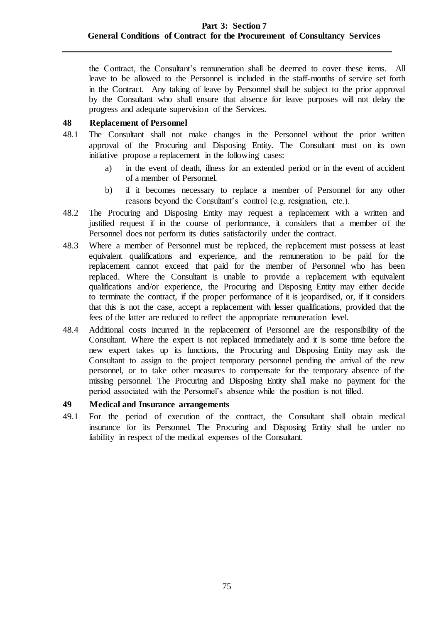the Contract, the Consultant's remuneration shall be deemed to cover these items. All leave to be allowed to the Personnel is included in the staff-months of service set forth in the Contract. Any taking of leave by Personnel shall be subject to the prior approval by the Consultant who shall ensure that absence for leave purposes will not delay the progress and adequate supervision of the Services.

### **48 Replacement of Personnel**

- 48.1 The Consultant shall not make changes in the Personnel without the prior written approval of the Procuring and Disposing Entity. The Consultant must on its own initiative propose a replacement in the following cases:
	- a) in the event of death, illness for an extended period or in the event of accident of a member of Personnel.
	- b) if it becomes necessary to replace a member of Personnel for any other reasons beyond the Consultant's control (e.g. resignation, etc.).
- 48.2 The Procuring and Disposing Entity may request a replacement with a written and justified request if in the course of performance, it considers that a member of the Personnel does not perform its duties satisfactorily under the contract.
- 48.3 Where a member of Personnel must be replaced, the replacement must possess at least equivalent qualifications and experience, and the remuneration to be paid for the replacement cannot exceed that paid for the member of Personnel who has been replaced. Where the Consultant is unable to provide a replacement with equivalent qualifications and/or experience, the Procuring and Disposing Entity may either decide to terminate the contract, if the proper performance of it is jeopardised, or, if it considers that this is not the case, accept a replacement with lesser qualifications, provided that the fees of the latter are reduced to reflect the appropriate remuneration level.
- 48.4 Additional costs incurred in the replacement of Personnel are the responsibility of the Consultant. Where the expert is not replaced immediately and it is some time before the new expert takes up its functions, the Procuring and Disposing Entity may ask the Consultant to assign to the project temporary personnel pending the arrival of the new personnel, or to take other measures to compensate for the temporary absence of the missing personnel. The Procuring and Disposing Entity shall make no payment for the period associated with the Personnel's absence while the position is not filled.

### **49 Medical and Insurance arrangements**

49.1 For the period of execution of the contract, the Consultant shall obtain medical insurance for its Personnel. The Procuring and Disposing Entity shall be under no liability in respect of the medical expenses of the Consultant.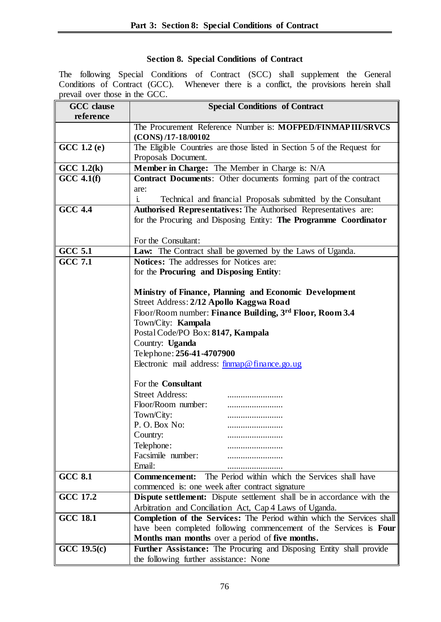## **Section 8. Special Conditions of Contract**

The following Special Conditions of Contract (SCC) shall supplement the General Conditions of Contract (GCC). Whenever there is a conflict, the provisions herein shall prevail over those in the GCC.

| <b>GCC</b> clause | <b>Special Conditions of Contract</b>                                           |  |
|-------------------|---------------------------------------------------------------------------------|--|
| reference         |                                                                                 |  |
|                   | The Procurement Reference Number is: MOFPED/FINMAPIII/SRVCS                     |  |
|                   | $(CONS)$ /17-18/00102                                                           |  |
| GCC 1.2 (e)       | The Eligible Countries are those listed in Section 5 of the Request for         |  |
|                   | Proposals Document.                                                             |  |
| $GCC\ 1.2(k)$     | Member in Charge: The Member in Charge is: N/A                                  |  |
| $GCC$ 4.1(f)      | <b>Contract Documents:</b> Other documents forming part of the contract         |  |
|                   | are:                                                                            |  |
|                   | Technical and financial Proposals submitted by the Consultant<br>$\mathbf{i}$ . |  |
| <b>GCC 4.4</b>    | Authorised Representatives: The Authorised Representatives are:                 |  |
|                   | for the Procuring and Disposing Entity: The Programme Coordinator               |  |
|                   |                                                                                 |  |
|                   | For the Consultant:                                                             |  |
| <b>GCC 5.1</b>    | Law: The Contract shall be governed by the Laws of Uganda.                      |  |
| <b>GCC 7.1</b>    | <b>Notices:</b> The addresses for Notices are:                                  |  |
|                   | for the Procuring and Disposing Entity:                                         |  |
|                   |                                                                                 |  |
|                   | Ministry of Finance, Planning and Economic Development                          |  |
|                   | Street Address: 2/12 Apollo Kaggwa Road                                         |  |
|                   | Floor/Room number: Finance Building, 3rd Floor, Room 3.4                        |  |
|                   | Town/City: Kampala                                                              |  |
|                   | Postal Code/PO Box: 8147, Kampala                                               |  |
|                   | Country: Uganda<br>Telephone: 256-41-4707900                                    |  |
|                   |                                                                                 |  |
|                   | Electronic mail address: $f_{\text{immap}}@f_{\text{mance}}@.$ ug               |  |
|                   |                                                                                 |  |
|                   | For the <b>Consultant</b>                                                       |  |
|                   | <b>Street Address:</b>                                                          |  |
|                   | Floor/Room number:                                                              |  |
|                   | Town/City:                                                                      |  |
|                   | P.O.Box No:<br>                                                                 |  |
|                   | Country:                                                                        |  |
|                   | Telephone:                                                                      |  |
|                   | Facsimile number:                                                               |  |
|                   | Email:                                                                          |  |
| <b>GCC 8.1</b>    | The Period within which the Services shall have<br><b>Commencement:</b>         |  |
| <b>GCC 17.2</b>   | commenced is: one week after contract signature                                 |  |
|                   | <b>Dispute settlement:</b> Dispute settlement shall be in accordance with the   |  |
|                   | Arbitration and Conciliation Act, Cap 4 Laws of Uganda.                         |  |
| <b>GCC 18.1</b>   | Completion of the Services: The Period within which the Services shall          |  |
|                   | have been completed following commencement of the Services is Four              |  |
| $GCC\ 19.5(c)$    | Months man months over a period of five months.                                 |  |
|                   | Further Assistance: The Procuring and Disposing Entity shall provide            |  |
|                   | the following further assistance: None                                          |  |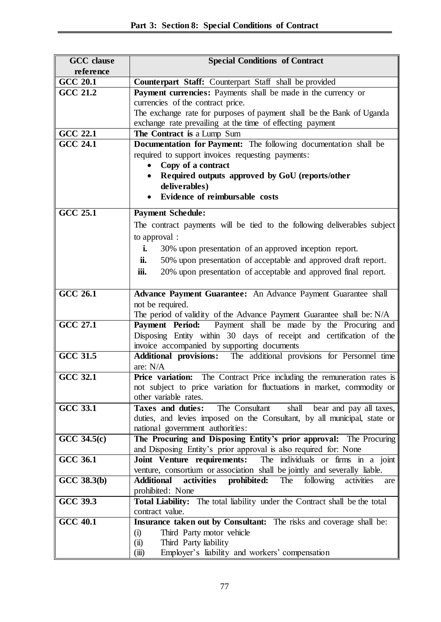| <b>GCC</b> clause | <b>Special Conditions of Contract</b>                                                |
|-------------------|--------------------------------------------------------------------------------------|
| reference         |                                                                                      |
| <b>GCC 20.1</b>   | Counterpart Staff: Counterpart Staff shall be provided                               |
| GCC $21.2$        | Payment currencies: Payments shall be made in the currency or                        |
|                   | currencies of the contract price.                                                    |
|                   | The exchange rate for purposes of payment shall be the Bank of Uganda                |
|                   | exchange rate prevailing at the time of effecting payment                            |
| <b>GCC 22.1</b>   | The Contract is a Lump Sum                                                           |
| $GCC$ 24.1        | Documentation for Payment: The following documentation shall be                      |
|                   | required to support invoices requesting payments:                                    |
|                   | Copy of a contract                                                                   |
|                   | Required outputs approved by GoU (reports/other                                      |
|                   | deliverables)                                                                        |
|                   | Evidence of reimbursable costs                                                       |
| <b>GCC 25.1</b>   | <b>Payment Schedule:</b>                                                             |
|                   | The contract payments will be tied to the following deliverables subject             |
|                   | to approval :                                                                        |
|                   | i.<br>30% upon presentation of an approved inception report.                         |
|                   | 50% upon presentation of acceptable and approved draft report.<br>ii.                |
|                   | 20% upon presentation of acceptable and approved final report.<br>iii.               |
|                   |                                                                                      |
| <b>GCC 26.1</b>   | Advance Payment Guarantee: An Advance Payment Guarantee shall                        |
|                   | not be required.                                                                     |
|                   | The period of validity of the Advance Payment Guarantee shall be: N/A                |
| <b>GCC 27.1</b>   | Payment shall be made by the Procuring and<br><b>Payment Period:</b>                 |
|                   | Disposing Entity within 30 days of receipt and certification of the                  |
|                   | invoice accompanied by supporting documents                                          |
| <b>GCC 31.5</b>   | Additional provisions: The additional provisions for Personnel time                  |
|                   | are: N/A                                                                             |
| <b>GCC 32.1</b>   | Price variation: The Contract Price including the remuneration rates is              |
|                   | not subject to price variation for fluctuations in market, commodity or              |
|                   | other variable rates.                                                                |
| GCC $33.1$        | Taxes and duties:<br>The Consultant<br>shall<br>bear and pay all taxes,              |
|                   | duties, and levies imposed on the Consultant, by all municipal, state or             |
|                   | national government authorities:                                                     |
| $GCC$ 34.5 $(c)$  | The Procuring and Disposing Entity's prior approval: The Procuring                   |
|                   | and Disposing Entity's prior approval is also required for: None                     |
| <b>GCC 36.1</b>   | The individuals or firms in a joint<br>Joint Venture requirements:                   |
|                   | venture, consortium or association shall be jointly and severally liable.            |
| GCC 38.3(b)       | activities prohibited:<br>The<br><b>Additional</b><br>following<br>activities<br>are |
|                   | prohibited: None                                                                     |
| <b>GCC 39.3</b>   | Total Liability: The total liability under the Contract shall be the total           |
|                   | contract value.                                                                      |
| <b>GCC 40.1</b>   | Insurance taken out by Consultant: The risks and coverage shall be:                  |
|                   | Third Party motor vehicle<br>(i)                                                     |
|                   | Third Party liability<br>(ii)                                                        |
|                   | Employer's liability and workers' compensation<br>(iii)                              |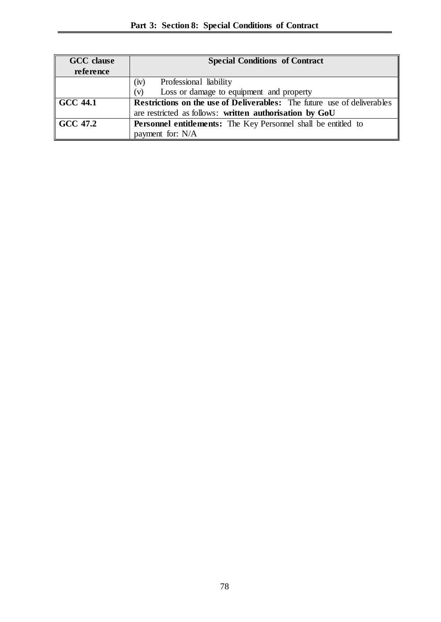| <b>GCC</b> clause | <b>Special Conditions of Contract</b>                                          |  |
|-------------------|--------------------------------------------------------------------------------|--|
| reference         |                                                                                |  |
|                   | Professional liability<br>(iv)                                                 |  |
|                   | Loss or damage to equipment and property<br>(v)                                |  |
| $\vert$ GCC 44.1  | <b>Restrictions on the use of Deliverables:</b> The future use of deliverables |  |
|                   | are restricted as follows: written authorisation by GoU                        |  |
| $\vert$ GCC 47.2  | <b>Personnel entitlements:</b> The Key Personnel shall be entitled to          |  |
|                   | payment for: N/A                                                               |  |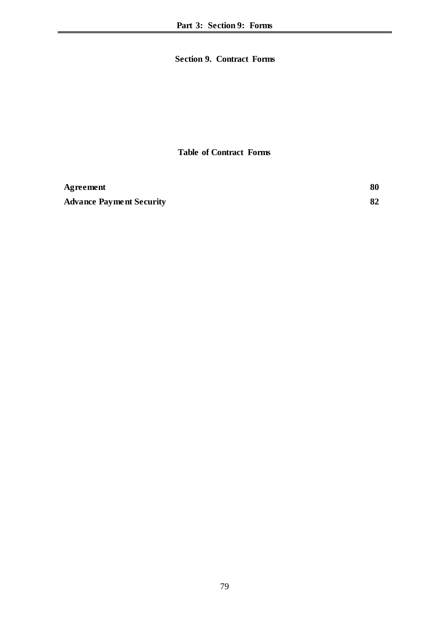## **Section 9. Contract Forms**

### **Table of Contract Forms**

| Agreement                       | 80 |
|---------------------------------|----|
| <b>Advance Payment Security</b> | 82 |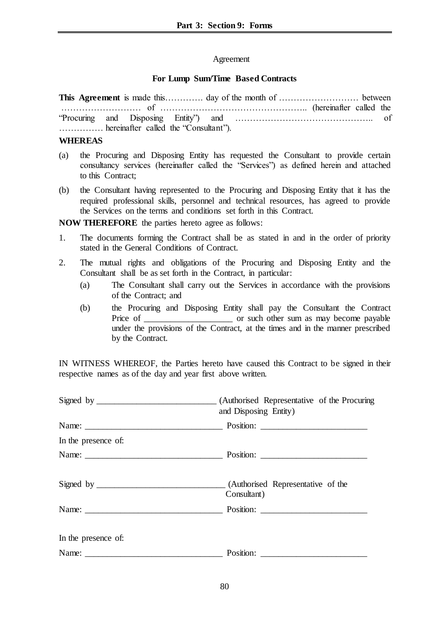### <span id="page-79-0"></span>Agreement

### **For Lump Sum/Time Based Contracts**

**This Agreement** is made this………….. day of the month of ……………………………… between ……………………… of ………………………………………….. (hereinafter called the "Procuring and Disposing Entity") and ……………………………………….. of …………… hereinafter called the "Consultant").

#### **WHEREAS**

- (a) the Procuring and Disposing Entity has requested the Consultant to provide certain consultancy services (hereinafter called the "Services") as defined herein and attached to this Contract:
- (b) the Consultant having represented to the Procuring and Disposing Entity that it has the required professional skills, personnel and technical resources, has agreed to provide the Services on the terms and conditions set forth in this Contract.

**NOW THEREFORE** the parties hereto agree as follows:

- 1. The documents forming the Contract shall be as stated in and in the order of priority stated in the General Conditions of Contract.
- 2. The mutual rights and obligations of the Procuring and Disposing Entity and the Consultant shall be as set forth in the Contract, in particular:
	- (a) The Consultant shall carry out the Services in accordance with the provisions of the Contract; and
	- (b) the Procuring and Disposing Entity shall pay the Consultant the Contract Price of \_\_\_\_\_\_\_\_\_\_\_\_\_\_\_\_\_\_\_\_\_\_\_\_\_ or such other sum as may become payable under the provisions of the Contract, at the times and in the manner prescribed by the Contract.

IN WITNESS WHEREOF, the Parties hereto have caused this Contract to be signed in their respective names as of the day and year first above written.

|                     | (Authorised Representative of the Procuring<br>and Disposing Entity) |
|---------------------|----------------------------------------------------------------------|
|                     |                                                                      |
| In the presence of: |                                                                      |
|                     |                                                                      |
|                     | Consultant)                                                          |
|                     | Name: Position: Position:                                            |
| In the presence of: |                                                                      |
|                     |                                                                      |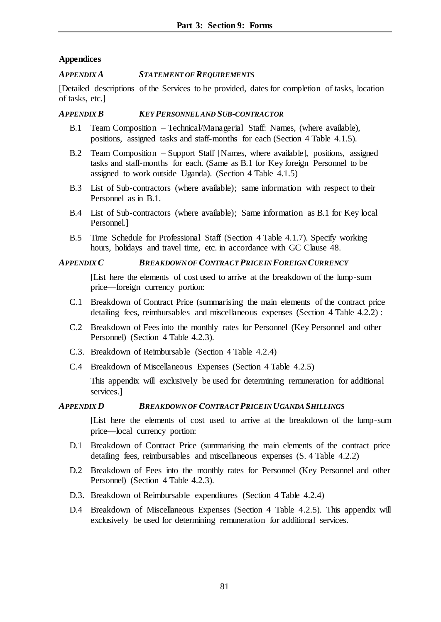### **Appendices**

### *APPENDIX A STATEMENT OF REQUIREMENTS*

[Detailed descriptions of the Services to be provided, dates for completion of tasks, location of tasks, etc.]

### *APPENDIX B KEY PERSONNEL AND SUB-CONTRACTOR*

- B.1 Team Composition Technical/Managerial Staff: Names, (where available), positions, assigned tasks and staff-months for each (Section 4 Table 4.1.5).
- B.2 Team Composition Support Staff [Names, where available], positions, assigned tasks and staff-months for each. (Same as B.1 for Key foreign Personnel to be assigned to work outside Uganda). (Section 4 Table 4.1.5)
- B.3 List of Sub-contractors (where available); same information with respect to their Personnel as in B.1.
- B.4 List of Sub-contractors (where available); Same information as B.1 for Key local Personnel.]
- B.5 Time Schedule for Professional Staff (Section 4 Table 4.1.7). Specify working hours, holidays and travel time, etc. in accordance with GC Clause 48.

## *APPENDIX C BREAKDOWN OF CONTRACT PRICE IN FOREIGN CURRENCY*

[List here the elements of cost used to arrive at the breakdown of the lump-sum price—foreign currency portion:

- C.1 Breakdown of Contract Price (summarising the main elements of the contract price detailing fees, reimbursables and miscellaneous expenses (Section 4 Table 4.2.2) :
- C.2 Breakdown of Fees into the monthly rates for Personnel (Key Personnel and other Personnel) (Section 4 Table 4.2.3).
- C.3. Breakdown of Reimbursable (Section 4 Table 4.2.4)
- C.4 Breakdown of Miscellaneous Expenses (Section 4 Table 4.2.5)

This appendix will exclusively be used for determining remuneration for additional services.]

### *APPENDIX D BREAKDOWN OF CONTRACT PRICE IN UGANDA SHILLINGS*

[List here the elements of cost used to arrive at the breakdown of the lump-sum price—local currency portion:

- D.1 Breakdown of Contract Price (summarising the main elements of the contract price detailing fees, reimbursables and miscellaneous expenses  $(S. 4$  Table 4.2.2)
- D.2 Breakdown of Fees into the monthly rates for Personnel (Key Personnel and other Personnel) (Section 4 Table 4.2.3).
- D.3. Breakdown of Reimbursable expenditures (Section 4 Table 4.2.4)
- D.4 Breakdown of Miscellaneous Expenses (Section 4 Table 4.2.5). This appendix will exclusively be used for determining remuneration for additional services.